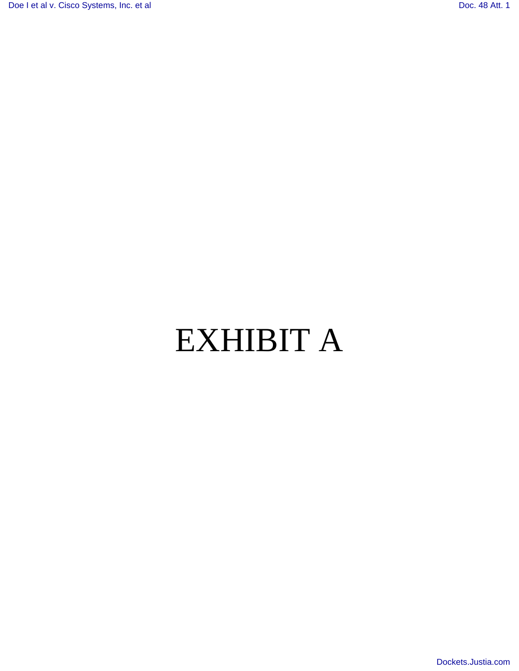# EXHIBIT A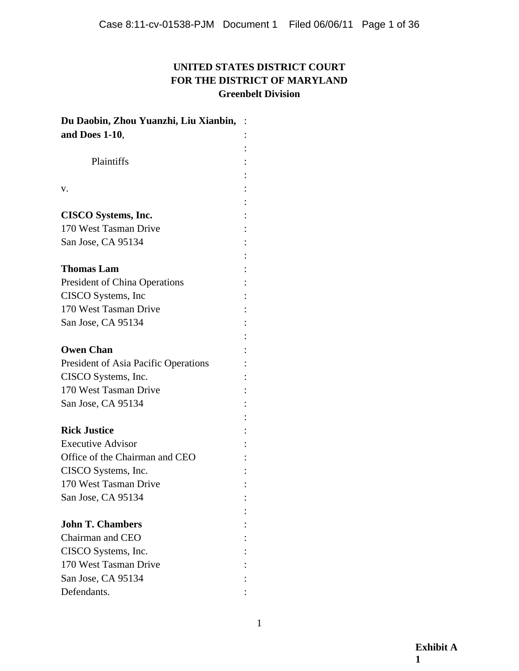# **UNITED STATES DISTRICT COURT FOR THE DISTRICT OF MARYLAND Greenbelt Division**

| Du Daobin, Zhou Yuanzhi, Liu Xianbin, |  |
|---------------------------------------|--|
| and Does 1-10,                        |  |
|                                       |  |
| Plaintiffs                            |  |
|                                       |  |
| v.                                    |  |
|                                       |  |
| CISCO Systems, Inc.                   |  |
| 170 West Tasman Drive                 |  |
| San Jose, CA 95134                    |  |
| <b>Thomas Lam</b>                     |  |
| <b>President of China Operations</b>  |  |
| CISCO Systems, Inc.                   |  |
| 170 West Tasman Drive                 |  |
| San Jose, CA 95134                    |  |
|                                       |  |
| <b>Owen Chan</b>                      |  |
| President of Asia Pacific Operations  |  |
| CISCO Systems, Inc.                   |  |
| 170 West Tasman Drive                 |  |
| San Jose, CA 95134                    |  |
|                                       |  |
| <b>Rick Justice</b>                   |  |
| <b>Executive Advisor</b>              |  |
| Office of the Chairman and CEO        |  |
| CISCO Systems, Inc.                   |  |
| 170 West Tasman Drive                 |  |
| San Jose, CA 95134                    |  |
| <b>John T. Chambers</b>               |  |
| Chairman and CEO                      |  |
| CISCO Systems, Inc.                   |  |
| 170 West Tasman Drive                 |  |
| San Jose, CA 95134                    |  |
| Defendants.                           |  |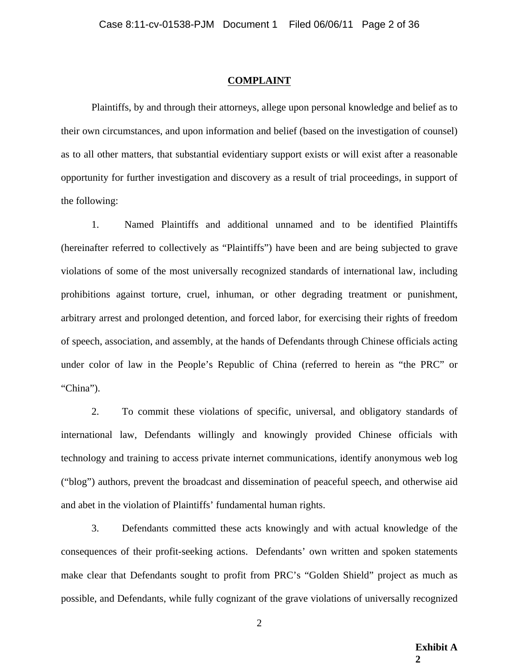#### **COMPLAINT**

 Plaintiffs, by and through their attorneys, allege upon personal knowledge and belief as to their own circumstances, and upon information and belief (based on the investigation of counsel) as to all other matters, that substantial evidentiary support exists or will exist after a reasonable opportunity for further investigation and discovery as a result of trial proceedings, in support of the following:

1. Named Plaintiffs and additional unnamed and to be identified Plaintiffs (hereinafter referred to collectively as "Plaintiffs") have been and are being subjected to grave violations of some of the most universally recognized standards of international law, including prohibitions against torture, cruel, inhuman, or other degrading treatment or punishment, arbitrary arrest and prolonged detention, and forced labor, for exercising their rights of freedom of speech, association, and assembly, at the hands of Defendants through Chinese officials acting under color of law in the People's Republic of China (referred to herein as "the PRC" or "China").

2. To commit these violations of specific, universal, and obligatory standards of international law, Defendants willingly and knowingly provided Chinese officials with technology and training to access private internet communications, identify anonymous web log ("blog") authors, prevent the broadcast and dissemination of peaceful speech, and otherwise aid and abet in the violation of Plaintiffs' fundamental human rights.

3. Defendants committed these acts knowingly and with actual knowledge of the consequences of their profit-seeking actions. Defendants' own written and spoken statements make clear that Defendants sought to profit from PRC's "Golden Shield" project as much as possible, and Defendants, while fully cognizant of the grave violations of universally recognized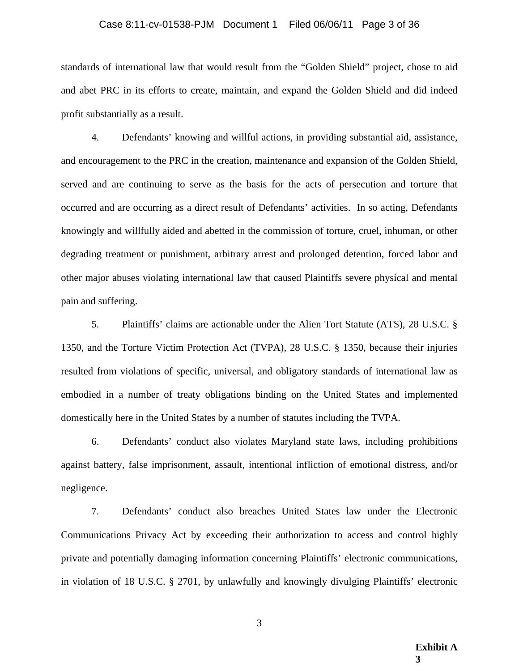# Case 8:11-cv-01538-PJM Document 1 Filed 06/06/11 Page 3 of 36

standards of international law that would result from the "Golden Shield" project, chose to aid and abet PRC in its efforts to create, maintain, and expand the Golden Shield and did indeed profit substantially as a result.

4. Defendants' knowing and willful actions, in providing substantial aid, assistance, and encouragement to the PRC in the creation, maintenance and expansion of the Golden Shield, served and are continuing to serve as the basis for the acts of persecution and torture that occurred and are occurring as a direct result of Defendants' activities. In so acting, Defendants knowingly and willfully aided and abetted in the commission of torture, cruel, inhuman, or other degrading treatment or punishment, arbitrary arrest and prolonged detention, forced labor and other major abuses violating international law that caused Plaintiffs severe physical and mental pain and suffering.

5. Plaintiffs' claims are actionable under the Alien Tort Statute (ATS), 28 U.S.C. § 1350, and the Torture Victim Protection Act (TVPA), 28 U.S.C. § 1350, because their injuries resulted from violations of specific, universal, and obligatory standards of international law as embodied in a number of treaty obligations binding on the United States and implemented domestically here in the United States by a number of statutes including the TVPA.

6. Defendants' conduct also violates Maryland state laws, including prohibitions against battery, false imprisonment, assault, intentional infliction of emotional distress, and/or negligence.

7. Defendants' conduct also breaches United States law under the Electronic Communications Privacy Act by exceeding their authorization to access and control highly private and potentially damaging information concerning Plaintiffs' electronic communications, in violation of 18 U.S.C. § 2701, by unlawfully and knowingly divulging Plaintiffs' electronic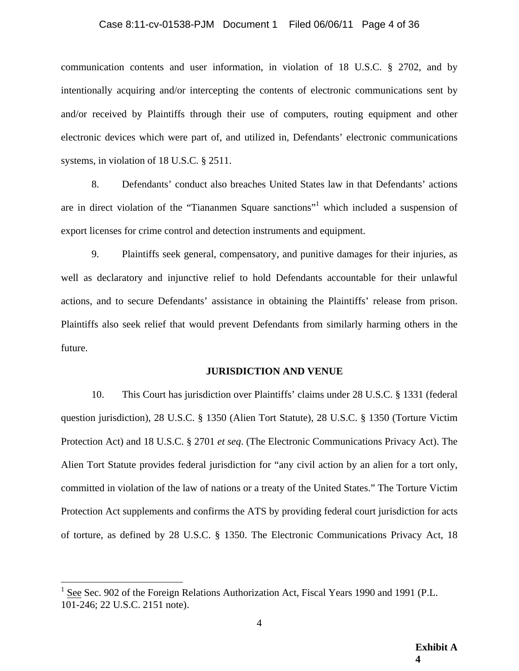# Case 8:11-cv-01538-PJM Document 1 Filed 06/06/11 Page 4 of 36

communication contents and user information, in violation of 18 U.S.C. § 2702, and by intentionally acquiring and/or intercepting the contents of electronic communications sent by and/or received by Plaintiffs through their use of computers, routing equipment and other electronic devices which were part of, and utilized in, Defendants' electronic communications systems, in violation of 18 U.S.C. § 2511.

8. Defendants' conduct also breaches United States law in that Defendants' actions are in direct violation of the "Tiananmen Square sanctions" which included a suspension of export licenses for crime control and detection instruments and equipment.

9. Plaintiffs seek general, compensatory, and punitive damages for their injuries, as well as declaratory and injunctive relief to hold Defendants accountable for their unlawful actions, and to secure Defendants' assistance in obtaining the Plaintiffs' release from prison. Plaintiffs also seek relief that would prevent Defendants from similarly harming others in the future.

#### **JURISDICTION AND VENUE**

10. This Court has jurisdiction over Plaintiffs' claims under 28 U.S.C. § 1331 (federal question jurisdiction), 28 U.S.C. § 1350 (Alien Tort Statute), 28 U.S.C. § 1350 (Torture Victim Protection Act) and 18 U.S.C. § 2701 *et seq*. (The Electronic Communications Privacy Act). The Alien Tort Statute provides federal jurisdiction for "any civil action by an alien for a tort only, committed in violation of the law of nations or a treaty of the United States." The Torture Victim Protection Act supplements and confirms the ATS by providing federal court jurisdiction for acts of torture, as defined by 28 U.S.C. § 1350. The Electronic Communications Privacy Act, 18

 $\overline{a}$ 

<sup>1</sup> See Sec. 902 of the Foreign Relations Authorization Act, Fiscal Years 1990 and 1991 (P.L. 101-246; 22 U.S.C. 2151 note).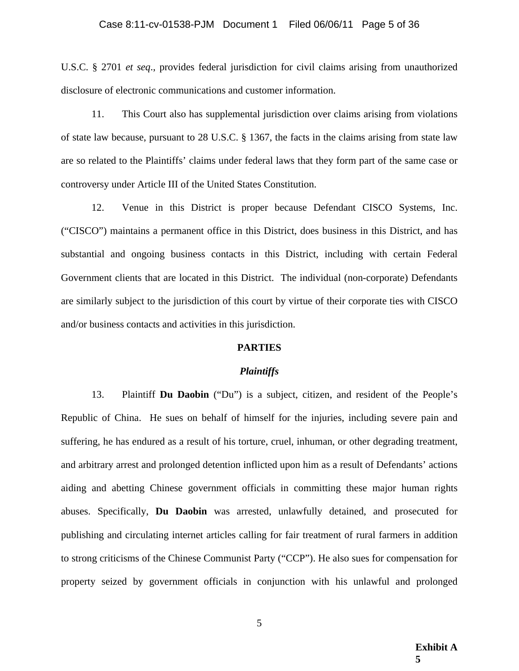## Case 8:11-cv-01538-PJM Document 1 Filed 06/06/11 Page 5 of 36

U.S.C. § 2701 *et seq*., provides federal jurisdiction for civil claims arising from unauthorized disclosure of electronic communications and customer information.

11. This Court also has supplemental jurisdiction over claims arising from violations of state law because, pursuant to 28 U.S.C. § 1367, the facts in the claims arising from state law are so related to the Plaintiffs' claims under federal laws that they form part of the same case or controversy under Article III of the United States Constitution.

12. Venue in this District is proper because Defendant CISCO Systems, Inc. ("CISCO") maintains a permanent office in this District, does business in this District, and has substantial and ongoing business contacts in this District, including with certain Federal Government clients that are located in this District. The individual (non-corporate) Defendants are similarly subject to the jurisdiction of this court by virtue of their corporate ties with CISCO and/or business contacts and activities in this jurisdiction.

#### **PARTIES**

#### *Plaintiffs*

13. Plaintiff **Du Daobin** ("Du") is a subject, citizen, and resident of the People's Republic of China. He sues on behalf of himself for the injuries, including severe pain and suffering, he has endured as a result of his torture, cruel, inhuman, or other degrading treatment, and arbitrary arrest and prolonged detention inflicted upon him as a result of Defendants' actions aiding and abetting Chinese government officials in committing these major human rights abuses. Specifically, **Du Daobin** was arrested, unlawfully detained, and prosecuted for publishing and circulating internet articles calling for fair treatment of rural farmers in addition to strong criticisms of the Chinese Communist Party ("CCP"). He also sues for compensation for property seized by government officials in conjunction with his unlawful and prolonged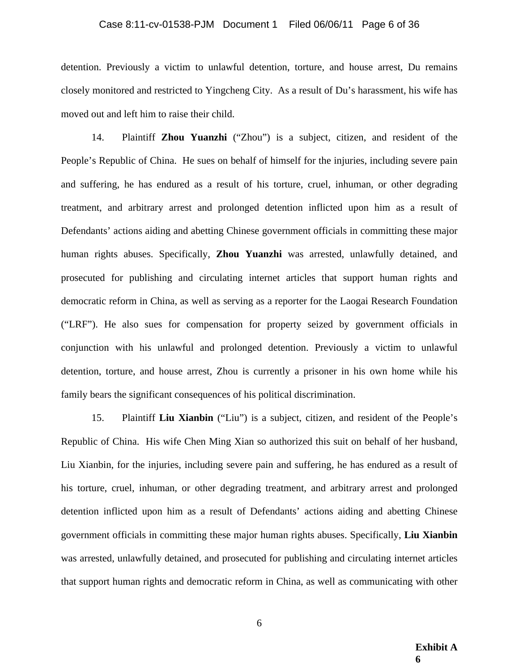## Case 8:11-cv-01538-PJM Document 1 Filed 06/06/11 Page 6 of 36

detention. Previously a victim to unlawful detention, torture, and house arrest, Du remains closely monitored and restricted to Yingcheng City. As a result of Du's harassment, his wife has moved out and left him to raise their child.

14. Plaintiff **Zhou Yuanzhi** ("Zhou") is a subject, citizen, and resident of the People's Republic of China. He sues on behalf of himself for the injuries, including severe pain and suffering, he has endured as a result of his torture, cruel, inhuman, or other degrading treatment, and arbitrary arrest and prolonged detention inflicted upon him as a result of Defendants' actions aiding and abetting Chinese government officials in committing these major human rights abuses. Specifically, **Zhou Yuanzhi** was arrested, unlawfully detained, and prosecuted for publishing and circulating internet articles that support human rights and democratic reform in China, as well as serving as a reporter for the Laogai Research Foundation ("LRF"). He also sues for compensation for property seized by government officials in conjunction with his unlawful and prolonged detention. Previously a victim to unlawful detention, torture, and house arrest, Zhou is currently a prisoner in his own home while his family bears the significant consequences of his political discrimination.

15. Plaintiff **Liu Xianbin** ("Liu") is a subject, citizen, and resident of the People's Republic of China. His wife Chen Ming Xian so authorized this suit on behalf of her husband, Liu Xianbin, for the injuries, including severe pain and suffering, he has endured as a result of his torture, cruel, inhuman, or other degrading treatment, and arbitrary arrest and prolonged detention inflicted upon him as a result of Defendants' actions aiding and abetting Chinese government officials in committing these major human rights abuses. Specifically, **Liu Xianbin** was arrested, unlawfully detained, and prosecuted for publishing and circulating internet articles that support human rights and democratic reform in China, as well as communicating with other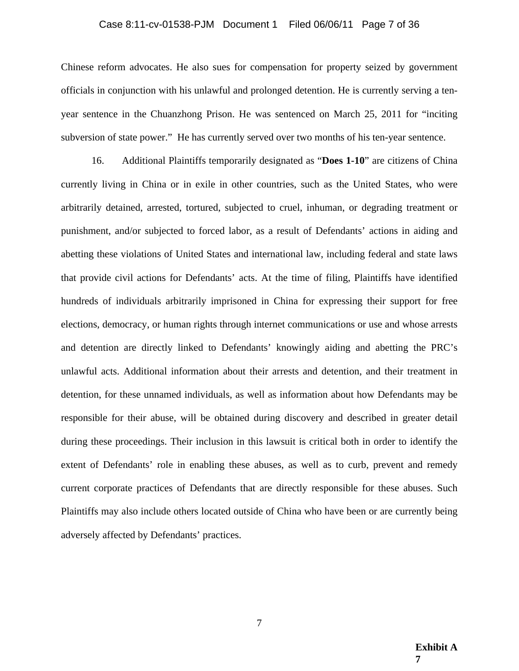# Case 8:11-cv-01538-PJM Document 1 Filed 06/06/11 Page 7 of 36

Chinese reform advocates. He also sues for compensation for property seized by government officials in conjunction with his unlawful and prolonged detention. He is currently serving a tenyear sentence in the Chuanzhong Prison. He was sentenced on March 25, 2011 for "inciting subversion of state power." He has currently served over two months of his ten-year sentence.

16. Additional Plaintiffs temporarily designated as "**Does 1-10**" are citizens of China currently living in China or in exile in other countries, such as the United States, who were arbitrarily detained, arrested, tortured, subjected to cruel, inhuman, or degrading treatment or punishment, and/or subjected to forced labor, as a result of Defendants' actions in aiding and abetting these violations of United States and international law, including federal and state laws that provide civil actions for Defendants' acts. At the time of filing, Plaintiffs have identified hundreds of individuals arbitrarily imprisoned in China for expressing their support for free elections, democracy, or human rights through internet communications or use and whose arrests and detention are directly linked to Defendants' knowingly aiding and abetting the PRC's unlawful acts. Additional information about their arrests and detention, and their treatment in detention, for these unnamed individuals, as well as information about how Defendants may be responsible for their abuse, will be obtained during discovery and described in greater detail during these proceedings. Their inclusion in this lawsuit is critical both in order to identify the extent of Defendants' role in enabling these abuses, as well as to curb, prevent and remedy current corporate practices of Defendants that are directly responsible for these abuses. Such Plaintiffs may also include others located outside of China who have been or are currently being adversely affected by Defendants' practices.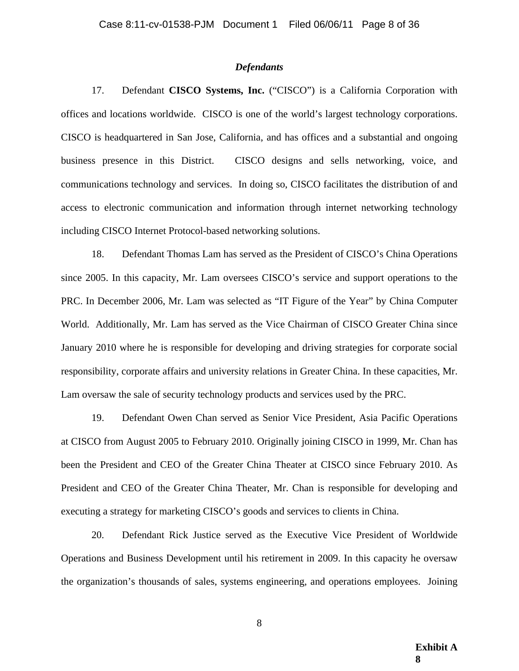## *Defendants*

17. Defendant **CISCO Systems, Inc.** ("CISCO") is a California Corporation with offices and locations worldwide. CISCO is one of the world's largest technology corporations. CISCO is headquartered in San Jose, California, and has offices and a substantial and ongoing business presence in this District. CISCO designs and sells networking, voice, and communications technology and services. In doing so, CISCO facilitates the distribution of and access to electronic communication and information through internet networking technology including CISCO Internet Protocol-based networking solutions.

18. Defendant Thomas Lam has served as the President of CISCO's China Operations since 2005. In this capacity, Mr. Lam oversees CISCO's service and support operations to the PRC. In December 2006, Mr. Lam was selected as "IT Figure of the Year" by China Computer World. Additionally, Mr. Lam has served as the Vice Chairman of CISCO Greater China since January 2010 where he is responsible for developing and driving strategies for corporate social responsibility, corporate affairs and university relations in Greater China. In these capacities, Mr. Lam oversaw the sale of security technology products and services used by the PRC.

19. Defendant Owen Chan served as Senior Vice President, Asia Pacific Operations at CISCO from August 2005 to February 2010. Originally joining CISCO in 1999, Mr. Chan has been the President and CEO of the Greater China Theater at CISCO since February 2010. As President and CEO of the Greater China Theater, Mr. Chan is responsible for developing and executing a strategy for marketing CISCO's goods and services to clients in China.

20. Defendant Rick Justice served as the Executive Vice President of Worldwide Operations and Business Development until his retirement in 2009. In this capacity he oversaw the organization's thousands of sales, systems engineering, and operations employees. Joining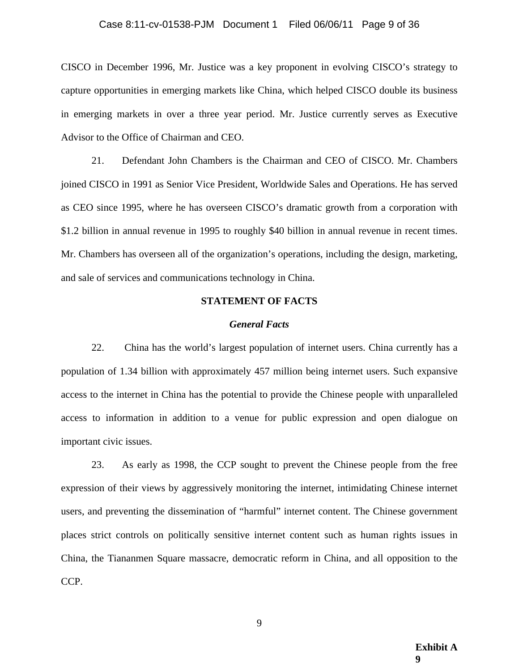#### Case 8:11-cv-01538-PJM Document 1 Filed 06/06/11 Page 9 of 36

CISCO in December 1996, Mr. Justice was a key proponent in evolving CISCO's strategy to capture opportunities in emerging markets like China, which helped CISCO double its business in emerging markets in over a three year period. Mr. Justice currently serves as Executive Advisor to the Office of Chairman and CEO.

21. Defendant John Chambers is the Chairman and CEO of CISCO. Mr. Chambers joined CISCO in 1991 as Senior Vice President, Worldwide Sales and Operations. He has served as CEO since 1995, where he has overseen CISCO's dramatic growth from a corporation with \$1.2 billion in annual revenue in 1995 to roughly \$40 billion in annual revenue in recent times. Mr. Chambers has overseen all of the organization's operations, including the design, marketing, and sale of services and communications technology in China.

# **STATEMENT OF FACTS**

#### *General Facts*

22. China has the world's largest population of internet users. China currently has a population of 1.34 billion with approximately 457 million being internet users. Such expansive access to the internet in China has the potential to provide the Chinese people with unparalleled access to information in addition to a venue for public expression and open dialogue on important civic issues.

23. As early as 1998, the CCP sought to prevent the Chinese people from the free expression of their views by aggressively monitoring the internet, intimidating Chinese internet users, and preventing the dissemination of "harmful" internet content. The Chinese government places strict controls on politically sensitive internet content such as human rights issues in China, the Tiananmen Square massacre, democratic reform in China, and all opposition to the CCP.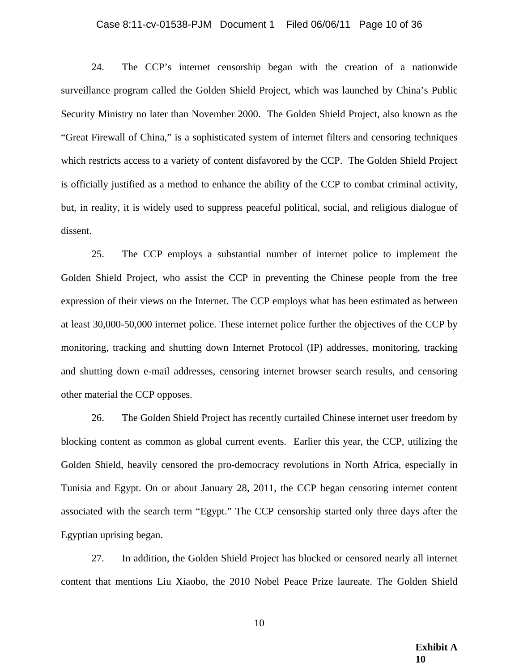# Case 8:11-cv-01538-PJM Document 1 Filed 06/06/11 Page 10 of 36

24. The CCP's internet censorship began with the creation of a nationwide surveillance program called the Golden Shield Project, which was launched by China's Public Security Ministry no later than November 2000. The Golden Shield Project, also known as the "Great Firewall of China," is a sophisticated system of internet filters and censoring techniques which restricts access to a variety of content disfavored by the CCP. The Golden Shield Project is officially justified as a method to enhance the ability of the CCP to combat criminal activity, but, in reality, it is widely used to suppress peaceful political, social, and religious dialogue of dissent.

25. The CCP employs a substantial number of internet police to implement the Golden Shield Project, who assist the CCP in preventing the Chinese people from the free expression of their views on the Internet. The CCP employs what has been estimated as between at least 30,000-50,000 internet police. These internet police further the objectives of the CCP by monitoring, tracking and shutting down Internet Protocol (IP) addresses, monitoring, tracking and shutting down e-mail addresses, censoring internet browser search results, and censoring other material the CCP opposes.

26. The Golden Shield Project has recently curtailed Chinese internet user freedom by blocking content as common as global current events. Earlier this year, the CCP, utilizing the Golden Shield, heavily censored the pro-democracy revolutions in North Africa, especially in Tunisia and Egypt. On or about January 28, 2011, the CCP began censoring internet content associated with the search term "Egypt." The CCP censorship started only three days after the Egyptian uprising began.

27. In addition, the Golden Shield Project has blocked or censored nearly all internet content that mentions Liu Xiaobo, the 2010 Nobel Peace Prize laureate. The Golden Shield

> **Exhibit A 10**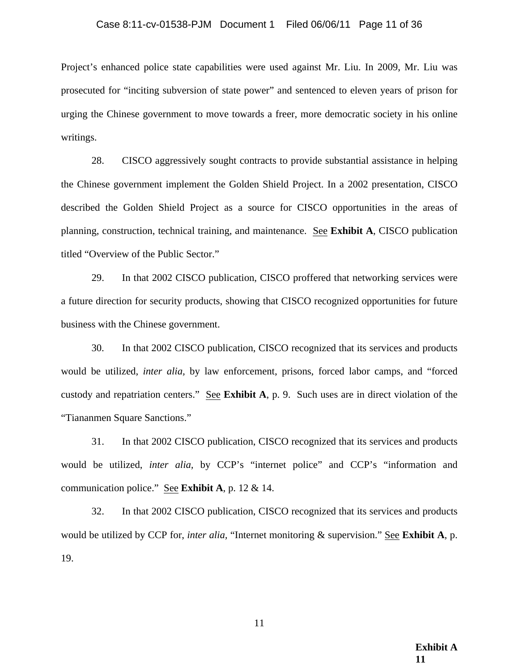### Case 8:11-cv-01538-PJM Document 1 Filed 06/06/11 Page 11 of 36

Project's enhanced police state capabilities were used against Mr. Liu. In 2009, Mr. Liu was prosecuted for "inciting subversion of state power" and sentenced to eleven years of prison for urging the Chinese government to move towards a freer, more democratic society in his online writings.

28. CISCO aggressively sought contracts to provide substantial assistance in helping the Chinese government implement the Golden Shield Project. In a 2002 presentation, CISCO described the Golden Shield Project as a source for CISCO opportunities in the areas of planning, construction, technical training, and maintenance. See **Exhibit A**, CISCO publication titled "Overview of the Public Sector."

29. In that 2002 CISCO publication, CISCO proffered that networking services were a future direction for security products, showing that CISCO recognized opportunities for future business with the Chinese government.

30. In that 2002 CISCO publication, CISCO recognized that its services and products would be utilized, *inter alia,* by law enforcement, prisons, forced labor camps, and "forced custody and repatriation centers." See **Exhibit A**, p. 9. Such uses are in direct violation of the "Tiananmen Square Sanctions."

31. In that 2002 CISCO publication, CISCO recognized that its services and products would be utilized, *inter alia,* by CCP's "internet police" and CCP's "information and communication police." See **Exhibit A**, p. 12 & 14.

32. In that 2002 CISCO publication, CISCO recognized that its services and products would be utilized by CCP for, *inter alia,* "Internet monitoring & supervision." See **Exhibit A**, p. 19.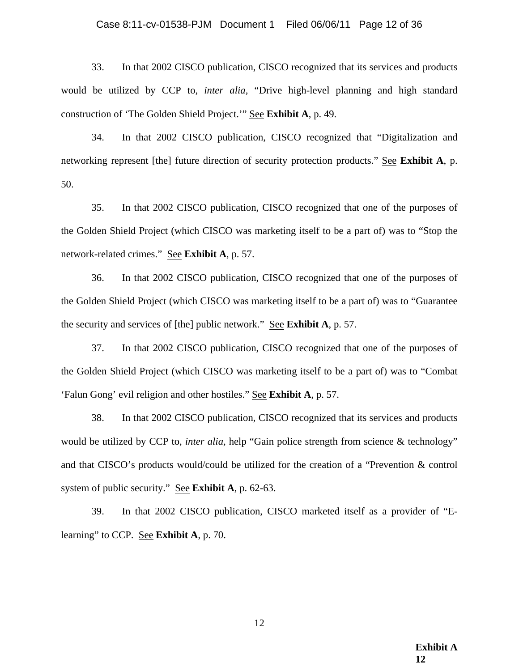## Case 8:11-cv-01538-PJM Document 1 Filed 06/06/11 Page 12 of 36

33. In that 2002 CISCO publication, CISCO recognized that its services and products would be utilized by CCP to, *inter alia,* "Drive high-level planning and high standard construction of 'The Golden Shield Project.'" See **Exhibit A**, p. 49.

34. In that 2002 CISCO publication, CISCO recognized that "Digitalization and networking represent [the] future direction of security protection products." See **Exhibit A**, p. 50.

35. In that 2002 CISCO publication, CISCO recognized that one of the purposes of the Golden Shield Project (which CISCO was marketing itself to be a part of) was to "Stop the network-related crimes." See **Exhibit A**, p. 57.

36. In that 2002 CISCO publication, CISCO recognized that one of the purposes of the Golden Shield Project (which CISCO was marketing itself to be a part of) was to "Guarantee the security and services of [the] public network." See **Exhibit A**, p. 57.

37. In that 2002 CISCO publication, CISCO recognized that one of the purposes of the Golden Shield Project (which CISCO was marketing itself to be a part of) was to "Combat 'Falun Gong' evil religion and other hostiles." See **Exhibit A**, p. 57.

38. In that 2002 CISCO publication, CISCO recognized that its services and products would be utilized by CCP to, *inter alia,* help "Gain police strength from science & technology" and that CISCO's products would/could be utilized for the creation of a "Prevention & control system of public security." See **Exhibit A**, p. 62-63.

39. In that 2002 CISCO publication, CISCO marketed itself as a provider of "Elearning" to CCP. See **Exhibit A**, p. 70.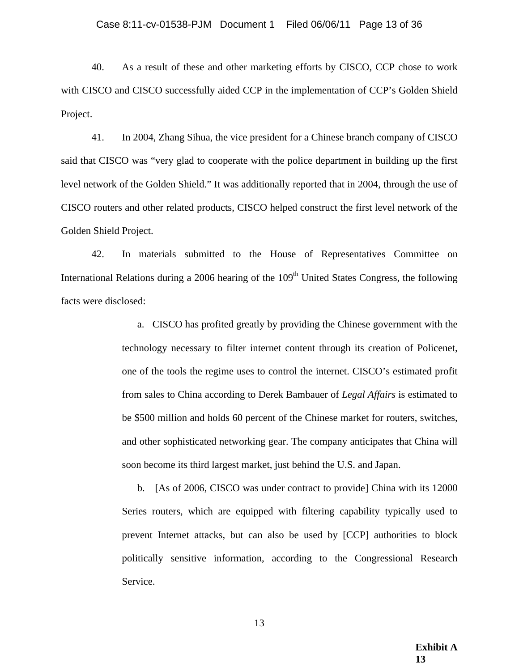## Case 8:11-cv-01538-PJM Document 1 Filed 06/06/11 Page 13 of 36

40. As a result of these and other marketing efforts by CISCO, CCP chose to work with CISCO and CISCO successfully aided CCP in the implementation of CCP's Golden Shield Project.

41. In 2004, Zhang Sihua, the vice president for a Chinese branch company of CISCO said that CISCO was "very glad to cooperate with the police department in building up the first level network of the Golden Shield." It was additionally reported that in 2004, through the use of CISCO routers and other related products, CISCO helped construct the first level network of the Golden Shield Project.

42. In materials submitted to the House of Representatives Committee on International Relations during a 2006 hearing of the 109<sup>th</sup> United States Congress, the following facts were disclosed:

> a. CISCO has profited greatly by providing the Chinese government with the technology necessary to filter internet content through its creation of Policenet, one of the tools the regime uses to control the internet. CISCO's estimated profit from sales to China according to Derek Bambauer of *Legal Affairs* is estimated to be \$500 million and holds 60 percent of the Chinese market for routers, switches, and other sophisticated networking gear. The company anticipates that China will soon become its third largest market, just behind the U.S. and Japan.

> b. [As of 2006, CISCO was under contract to provide] China with its 12000 Series routers, which are equipped with filtering capability typically used to prevent Internet attacks, but can also be used by [CCP] authorities to block politically sensitive information, according to the Congressional Research Service.

> > **Exhibit A 13**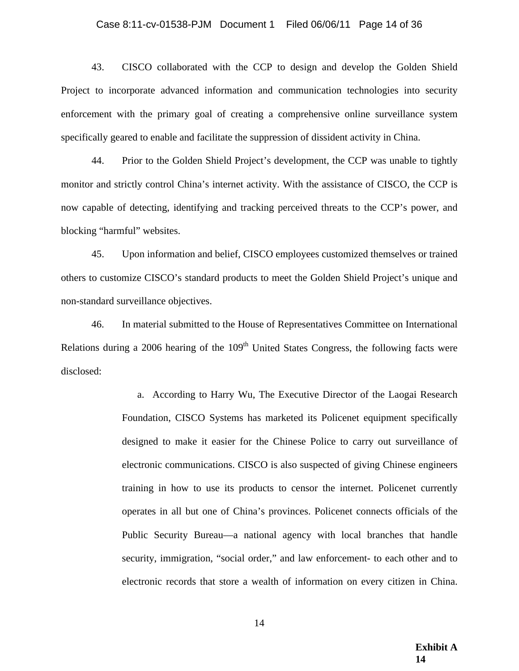# Case 8:11-cv-01538-PJM Document 1 Filed 06/06/11 Page 14 of 36

43. CISCO collaborated with the CCP to design and develop the Golden Shield Project to incorporate advanced information and communication technologies into security enforcement with the primary goal of creating a comprehensive online surveillance system specifically geared to enable and facilitate the suppression of dissident activity in China.

44. Prior to the Golden Shield Project's development, the CCP was unable to tightly monitor and strictly control China's internet activity. With the assistance of CISCO, the CCP is now capable of detecting, identifying and tracking perceived threats to the CCP's power, and blocking "harmful" websites.

45. Upon information and belief, CISCO employees customized themselves or trained others to customize CISCO's standard products to meet the Golden Shield Project's unique and non-standard surveillance objectives.

46. In material submitted to the House of Representatives Committee on International Relations during a 2006 hearing of the  $109<sup>th</sup>$  United States Congress, the following facts were disclosed:

> a. According to Harry Wu, The Executive Director of the Laogai Research Foundation, CISCO Systems has marketed its Policenet equipment specifically designed to make it easier for the Chinese Police to carry out surveillance of electronic communications. CISCO is also suspected of giving Chinese engineers training in how to use its products to censor the internet. Policenet currently operates in all but one of China's provinces. Policenet connects officials of the Public Security Bureau—a national agency with local branches that handle security, immigration, "social order," and law enforcement- to each other and to electronic records that store a wealth of information on every citizen in China.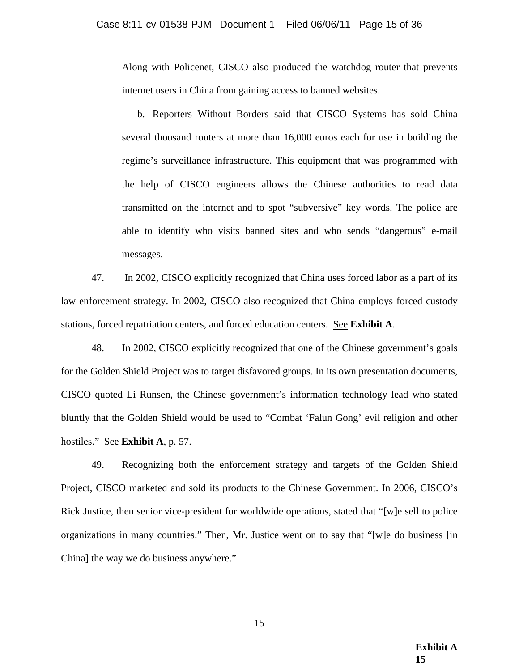Along with Policenet, CISCO also produced the watchdog router that prevents internet users in China from gaining access to banned websites.

b. Reporters Without Borders said that CISCO Systems has sold China several thousand routers at more than 16,000 euros each for use in building the regime's surveillance infrastructure. This equipment that was programmed with the help of CISCO engineers allows the Chinese authorities to read data transmitted on the internet and to spot "subversive" key words. The police are able to identify who visits banned sites and who sends "dangerous" e-mail messages.

47. In 2002, CISCO explicitly recognized that China uses forced labor as a part of its law enforcement strategy. In 2002, CISCO also recognized that China employs forced custody stations, forced repatriation centers, and forced education centers. See **Exhibit A**.

48. In 2002, CISCO explicitly recognized that one of the Chinese government's goals for the Golden Shield Project was to target disfavored groups. In its own presentation documents, CISCO quoted Li Runsen, the Chinese government's information technology lead who stated bluntly that the Golden Shield would be used to "Combat 'Falun Gong' evil religion and other hostiles." See **Exhibit A**, p. 57.

49. Recognizing both the enforcement strategy and targets of the Golden Shield Project, CISCO marketed and sold its products to the Chinese Government. In 2006, CISCO's Rick Justice, then senior vice-president for worldwide operations, stated that " $[w]e$  sell to police organizations in many countries." Then, Mr. Justice went on to say that "[w]e do business [in China] the way we do business anywhere."

> **Exhibit A 15**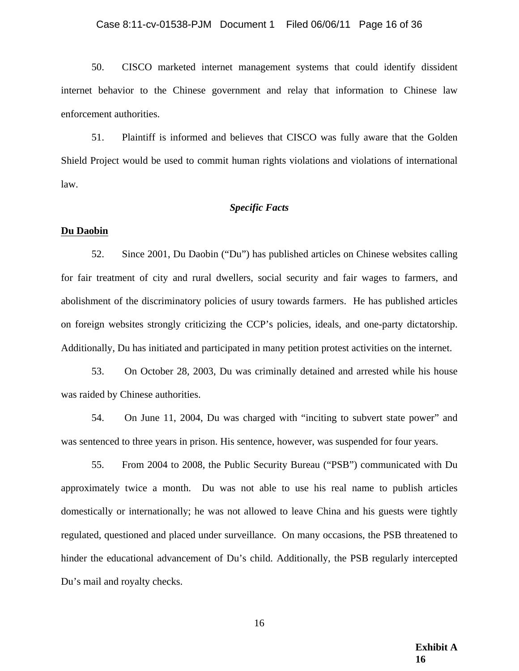## Case 8:11-cv-01538-PJM Document 1 Filed 06/06/11 Page 16 of 36

50. CISCO marketed internet management systems that could identify dissident internet behavior to the Chinese government and relay that information to Chinese law enforcement authorities.

51. Plaintiff is informed and believes that CISCO was fully aware that the Golden Shield Project would be used to commit human rights violations and violations of international law.

# *Specific Facts*

#### **Du Daobin**

52. Since 2001, Du Daobin ("Du") has published articles on Chinese websites calling for fair treatment of city and rural dwellers, social security and fair wages to farmers, and abolishment of the discriminatory policies of usury towards farmers. He has published articles on foreign websites strongly criticizing the CCP's policies, ideals, and one-party dictatorship. Additionally, Du has initiated and participated in many petition protest activities on the internet.

53. On October 28, 2003, Du was criminally detained and arrested while his house was raided by Chinese authorities.

54. On June 11, 2004, Du was charged with "inciting to subvert state power" and was sentenced to three years in prison. His sentence, however, was suspended for four years.

55. From 2004 to 2008, the Public Security Bureau ("PSB") communicated with Du approximately twice a month. Du was not able to use his real name to publish articles domestically or internationally; he was not allowed to leave China and his guests were tightly regulated, questioned and placed under surveillance. On many occasions, the PSB threatened to hinder the educational advancement of Du's child. Additionally, the PSB regularly intercepted Du's mail and royalty checks.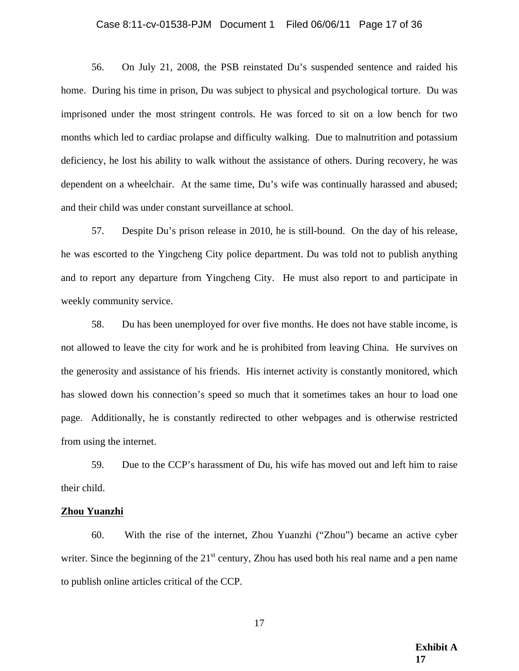# Case 8:11-cv-01538-PJM Document 1 Filed 06/06/11 Page 17 of 36

56. On July 21, 2008, the PSB reinstated Du's suspended sentence and raided his home. During his time in prison, Du was subject to physical and psychological torture. Du was imprisoned under the most stringent controls. He was forced to sit on a low bench for two months which led to cardiac prolapse and difficulty walking. Due to malnutrition and potassium deficiency, he lost his ability to walk without the assistance of others. During recovery, he was dependent on a wheelchair. At the same time, Du's wife was continually harassed and abused; and their child was under constant surveillance at school.

57. Despite Du's prison release in 2010, he is still-bound. On the day of his release, he was escorted to the Yingcheng City police department. Du was told not to publish anything and to report any departure from Yingcheng City. He must also report to and participate in weekly community service.

58. Du has been unemployed for over five months. He does not have stable income, is not allowed to leave the city for work and he is prohibited from leaving China. He survives on the generosity and assistance of his friends. His internet activity is constantly monitored, which has slowed down his connection's speed so much that it sometimes takes an hour to load one page. Additionally, he is constantly redirected to other webpages and is otherwise restricted from using the internet.

59. Due to the CCP's harassment of Du, his wife has moved out and left him to raise their child.

#### **Zhou Yuanzhi**

60. With the rise of the internet, Zhou Yuanzhi ("Zhou") became an active cyber writer. Since the beginning of the  $21<sup>st</sup>$  century, Zhou has used both his real name and a pen name to publish online articles critical of the CCP.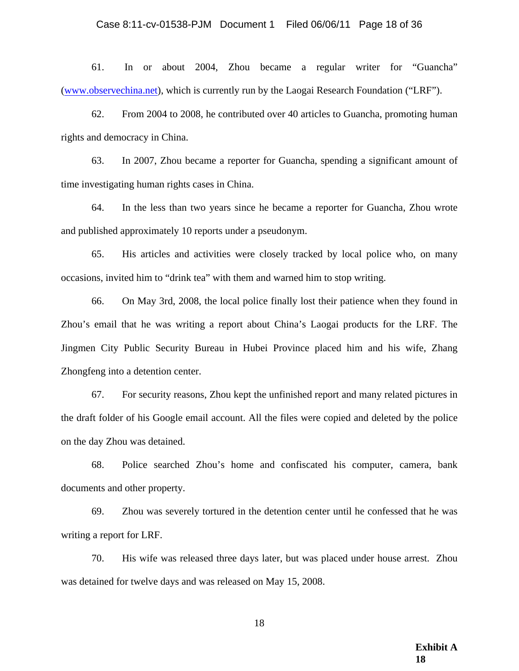### Case 8:11-cv-01538-PJM Document 1 Filed 06/06/11 Page 18 of 36

61. In or about 2004, Zhou became a regular writer for "Guancha" (www.observechina.net), which is currently run by the Laogai Research Foundation ("LRF").

62. From 2004 to 2008, he contributed over 40 articles to Guancha, promoting human rights and democracy in China.

63. In 2007, Zhou became a reporter for Guancha, spending a significant amount of time investigating human rights cases in China.

64. In the less than two years since he became a reporter for Guancha, Zhou wrote and published approximately 10 reports under a pseudonym.

65. His articles and activities were closely tracked by local police who, on many occasions, invited him to "drink tea" with them and warned him to stop writing.

66. On May 3rd, 2008, the local police finally lost their patience when they found in Zhou's email that he was writing a report about China's Laogai products for the LRF. The Jingmen City Public Security Bureau in Hubei Province placed him and his wife, Zhang Zhongfeng into a detention center.

67. For security reasons, Zhou kept the unfinished report and many related pictures in the draft folder of his Google email account. All the files were copied and deleted by the police on the day Zhou was detained.

68. Police searched Zhou's home and confiscated his computer, camera, bank documents and other property.

69. Zhou was severely tortured in the detention center until he confessed that he was writing a report for LRF.

70. His wife was released three days later, but was placed under house arrest. Zhou was detained for twelve days and was released on May 15, 2008.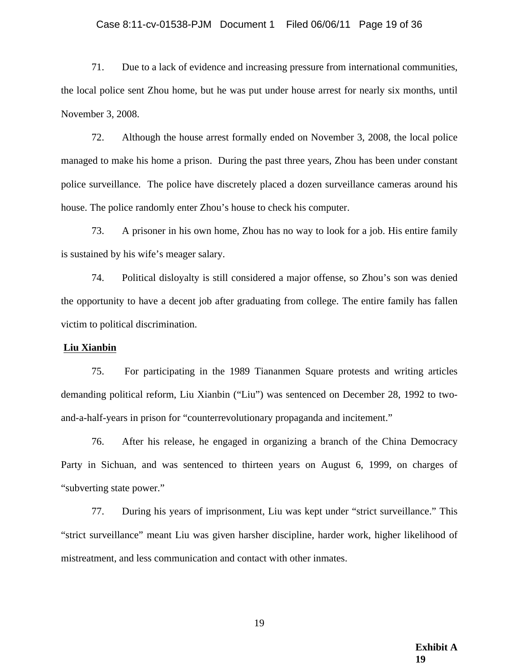## Case 8:11-cv-01538-PJM Document 1 Filed 06/06/11 Page 19 of 36

71. Due to a lack of evidence and increasing pressure from international communities, the local police sent Zhou home, but he was put under house arrest for nearly six months, until November 3, 2008.

72. Although the house arrest formally ended on November 3, 2008, the local police managed to make his home a prison. During the past three years, Zhou has been under constant police surveillance. The police have discretely placed a dozen surveillance cameras around his house. The police randomly enter Zhou's house to check his computer.

73. A prisoner in his own home, Zhou has no way to look for a job. His entire family is sustained by his wife's meager salary.

74. Political disloyalty is still considered a major offense, so Zhou's son was denied the opportunity to have a decent job after graduating from college. The entire family has fallen victim to political discrimination.

#### **Liu Xianbin**

75. For participating in the 1989 Tiananmen Square protests and writing articles demanding political reform, Liu Xianbin ("Liu") was sentenced on December 28, 1992 to twoand-a-half-years in prison for "counterrevolutionary propaganda and incitement."

76. After his release, he engaged in organizing a branch of the China Democracy Party in Sichuan, and was sentenced to thirteen years on August 6, 1999, on charges of "subverting state power."

77. During his years of imprisonment, Liu was kept under "strict surveillance." This "strict surveillance" meant Liu was given harsher discipline, harder work, higher likelihood of mistreatment, and less communication and contact with other inmates.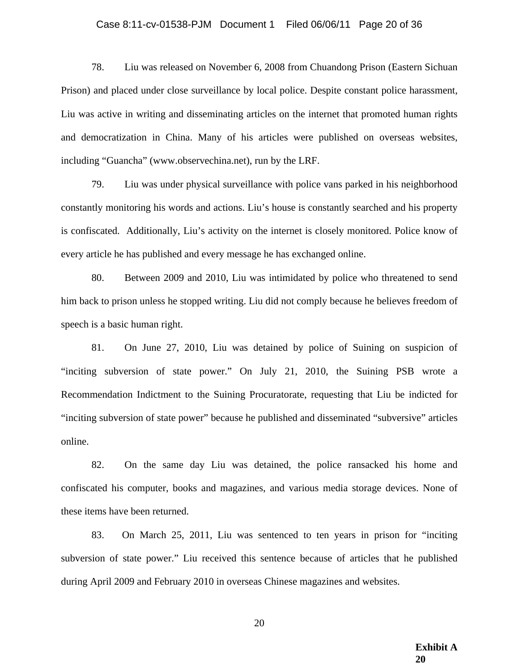# Case 8:11-cv-01538-PJM Document 1 Filed 06/06/11 Page 20 of 36

78. Liu was released on November 6, 2008 from Chuandong Prison (Eastern Sichuan Prison) and placed under close surveillance by local police. Despite constant police harassment, Liu was active in writing and disseminating articles on the internet that promoted human rights and democratization in China. Many of his articles were published on overseas websites, including "Guancha" (www.observechina.net), run by the LRF.

79. Liu was under physical surveillance with police vans parked in his neighborhood constantly monitoring his words and actions. Liu's house is constantly searched and his property is confiscated. Additionally, Liu's activity on the internet is closely monitored. Police know of every article he has published and every message he has exchanged online.

80. Between 2009 and 2010, Liu was intimidated by police who threatened to send him back to prison unless he stopped writing. Liu did not comply because he believes freedom of speech is a basic human right.

81. On June 27, 2010, Liu was detained by police of Suining on suspicion of "inciting subversion of state power." On July 21, 2010, the Suining PSB wrote a Recommendation Indictment to the Suining Procuratorate, requesting that Liu be indicted for "inciting subversion of state power" because he published and disseminated "subversive" articles online.

82. On the same day Liu was detained, the police ransacked his home and confiscated his computer, books and magazines, and various media storage devices. None of these items have been returned.

83. On March 25, 2011, Liu was sentenced to ten years in prison for "inciting subversion of state power." Liu received this sentence because of articles that he published during April 2009 and February 2010 in overseas Chinese magazines and websites.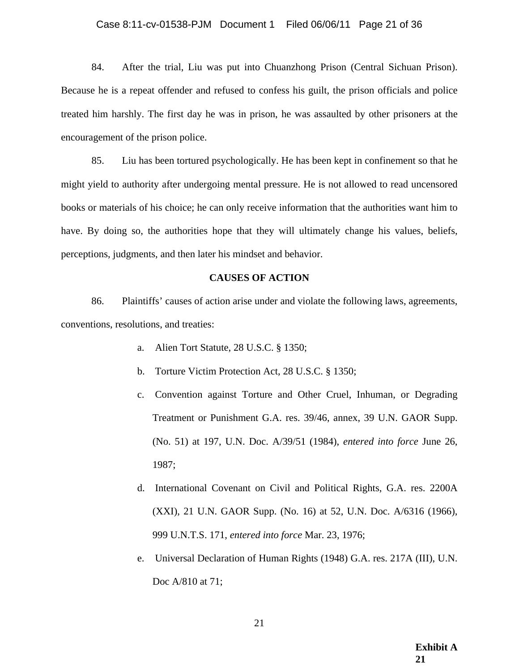# Case 8:11-cv-01538-PJM Document 1 Filed 06/06/11 Page 21 of 36

84. After the trial, Liu was put into Chuanzhong Prison (Central Sichuan Prison). Because he is a repeat offender and refused to confess his guilt, the prison officials and police treated him harshly. The first day he was in prison, he was assaulted by other prisoners at the encouragement of the prison police.

85. Liu has been tortured psychologically. He has been kept in confinement so that he might yield to authority after undergoing mental pressure. He is not allowed to read uncensored books or materials of his choice; he can only receive information that the authorities want him to have. By doing so, the authorities hope that they will ultimately change his values, beliefs, perceptions, judgments, and then later his mindset and behavior.

## **CAUSES OF ACTION**

86. Plaintiffs' causes of action arise under and violate the following laws, agreements, conventions, resolutions, and treaties:

- a. Alien Tort Statute, 28 U.S.C. § 1350;
- b. Torture Victim Protection Act, 28 U.S.C. § 1350;
- c. Convention against Torture and Other Cruel, Inhuman, or Degrading Treatment or Punishment G.A. res. 39/46, annex, 39 U.N. GAOR Supp. (No. 51) at 197, U.N. Doc. A/39/51 (1984), *entered into force* June 26, 1987;
- d. International Covenant on Civil and Political Rights, G.A. res. 2200A (XXI), 21 U.N. GAOR Supp. (No. 16) at 52, U.N. Doc. A/6316 (1966), 999 U.N.T.S. 171, *entered into force* Mar. 23, 1976;
- e. Universal Declaration of Human Rights (1948) G.A. res. 217A (III), U.N. Doc A/810 at 71;

**Exhibit A 21**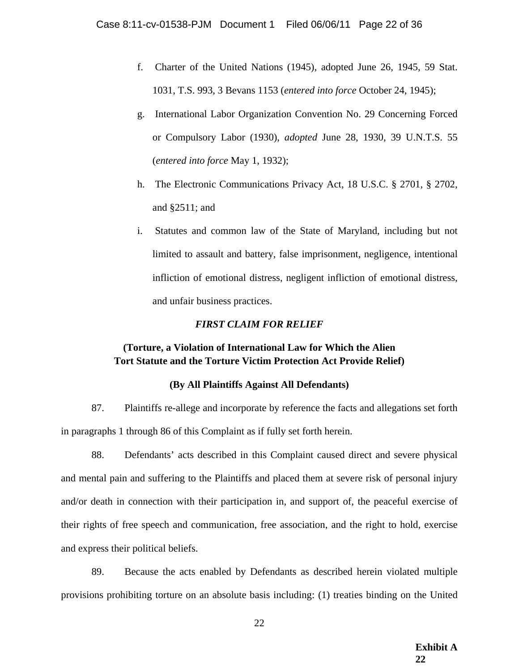- f. Charter of the United Nations (1945), adopted June 26, 1945, 59 Stat. 1031, T.S. 993, 3 Bevans 1153 (*entered into force* October 24, 1945);
- g. International Labor Organization Convention No. 29 Concerning Forced or Compulsory Labor (1930), *adopted* June 28, 1930, 39 U.N.T.S. 55 (*entered into force* May 1, 1932);
- h. The Electronic Communications Privacy Act, 18 U.S.C. § 2701, § 2702, and §2511; and
- i. Statutes and common law of the State of Maryland, including but not limited to assault and battery, false imprisonment, negligence, intentional infliction of emotional distress, negligent infliction of emotional distress, and unfair business practices.

# *FIRST CLAIM FOR RELIEF*

# **(Torture, a Violation of International Law for Which the Alien Tort Statute and the Torture Victim Protection Act Provide Relief)**

# **(By All Plaintiffs Against All Defendants)**

87. Plaintiffs re-allege and incorporate by reference the facts and allegations set forth in paragraphs 1 through 86 of this Complaint as if fully set forth herein.

88. Defendants' acts described in this Complaint caused direct and severe physical and mental pain and suffering to the Plaintiffs and placed them at severe risk of personal injury and/or death in connection with their participation in, and support of, the peaceful exercise of their rights of free speech and communication, free association, and the right to hold, exercise and express their political beliefs.

89. Because the acts enabled by Defendants as described herein violated multiple provisions prohibiting torture on an absolute basis including: (1) treaties binding on the United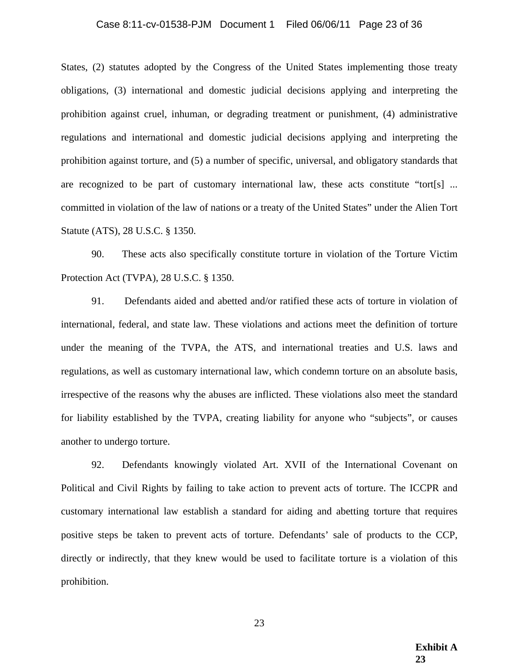# Case 8:11-cv-01538-PJM Document 1 Filed 06/06/11 Page 23 of 36

States, (2) statutes adopted by the Congress of the United States implementing those treaty obligations, (3) international and domestic judicial decisions applying and interpreting the prohibition against cruel, inhuman, or degrading treatment or punishment, (4) administrative regulations and international and domestic judicial decisions applying and interpreting the prohibition against torture, and (5) a number of specific, universal, and obligatory standards that are recognized to be part of customary international law, these acts constitute "tort $[s]$  ... committed in violation of the law of nations or a treaty of the United States" under the Alien Tort Statute (ATS), 28 U.S.C. § 1350.

90. These acts also specifically constitute torture in violation of the Torture Victim Protection Act (TVPA), 28 U.S.C. § 1350.

91. Defendants aided and abetted and/or ratified these acts of torture in violation of international, federal, and state law. These violations and actions meet the definition of torture under the meaning of the TVPA, the ATS, and international treaties and U.S. laws and regulations, as well as customary international law, which condemn torture on an absolute basis, irrespective of the reasons why the abuses are inflicted. These violations also meet the standard for liability established by the TVPA, creating liability for anyone who "subjects", or causes another to undergo torture.

92. Defendants knowingly violated Art. XVII of the International Covenant on Political and Civil Rights by failing to take action to prevent acts of torture. The ICCPR and customary international law establish a standard for aiding and abetting torture that requires positive steps be taken to prevent acts of torture. Defendants' sale of products to the CCP, directly or indirectly, that they knew would be used to facilitate torture is a violation of this prohibition.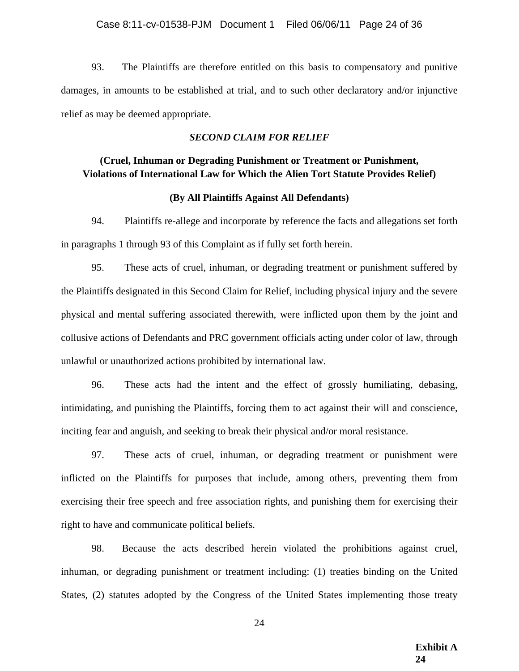93. The Plaintiffs are therefore entitled on this basis to compensatory and punitive damages, in amounts to be established at trial, and to such other declaratory and/or injunctive relief as may be deemed appropriate.

# *SECOND CLAIM FOR RELIEF*

# **(Cruel, Inhuman or Degrading Punishment or Treatment or Punishment, Violations of International Law for Which the Alien Tort Statute Provides Relief)**

# **(By All Plaintiffs Against All Defendants)**

94. Plaintiffs re-allege and incorporate by reference the facts and allegations set forth in paragraphs 1 through 93 of this Complaint as if fully set forth herein.

95. These acts of cruel, inhuman, or degrading treatment or punishment suffered by the Plaintiffs designated in this Second Claim for Relief, including physical injury and the severe physical and mental suffering associated therewith, were inflicted upon them by the joint and collusive actions of Defendants and PRC government officials acting under color of law, through unlawful or unauthorized actions prohibited by international law.

96. These acts had the intent and the effect of grossly humiliating, debasing, intimidating, and punishing the Plaintiffs, forcing them to act against their will and conscience, inciting fear and anguish, and seeking to break their physical and/or moral resistance.

97. These acts of cruel, inhuman, or degrading treatment or punishment were inflicted on the Plaintiffs for purposes that include, among others, preventing them from exercising their free speech and free association rights, and punishing them for exercising their right to have and communicate political beliefs.

98. Because the acts described herein violated the prohibitions against cruel, inhuman, or degrading punishment or treatment including: (1) treaties binding on the United States, (2) statutes adopted by the Congress of the United States implementing those treaty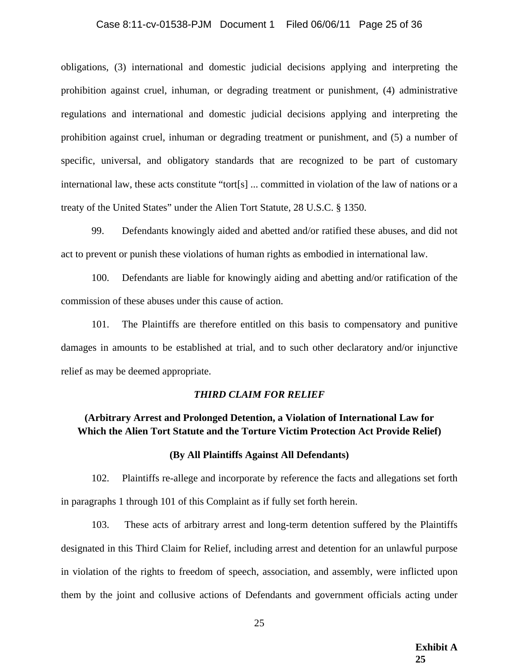# Case 8:11-cv-01538-PJM Document 1 Filed 06/06/11 Page 25 of 36

obligations, (3) international and domestic judicial decisions applying and interpreting the prohibition against cruel, inhuman, or degrading treatment or punishment, (4) administrative regulations and international and domestic judicial decisions applying and interpreting the prohibition against cruel, inhuman or degrading treatment or punishment, and (5) a number of specific, universal, and obligatory standards that are recognized to be part of customary international law, these acts constitute "tort[s] ... committed in violation of the law of nations or a treaty of the United States" under the Alien Tort Statute, 28 U.S.C. § 1350.

99. Defendants knowingly aided and abetted and/or ratified these abuses, and did not act to prevent or punish these violations of human rights as embodied in international law.

100. Defendants are liable for knowingly aiding and abetting and/or ratification of the commission of these abuses under this cause of action.

101. The Plaintiffs are therefore entitled on this basis to compensatory and punitive damages in amounts to be established at trial, and to such other declaratory and/or injunctive relief as may be deemed appropriate.

#### *THIRD CLAIM FOR RELIEF*

# **(Arbitrary Arrest and Prolonged Detention, a Violation of International Law for Which the Alien Tort Statute and the Torture Victim Protection Act Provide Relief)**

#### **(By All Plaintiffs Against All Defendants)**

102. Plaintiffs re-allege and incorporate by reference the facts and allegations set forth in paragraphs 1 through 101 of this Complaint as if fully set forth herein.

103. These acts of arbitrary arrest and long-term detention suffered by the Plaintiffs designated in this Third Claim for Relief, including arrest and detention for an unlawful purpose in violation of the rights to freedom of speech, association, and assembly, were inflicted upon them by the joint and collusive actions of Defendants and government officials acting under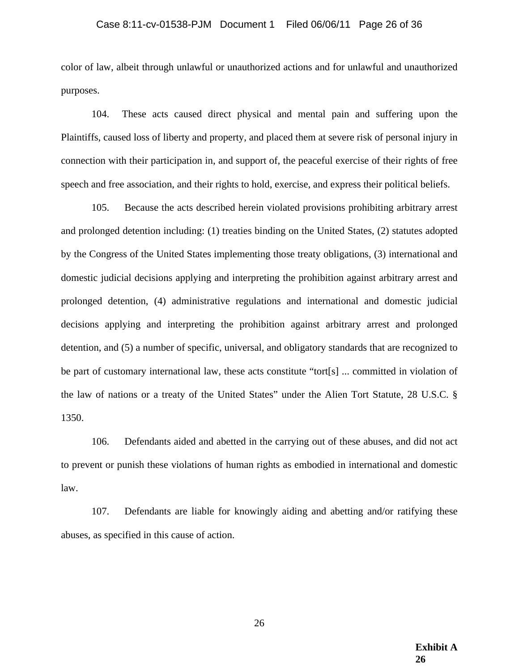# Case 8:11-cv-01538-PJM Document 1 Filed 06/06/11 Page 26 of 36

color of law, albeit through unlawful or unauthorized actions and for unlawful and unauthorized purposes.

104. These acts caused direct physical and mental pain and suffering upon the Plaintiffs, caused loss of liberty and property, and placed them at severe risk of personal injury in connection with their participation in, and support of, the peaceful exercise of their rights of free speech and free association, and their rights to hold, exercise, and express their political beliefs.

105. Because the acts described herein violated provisions prohibiting arbitrary arrest and prolonged detention including: (1) treaties binding on the United States, (2) statutes adopted by the Congress of the United States implementing those treaty obligations, (3) international and domestic judicial decisions applying and interpreting the prohibition against arbitrary arrest and prolonged detention, (4) administrative regulations and international and domestic judicial decisions applying and interpreting the prohibition against arbitrary arrest and prolonged detention, and (5) a number of specific, universal, and obligatory standards that are recognized to be part of customary international law, these acts constitute "tort[s] ... committed in violation of the law of nations or a treaty of the United States" under the Alien Tort Statute, 28 U.S.C. § 1350.

106. Defendants aided and abetted in the carrying out of these abuses, and did not act to prevent or punish these violations of human rights as embodied in international and domestic law.

107. Defendants are liable for knowingly aiding and abetting and/or ratifying these abuses, as specified in this cause of action.

> **Exhibit A 26**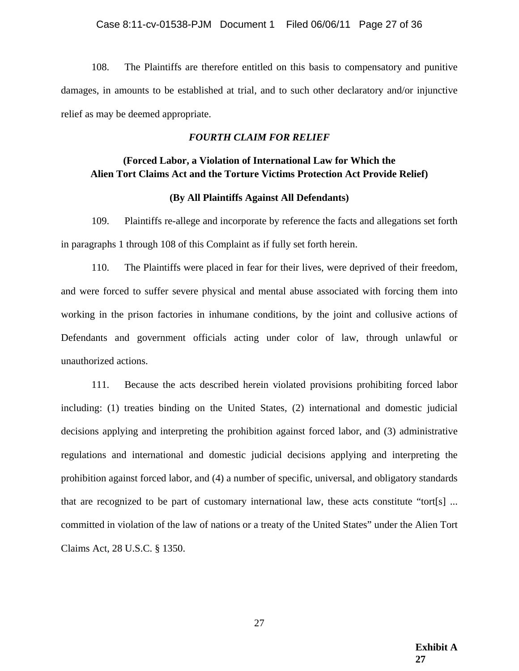108. The Plaintiffs are therefore entitled on this basis to compensatory and punitive damages, in amounts to be established at trial, and to such other declaratory and/or injunctive relief as may be deemed appropriate.

# *FOURTH CLAIM FOR RELIEF*

# **(Forced Labor, a Violation of International Law for Which the Alien Tort Claims Act and the Torture Victims Protection Act Provide Relief)**

# **(By All Plaintiffs Against All Defendants)**

109. Plaintiffs re-allege and incorporate by reference the facts and allegations set forth in paragraphs 1 through 108 of this Complaint as if fully set forth herein.

110. The Plaintiffs were placed in fear for their lives, were deprived of their freedom, and were forced to suffer severe physical and mental abuse associated with forcing them into working in the prison factories in inhumane conditions, by the joint and collusive actions of Defendants and government officials acting under color of law, through unlawful or unauthorized actions.

111. Because the acts described herein violated provisions prohibiting forced labor including: (1) treaties binding on the United States, (2) international and domestic judicial decisions applying and interpreting the prohibition against forced labor, and (3) administrative regulations and international and domestic judicial decisions applying and interpreting the prohibition against forced labor, and (4) a number of specific, universal, and obligatory standards that are recognized to be part of customary international law, these acts constitute "tort[s] ... committed in violation of the law of nations or a treaty of the United States" under the Alien Tort Claims Act, 28 U.S.C. § 1350.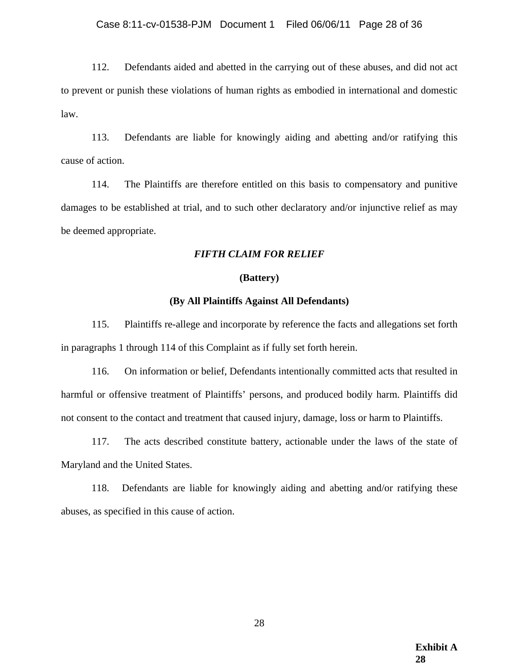# Case 8:11-cv-01538-PJM Document 1 Filed 06/06/11 Page 28 of 36

112. Defendants aided and abetted in the carrying out of these abuses, and did not act to prevent or punish these violations of human rights as embodied in international and domestic law.

113. Defendants are liable for knowingly aiding and abetting and/or ratifying this cause of action.

114. The Plaintiffs are therefore entitled on this basis to compensatory and punitive damages to be established at trial, and to such other declaratory and/or injunctive relief as may be deemed appropriate.

# *FIFTH CLAIM FOR RELIEF*

#### **(Battery)**

# **(By All Plaintiffs Against All Defendants)**

115. Plaintiffs re-allege and incorporate by reference the facts and allegations set forth in paragraphs 1 through 114 of this Complaint as if fully set forth herein.

116. On information or belief, Defendants intentionally committed acts that resulted in harmful or offensive treatment of Plaintiffs' persons, and produced bodily harm. Plaintiffs did not consent to the contact and treatment that caused injury, damage, loss or harm to Plaintiffs.

117. The acts described constitute battery, actionable under the laws of the state of Maryland and the United States.

118. Defendants are liable for knowingly aiding and abetting and/or ratifying these abuses, as specified in this cause of action.

> **Exhibit A 28**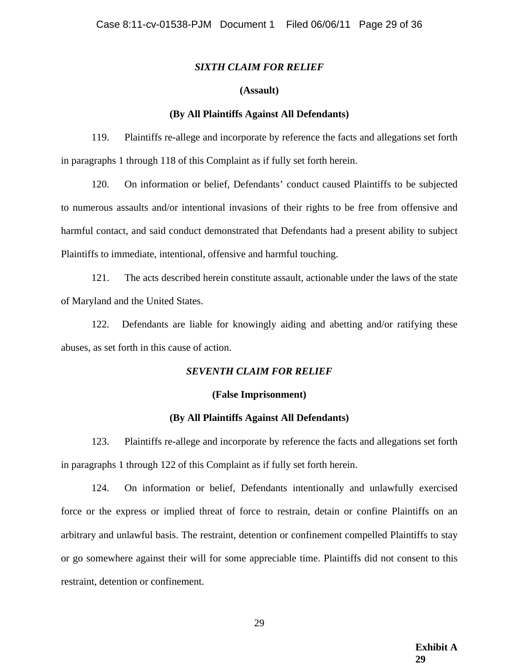# *SIXTH CLAIM FOR RELIEF*

# **(Assault)**

#### **(By All Plaintiffs Against All Defendants)**

119. Plaintiffs re-allege and incorporate by reference the facts and allegations set forth in paragraphs 1 through 118 of this Complaint as if fully set forth herein.

120. On information or belief, Defendants' conduct caused Plaintiffs to be subjected to numerous assaults and/or intentional invasions of their rights to be free from offensive and harmful contact, and said conduct demonstrated that Defendants had a present ability to subject Plaintiffs to immediate, intentional, offensive and harmful touching.

121. The acts described herein constitute assault, actionable under the laws of the state of Maryland and the United States.

122. Defendants are liable for knowingly aiding and abetting and/or ratifying these abuses, as set forth in this cause of action.

#### *SEVENTH CLAIM FOR RELIEF*

#### **(False Imprisonment)**

#### **(By All Plaintiffs Against All Defendants)**

123. Plaintiffs re-allege and incorporate by reference the facts and allegations set forth in paragraphs 1 through 122 of this Complaint as if fully set forth herein.

124. On information or belief, Defendants intentionally and unlawfully exercised force or the express or implied threat of force to restrain, detain or confine Plaintiffs on an arbitrary and unlawful basis. The restraint, detention or confinement compelled Plaintiffs to stay or go somewhere against their will for some appreciable time. Plaintiffs did not consent to this restraint, detention or confinement.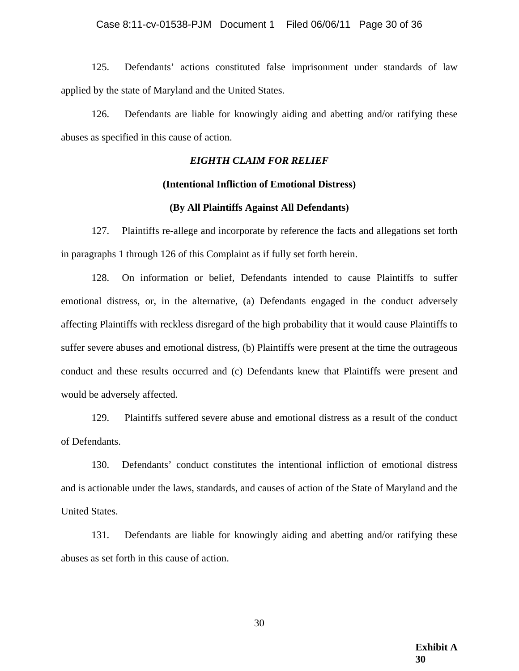### Case 8:11-cv-01538-PJM Document 1 Filed 06/06/11 Page 30 of 36

125. Defendants' actions constituted false imprisonment under standards of law applied by the state of Maryland and the United States.

126. Defendants are liable for knowingly aiding and abetting and/or ratifying these abuses as specified in this cause of action.

# *EIGHTH CLAIM FOR RELIEF*

## **(Intentional Infliction of Emotional Distress)**

# **(By All Plaintiffs Against All Defendants)**

127. Plaintiffs re-allege and incorporate by reference the facts and allegations set forth in paragraphs 1 through 126 of this Complaint as if fully set forth herein.

128. On information or belief, Defendants intended to cause Plaintiffs to suffer emotional distress, or, in the alternative, (a) Defendants engaged in the conduct adversely affecting Plaintiffs with reckless disregard of the high probability that it would cause Plaintiffs to suffer severe abuses and emotional distress, (b) Plaintiffs were present at the time the outrageous conduct and these results occurred and (c) Defendants knew that Plaintiffs were present and would be adversely affected.

129. Plaintiffs suffered severe abuse and emotional distress as a result of the conduct of Defendants.

130. Defendants' conduct constitutes the intentional infliction of emotional distress and is actionable under the laws, standards, and causes of action of the State of Maryland and the United States.

131. Defendants are liable for knowingly aiding and abetting and/or ratifying these abuses as set forth in this cause of action.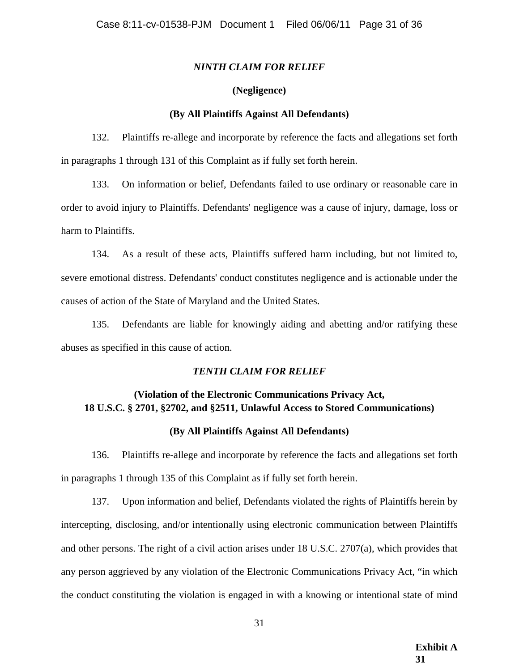# *NINTH CLAIM FOR RELIEF*

# **(Negligence)**

# **(By All Plaintiffs Against All Defendants)**

132. Plaintiffs re-allege and incorporate by reference the facts and allegations set forth in paragraphs 1 through 131 of this Complaint as if fully set forth herein.

133. On information or belief, Defendants failed to use ordinary or reasonable care in order to avoid injury to Plaintiffs. Defendants' negligence was a cause of injury, damage, loss or harm to Plaintiffs.

134. As a result of these acts, Plaintiffs suffered harm including, but not limited to, severe emotional distress. Defendants' conduct constitutes negligence and is actionable under the causes of action of the State of Maryland and the United States.

135. Defendants are liable for knowingly aiding and abetting and/or ratifying these abuses as specified in this cause of action.

# *TENTH CLAIM FOR RELIEF*

# **(Violation of the Electronic Communications Privacy Act, 18 U.S.C. § 2701, §2702, and §2511, Unlawful Access to Stored Communications)**

# **(By All Plaintiffs Against All Defendants)**

136. Plaintiffs re-allege and incorporate by reference the facts and allegations set forth in paragraphs 1 through 135 of this Complaint as if fully set forth herein.

137. Upon information and belief, Defendants violated the rights of Plaintiffs herein by intercepting, disclosing, and/or intentionally using electronic communication between Plaintiffs and other persons. The right of a civil action arises under 18 U.S.C. 2707(a), which provides that any person aggrieved by any violation of the Electronic Communications Privacy Act, "in which the conduct constituting the violation is engaged in with a knowing or intentional state of mind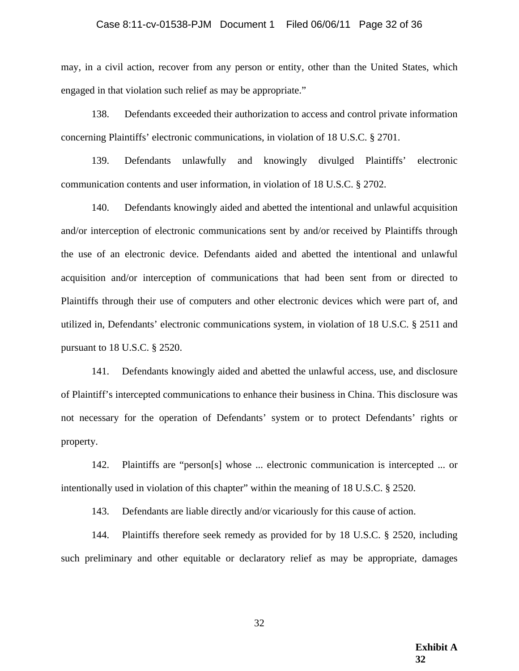#### Case 8:11-cv-01538-PJM Document 1 Filed 06/06/11 Page 32 of 36

may, in a civil action, recover from any person or entity, other than the United States, which engaged in that violation such relief as may be appropriate."

138. Defendants exceeded their authorization to access and control private information concerning Plaintiffs' electronic communications, in violation of 18 U.S.C. § 2701.

139. Defendants unlawfully and knowingly divulged Plaintiffs' electronic communication contents and user information, in violation of 18 U.S.C. § 2702.

140. Defendants knowingly aided and abetted the intentional and unlawful acquisition and/or interception of electronic communications sent by and/or received by Plaintiffs through the use of an electronic device. Defendants aided and abetted the intentional and unlawful acquisition and/or interception of communications that had been sent from or directed to Plaintiffs through their use of computers and other electronic devices which were part of, and utilized in, Defendants' electronic communications system, in violation of 18 U.S.C. § 2511 and pursuant to 18 U.S.C. § 2520.

141. Defendants knowingly aided and abetted the unlawful access, use, and disclosure of Plaintiff's intercepted communications to enhance their business in China. This disclosure was not necessary for the operation of Defendants' system or to protect Defendants' rights or property.

142. Plaintiffs are "person[s] whose ... electronic communication is intercepted ... or intentionally used in violation of this chapter" within the meaning of 18 U.S.C. § 2520.

143. Defendants are liable directly and/or vicariously for this cause of action.

144. Plaintiffs therefore seek remedy as provided for by 18 U.S.C. § 2520, including such preliminary and other equitable or declaratory relief as may be appropriate, damages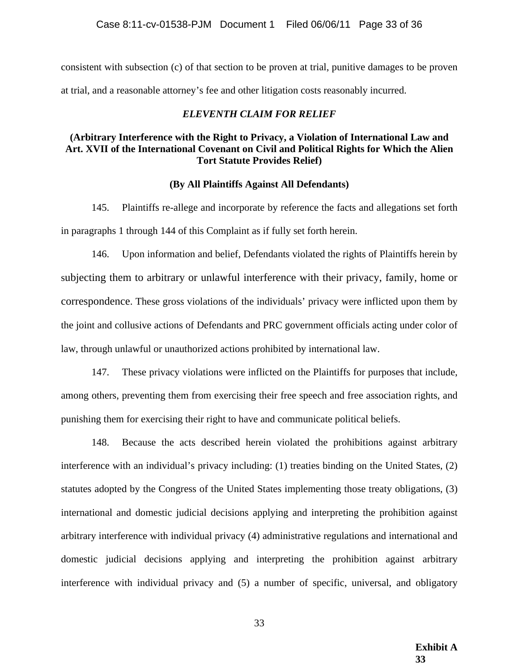consistent with subsection (c) of that section to be proven at trial, punitive damages to be proven at trial, and a reasonable attorney's fee and other litigation costs reasonably incurred.

# *ELEVENTH CLAIM FOR RELIEF*

# **(Arbitrary Interference with the Right to Privacy, a Violation of International Law and Art. XVII of the International Covenant on Civil and Political Rights for Which the Alien Tort Statute Provides Relief)**

# **(By All Plaintiffs Against All Defendants)**

145. Plaintiffs re-allege and incorporate by reference the facts and allegations set forth in paragraphs 1 through 144 of this Complaint as if fully set forth herein.

146. Upon information and belief, Defendants violated the rights of Plaintiffs herein by subjecting them to arbitrary or unlawful interference with their privacy, family, home or correspondence. These gross violations of the individuals' privacy were inflicted upon them by the joint and collusive actions of Defendants and PRC government officials acting under color of law, through unlawful or unauthorized actions prohibited by international law.

147. These privacy violations were inflicted on the Plaintiffs for purposes that include, among others, preventing them from exercising their free speech and free association rights, and punishing them for exercising their right to have and communicate political beliefs.

148. Because the acts described herein violated the prohibitions against arbitrary interference with an individual's privacy including: (1) treaties binding on the United States, (2) statutes adopted by the Congress of the United States implementing those treaty obligations, (3) international and domestic judicial decisions applying and interpreting the prohibition against arbitrary interference with individual privacy (4) administrative regulations and international and domestic judicial decisions applying and interpreting the prohibition against arbitrary interference with individual privacy and (5) a number of specific, universal, and obligatory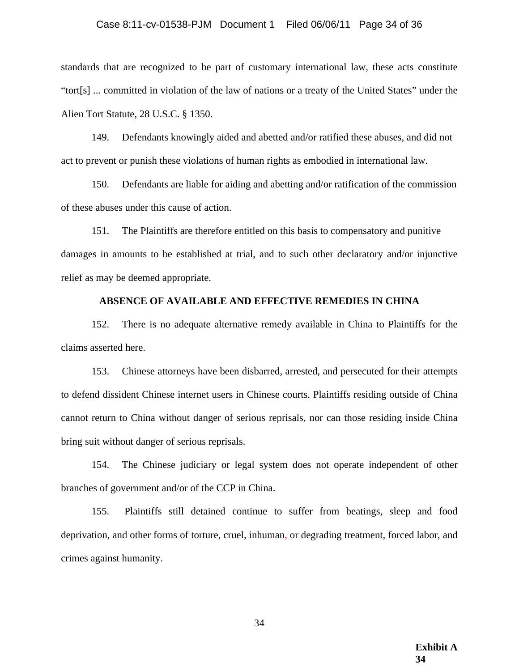#### Case 8:11-cv-01538-PJM Document 1 Filed 06/06/11 Page 34 of 36

standards that are recognized to be part of customary international law, these acts constitute "tort[s] ... committed in violation of the law of nations or a treaty of the United States" under the Alien Tort Statute, 28 U.S.C. § 1350.

149. Defendants knowingly aided and abetted and/or ratified these abuses, and did not act to prevent or punish these violations of human rights as embodied in international law.

150. Defendants are liable for aiding and abetting and/or ratification of the commission of these abuses under this cause of action.

151. The Plaintiffs are therefore entitled on this basis to compensatory and punitive damages in amounts to be established at trial, and to such other declaratory and/or injunctive relief as may be deemed appropriate.

#### **ABSENCE OF AVAILABLE AND EFFECTIVE REMEDIES IN CHINA**

152. There is no adequate alternative remedy available in China to Plaintiffs for the claims asserted here.

153. Chinese attorneys have been disbarred, arrested, and persecuted for their attempts to defend dissident Chinese internet users in Chinese courts. Plaintiffs residing outside of China cannot return to China without danger of serious reprisals, nor can those residing inside China bring suit without danger of serious reprisals.

154. The Chinese judiciary or legal system does not operate independent of other branches of government and/or of the CCP in China.

155. Plaintiffs still detained continue to suffer from beatings, sleep and food deprivation, and other forms of torture, cruel, inhuman, or degrading treatment, forced labor, and crimes against humanity.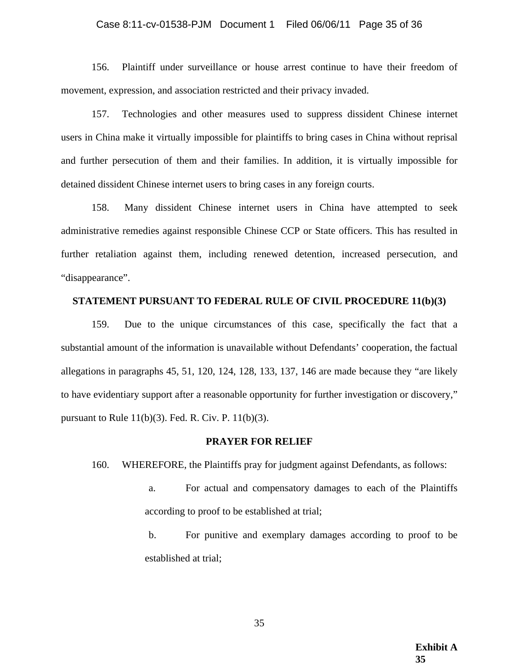# Case 8:11-cv-01538-PJM Document 1 Filed 06/06/11 Page 35 of 36

156. Plaintiff under surveillance or house arrest continue to have their freedom of movement, expression, and association restricted and their privacy invaded.

157. Technologies and other measures used to suppress dissident Chinese internet users in China make it virtually impossible for plaintiffs to bring cases in China without reprisal and further persecution of them and their families. In addition, it is virtually impossible for detained dissident Chinese internet users to bring cases in any foreign courts.

158. Many dissident Chinese internet users in China have attempted to seek administrative remedies against responsible Chinese CCP or State officers. This has resulted in further retaliation against them, including renewed detention, increased persecution, and "disappearance".

#### **STATEMENT PURSUANT TO FEDERAL RULE OF CIVIL PROCEDURE 11(b)(3)**

159. Due to the unique circumstances of this case, specifically the fact that a substantial amount of the information is unavailable without Defendants' cooperation, the factual allegations in paragraphs 45, 51, 120, 124, 128, 133, 137, 146 are made because they "are likely to have evidentiary support after a reasonable opportunity for further investigation or discovery," pursuant to Rule 11(b)(3). Fed. R. Civ. P. 11(b)(3).

#### **PRAYER FOR RELIEF**

160. WHEREFORE, the Plaintiffs pray for judgment against Defendants, as follows:

a. For actual and compensatory damages to each of the Plaintiffs according to proof to be established at trial;

b. For punitive and exemplary damages according to proof to be established at trial;

> **Exhibit A 35**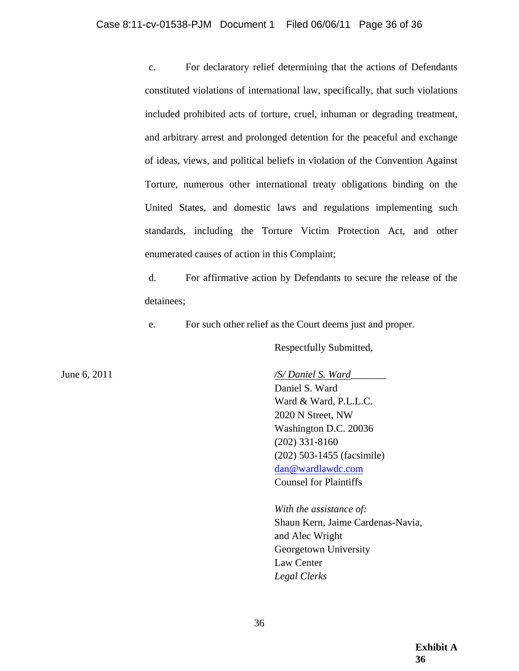c. For declaratory relief determining that the actions of Defendants constituted violations of international law, specifically, that such violations included prohibited acts of torture, cruel, inhuman or degrading treatment, and arbitrary arrest and prolonged detention for the peaceful and exchange of ideas, views, and political beliefs in violation of the Convention Against Torture, numerous other international treaty obligations binding on the United States, and domestic laws and regulations implementing such standards, including the Torture Victim Protection Act, and other enumerated causes of action in this Complaint;

d. For affirmative action by Defendants to secure the release of the detainees;

e. For such other relief as the Court deems just and proper.

Respectfully Submitted,

June 6, 2011 */S/ Daniel S. Ward*\_\_\_\_\_\_\_ Daniel S. Ward Ward & Ward, P.L.L.C. 2020 N Street, NW Washington D.C. 20036 (202) 331-8160 (202) 503-1455 (facsimile) dan@wardlawdc.com Counsel for Plaintiffs

> *With the assistance of:*  Shaun Kern, Jaime Cardenas-Navia, and Alec Wright Georgetown University Law Center  *Legal Clerks*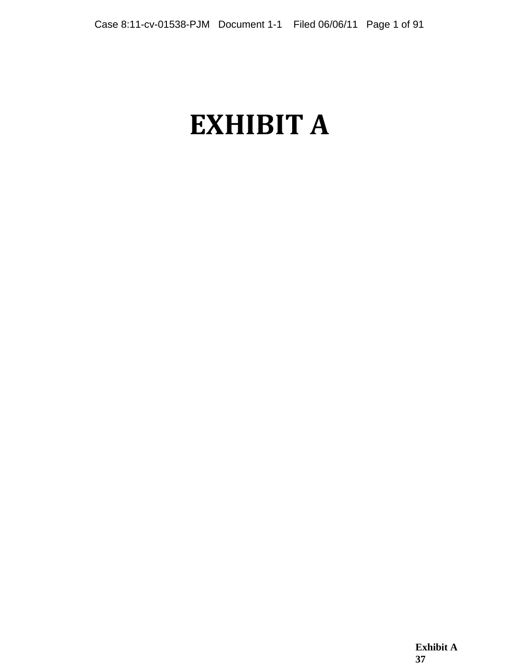# **EXHIBIT A**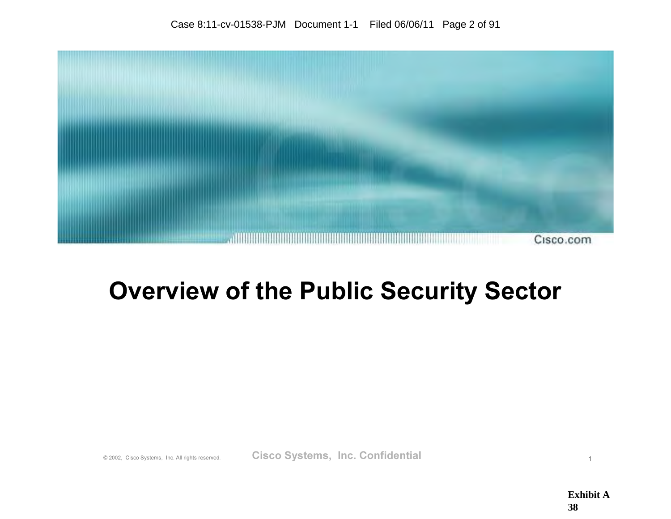

# Overview of the Public Security Sector

© 2002, Cisco Systems, Inc. All rights reserved. Cisco Systems, Inc. Confidential <sup>1</sup>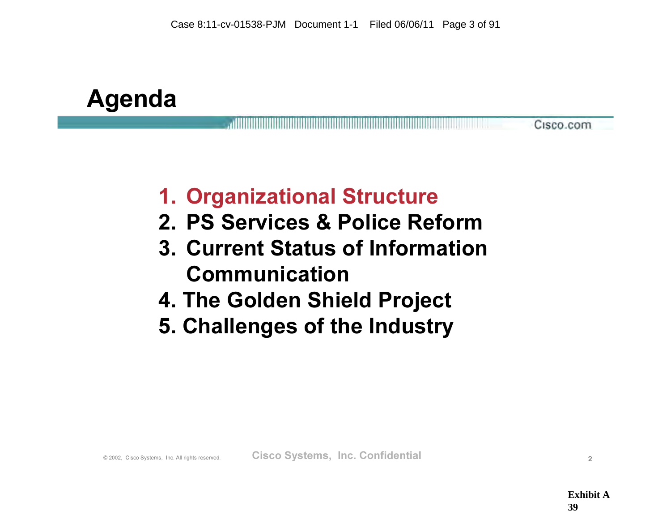

#### Cisco.com

#### 1. Organizational Structure

- 2. PS Services & Police Reform
- 3. Current Status of Information Communication
- 4. The Golden Shield Project
- 5. Challenges of the Industry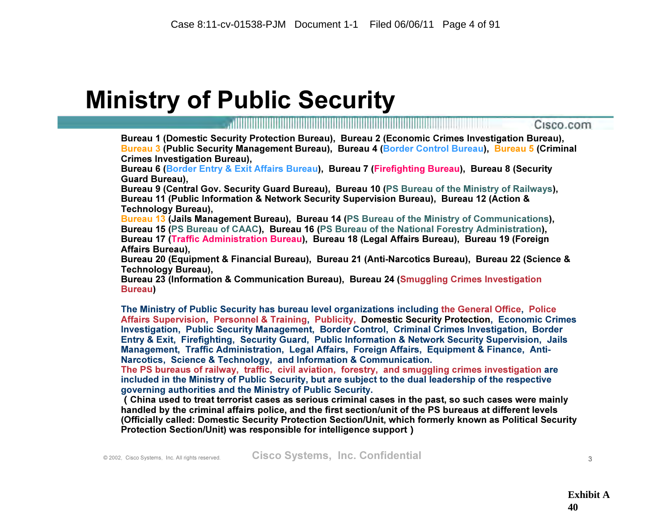#### Ministry of Public Security

<u>, and the contract of the contract of the contract of the contract of the contract of the contract of the con</u>

Cisco.com

Bureau 1 (Domestic Security Protection Bureau), Bureau 2 (Economic Crimes Investigation Bureau), Bureau 3 (Public Security Management Bureau), Bureau 4 (Border Control Bureau), Bureau 5 (Criminal Crimes Investigation Bureau),

Bureau 6 (Border Entry & Exit Affairs Bureau), Bureau 7 (Firefighting Bureau), Bureau 8 (Security Guard Bureau),

Bureau 9 (Central Gov. Security Guard Bureau), Bureau 10 (PS Bureau of the Ministry of Railways), Bureau 11 (Public Information & Network Security Supervision Bureau), Bureau 12 (Action & Technology Bureau),

Bureau 13 (Jails Management Bureau), Bureau 14 (PS Bureau of the Ministry of Communications), Bureau 15 (PS Bureau of CAAC), Bureau 16 (PS Bureau of the National Forestry Administration), Bureau 17 (Traffic Administration Bureau), Bureau 18 (Legal Affairs Bureau), Bureau 19 (Foreign Affairs Bureau),

Bureau 20 (Equipment & Financial Bureau), Bureau 21 (Anti-Narcotics Bureau), Bureau 22 (Science & Technology Bureau),

Bureau 23 (Information & Communication Bureau), Bureau 24 (Smuggling Crimes Investigation Bureau)

The Ministry of Public Security has bureau level organizations including the General Office, Police Affairs Supervision, Personnel & Training, Publicity, Domestic Security Protection, Economic Crimes Investigation, Public Security Management, Border Control, Criminal Crimes Investigation, Border Entry & Exit, Firefighting, Security Guard, Public Information & Network Security Supervision, Jails Management, Traffic Administration, Legal Affairs, Foreign Affairs, Equipment & Finance, Anti-Narcotics, Science & Technology, and Information & Communication.

The PS bureaus of railway, traffic, civil aviation, forestry, and smuggling crimes investigation are included in the Ministry of Public Security, but are subject to the dual leadership of the respective governing authorities and the Ministry of Public Security.

!China used to treat terrorist cases as serious criminal cases in the past, so such cases were mainly handled by the criminal affairs police, and the first section/unit of the PS bureaus at different levels (Officially called: Domestic Security Protection Section/Unit, which formerly known as Political Security Protection Section/Unit) was responsible for intelligence support)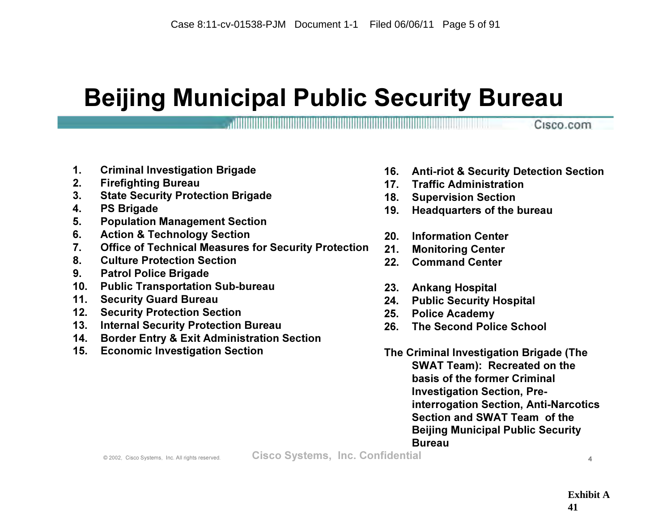## Beijing Municipal Public Security Bureau

- 1. Criminal Investigation Brigade
- 2. Firefighting Bureau
- 3. State Security Protection Brigade
- 4. PS Brigade
- 5. Population Management Section
- 6. Action & Technology Section
- 7. Office of Technical Measures for Security Protection
- 8. Culture Protection Section
- 9. Patrol Police Brigade
- 10. Public Transportation Sub-bureau
- 11. Security Guard Bureau
- 12. Security Protection Section
- 13. Internal Security Protection Bureau
- 14. Border Entry & Exit Administration Section
- 15. Economic Investigation Section
- 16. Anti-riot & Security Detection Section
- 17. Traffic Administration
- 18. Supervision Section
- 19. Headquarters of the bureau
- 20. Information Center
- 21. Monitoring Center
- 22. Command Center
- 23. Ankang Hospital
- 24. Public Security Hospital
- 25. Police Academy
- 26. The Second Police School
- The Criminal Investigation Brigade (The SWAT Team): Recreated on the basis of the former Criminal Investigation Section, Preinterrogation Section, Anti-Narcotics Section and SWAT Team of the Beijing Municipal Public Security Bureau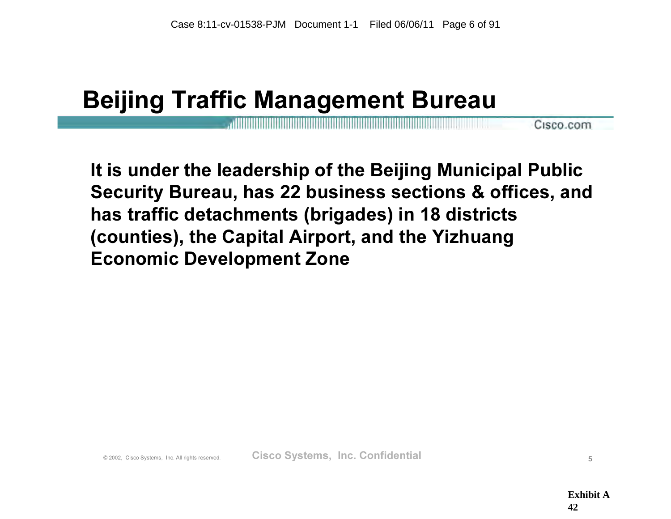#### Beijing Traffic Management Bureau

Cisco.com

It is under the leadership of the Beijing Municipal Public Security Bureau, has 22 business sections & offices, and has traffic detachments (brigades) in 18 districts (counties), the Capital Airport, and the Yizhuang Economic Development Zone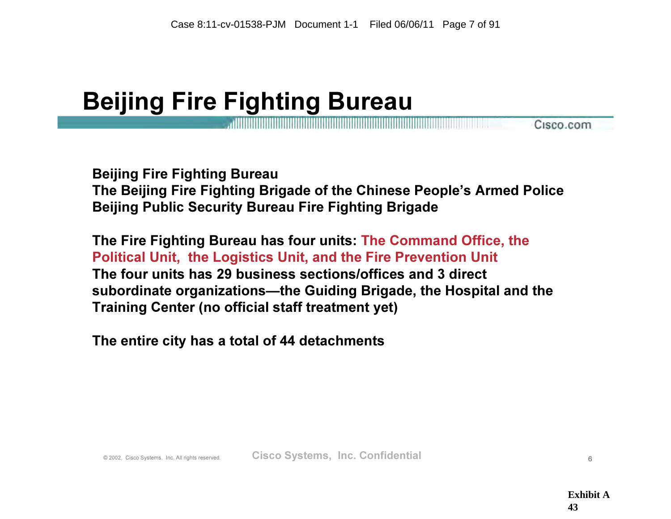# Beijing Fire Fighting Bureau

Cisco.com

Beijing Fire Fighting Bureau The Beijing Fire Fighting Brigade of the Chinese People's Armed Police Beijing Public Security Bureau Fire Fighting Brigade

The Fire Fighting Bureau has four units: The Command Office, the Political Unit, the Logistics Unit, and the Fire Prevention Unit The four units has 29 business sections/offices and 3 direct subordinate organizations—the Guiding Brigade, the Hospital and the Training Center (no official staff treatment yet)

The entire city has a total of 44 detachments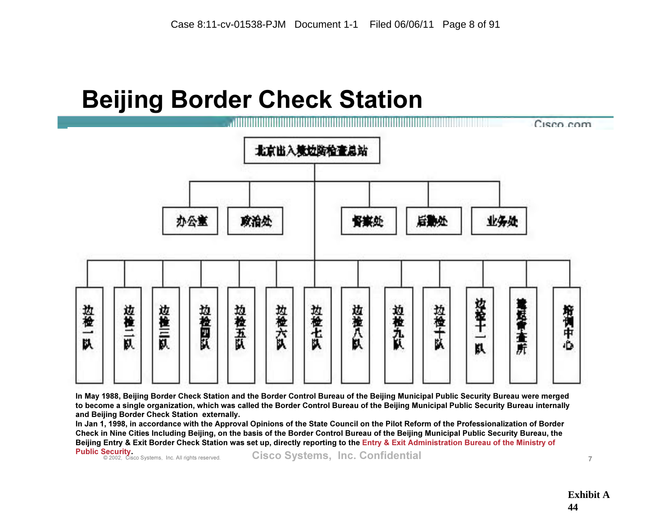## Beijing Border Check Station



In May 1988, Beijing Border Check Station and the Border Control Bureau of the Beijing Municipal Public Security Bureau were merged to become a single organization, which was called the Border Control Bureau of the Beijing Municipal Public Security Bureau internally and Beijing Border Check Station externally.

In Jan 1, 1998, in accordance with the Approval Opinions of the State Council on the Pilot Reform of the Professionalization of Border Check in Nine Cities Including Beijing, on the basis of the Border Control Bureau of the Beijing Municipal Public Security Bureau, the Beijing Entry & Exit Border Check Station was set up, directly reporting to the Entry & Exit Administration Bureau of the Ministry of

Cisco Systems, Inc. Confidential **Cisco Systems**,  $\frac{1}{7}$ **Public Security.**<br>© 2002, Cisco Systems, Inc. All rights reserved.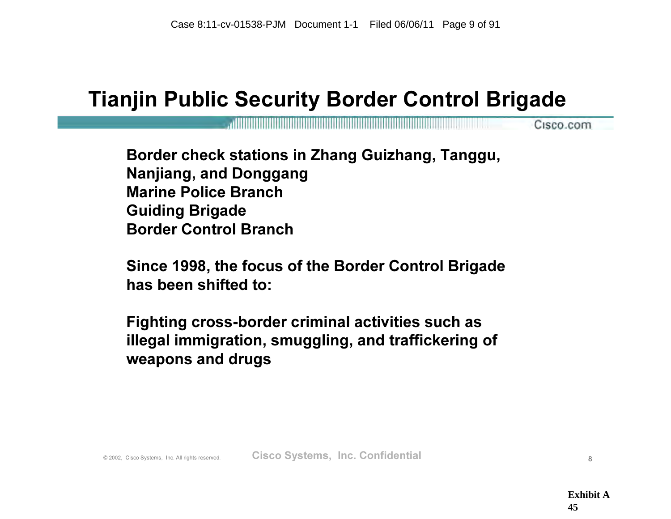#### Tianjin Public Security Border Control Brigade

Cisco.com

Border check stations in Zhang Guizhang, Tanggu, Nanjiang, and Donggang Marine Police Branch Guiding Brigade Border Control Branch

Since 1998, the focus of the Border Control Brigade has been shifted to:

Fighting cross-border criminal activities such as illegal immigration, smuggling, and traffickering of weapons and drugs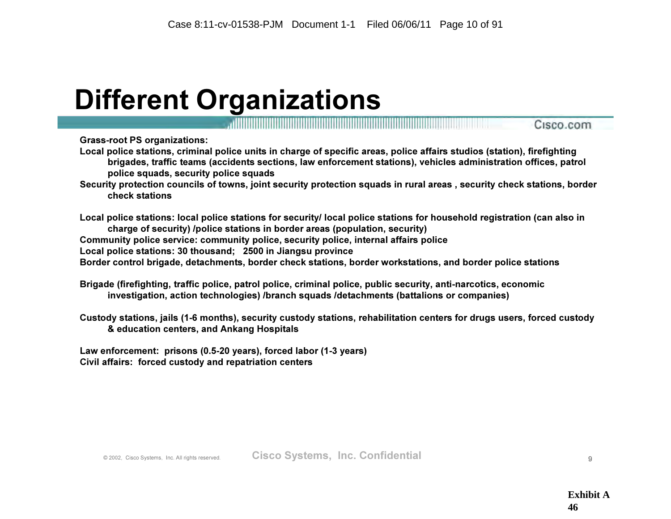# Different Organizations

Cisco.com

Grass-root PS organizations:

Local police stations, criminal police units in charge of specific areas, police affairs studios (station), firefighting brigades, traffic teams (accidents sections, law enforcement stations), vehicles administration offices, patrol police squads, security police squads

Security protection councils of towns, joint security protection squads in rural areas , security check stations, border check stations

Local police stations: local police stations for security/ local police stations for household registration (can also in charge of security) /police stations in border areas (population, security) Community police service: community police, security police, internal affairs police Local police stations: 30 thousand; 2500 in Jiangsu province Border control brigade, detachments, border check stations, border workstations, and border police stations

Brigade (firefighting, traffic police, patrol police, criminal police, public security, anti-narcotics, economic investigation, action technologies) /branch squads /detachments (battalions or companies)

Custody stations, jails (1-6 months), security custody stations, rehabilitation centers for drugs users, forced custody & education centers, and Ankang Hospitals

Law enforcement: prisons (0.5-20 years), forced labor (1-3 years) Civil affairs: forced custody and repatriation centers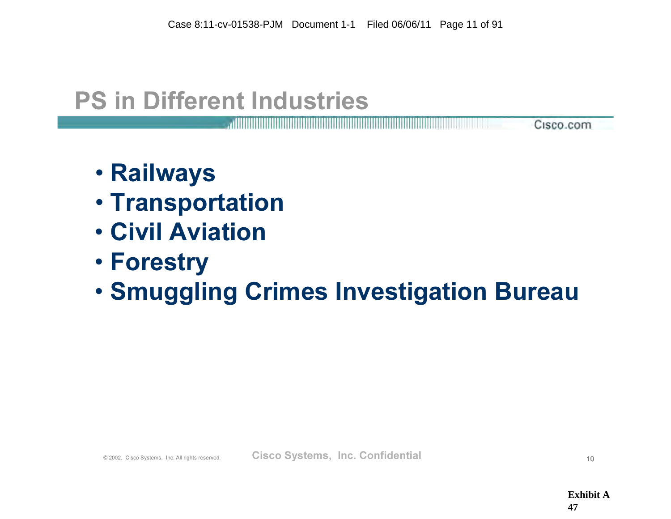## PS in Different Industries

- Railways
- Transportation
- Civil Aviation
- Forestry
- Smuggling Crimes Investigation Bureau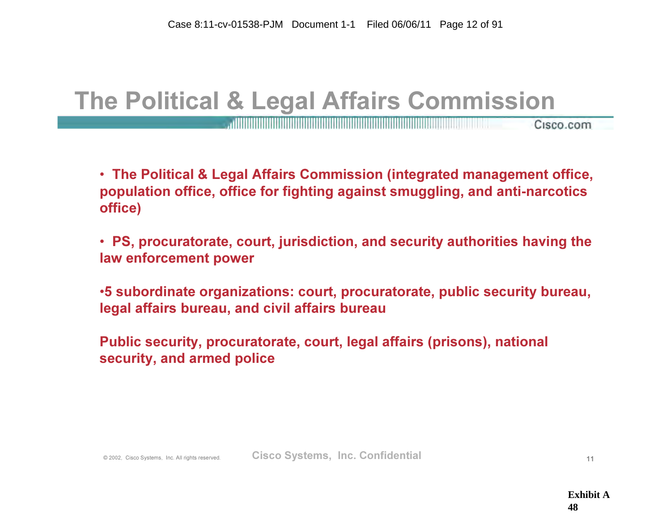## The Political & Legal Affairs Commission

Cisco.com

• The Political & Legal Affairs Commission (integrated management office, population office, office for fighting against smuggling, and anti-narcotics office)

• PS, procuratorate, court, jurisdiction, and security authorities having the law enforcement power

•5 subordinate organizations: court, procuratorate, public security bureau, legal affairs bureau, and civil affairs bureau

Public security, procuratorate, court, legal affairs (prisons), national security, and armed police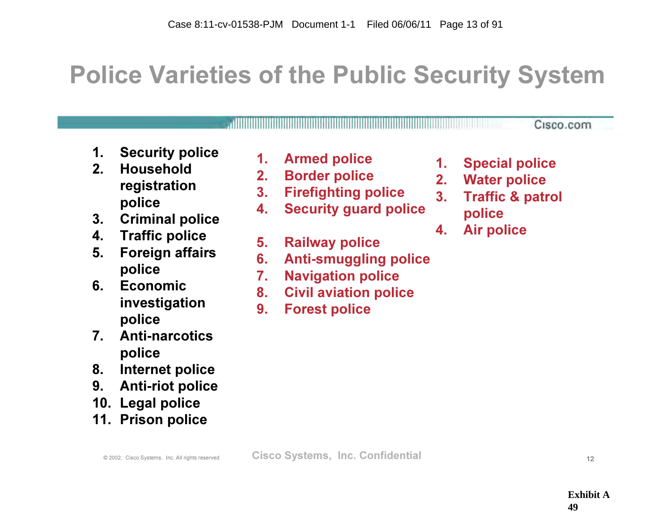# Police Varieties of the Public Security System

<u>A shekara ta 1989, a shekara ta 1989, a shekara ta 1989, a shekara ta 1989, a shekara ta 1989, a shekara ta 19</u>

- 1. Security police
- 2. Household registration police
- 3. Criminal police
- 4. Traffic police
- 5. Foreign affairs police
- 6. Economic investigation police
- 7. Anti-narcotics police
- 8. Internet police
- 9. Anti-riot police
- 10. Legal police
- 11. Prison police
- 1. Armed police
- 2. Border police
- 3. Firefighting police
- 4. Security guard police
- 5. Railway police
- 6. Anti-smuggling police
- 7. Navigation police
- 8. Civil aviation police
- 9. Forest police

1. Special police

Cisco.com

- 2. Water police
- 3. Traffic & patrol police
- 4. Air police

© 2002, Cisco Systems, Inc. All rights reserved. **Cisco Systems, Inc. Confidential** and Confidential 12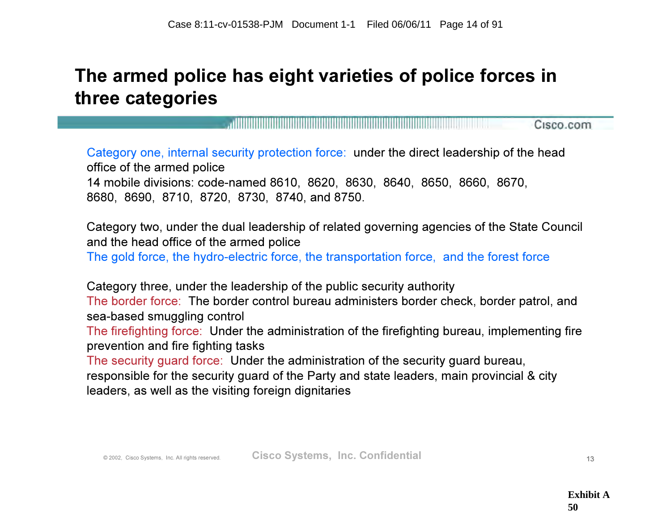#### The armed police has eight varieties of police forces in three categories

Cisco.com

Category one, internal security protection force: under the direct leadership of the head office of the armed police 14 mobile divisions: code-named 8610, 8620, 8630, 8640, 8650, 8660, 8670, 8680, 8690, 8710, 8720, 8730, 8740, and 8750.

Category two, under the dual leadership of related governing agencies of the State Council and the head office of the armed police

The gold force, the hydro-electric force, the transportation force, and the forest force

Category three, under the leadership of the public security authority The border force: The border control bureau administers border check, border patrol, and sea-based smuggling control

The firefighting force: Under the administration of the firefighting bureau, implementing fire prevention and fire fighting tasks

The security guard force: Under the administration of the security guard bureau,

responsible for the security guard of the Party and state leaders, main provincial & city leaders, as well as the visiting foreign dignitaries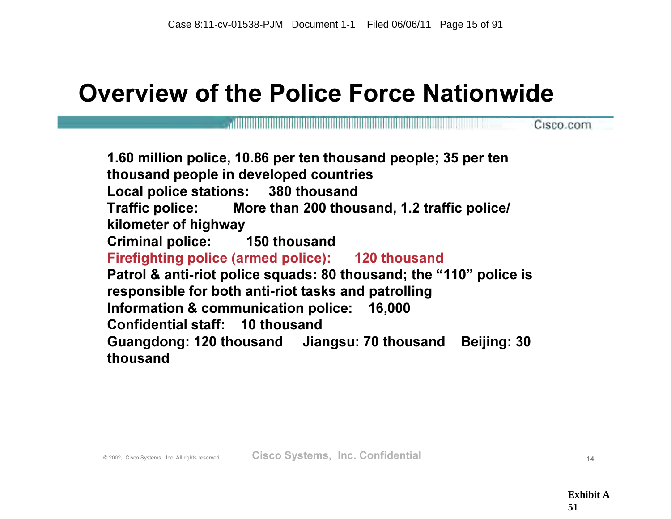#### Overview of the Police Force Nationwide

<u>. Karl III karl III karl III karl III karl III karl III karl III karl III karl III karl III karl III karl III k</u>

1.60 million police, 10.86 per ten thousand people; 35 per ten thousand people in developed countries Local police stations: 380 thousand Traffic police: More than 200 thousand, 1.2 traffic police/ kilometer of highway Criminal police: 150 thousand Firefighting police (armed police): 120 thousand Patrol & anti-riot police squads: 80 thousand; the "110" police is responsible for both anti-riot tasks and patrolling Information & communication police: 16,000 Confidential staff: 10 thousand Guangdong: 120 thousand Jiangsu: 70 thousand Beijing: 30 thousand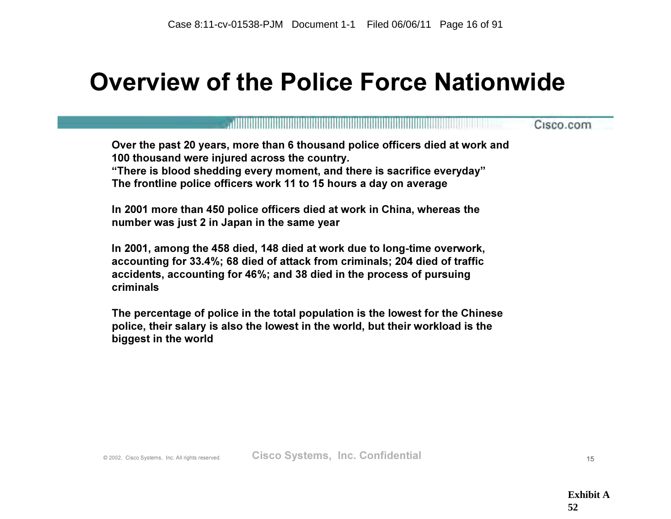#### Overview of the Police Force Nationwide

|                                                                                                                                                                                                                                                                                 | Cisco.com |
|---------------------------------------------------------------------------------------------------------------------------------------------------------------------------------------------------------------------------------------------------------------------------------|-----------|
| Over the past 20 years, more than 6 thousand police officers died at work and<br>100 thousand were injured across the country.<br>"There is blood shedding every moment, and there is sacrifice everyday"<br>The frontline police officers work 11 to 15 hours a day on average |           |
| In 2001 more than 450 police officers died at work in China, whereas the<br>number was just 2 in Japan in the same year                                                                                                                                                         |           |
| In 2001, among the 458 died, 148 died at work due to long-time overwork,<br>accounting for 33.4%; 68 died of attack from criminals; 204 died of traffic<br>accidents, accounting for 46%; and 38 died in the process of pursuing<br>criminals                                   |           |

The percentage of police in the total population is the lowest for the Chinese police, their salary is also the lowest in the world, but their workload is the biggest in the world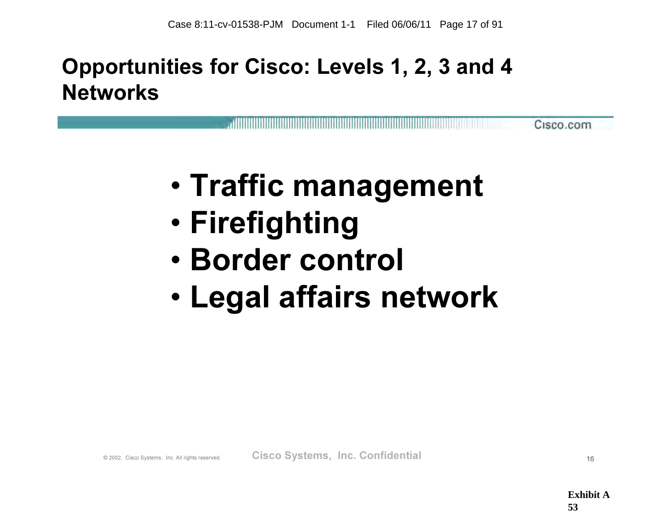#### Opportunities for Cisco: Levels 1, 2, 3 and 4 **Networks**

Cisco.com

# • Traffic management

- Firefighting
- Border control
- Legal affairs network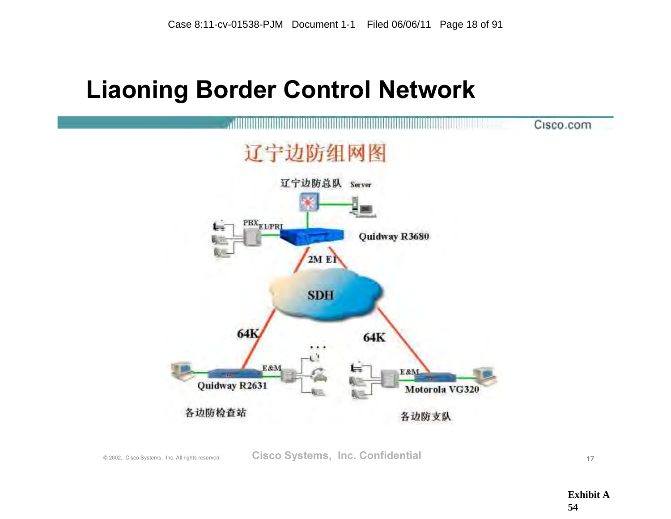#### Liaoning Border Control Network



© 2002, Cisco Systems, Inc. All rights reserved. Cisco Systems, Inc. Confidential 17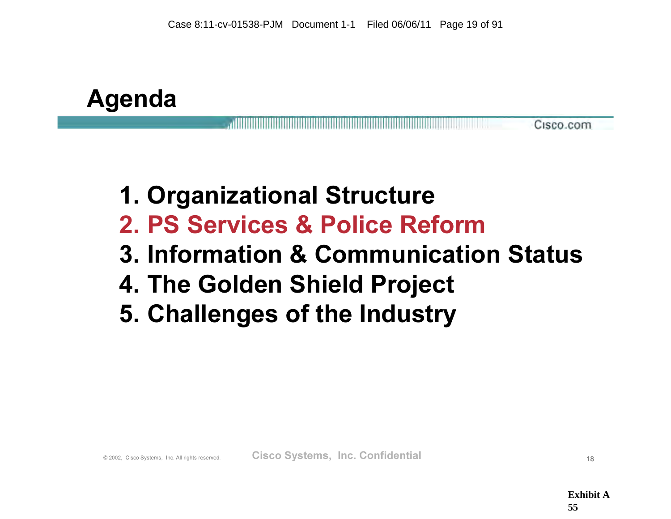

#### Cisco.com

# 1. Organizational Structure 2. PS Services & Police Reform

- 3. Information & Communication Status
- 4. The Golden Shield Project
- 5. Challenges of the Industry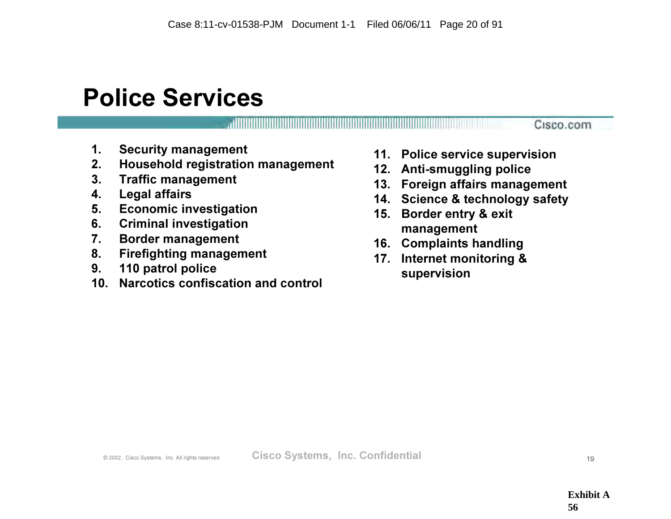#### Police Services

1. Security management

2. Household registration management

,,,,,,,,,,,,,,,,,,,,,,,,

- 3. Traffic management
- 4. Legal affairs
- 5. Economic investigation
- 6. Criminal investigation
- 7. Border management
- 8. Firefighting management
- 9. 110 patrol police
- 10. Narcotics confiscation and control
- 11. Police service supervision
- 12. Anti-smuggling police
- 13. Foreign affairs management
- 14. Science & technology safety
- 15. Border entry & exit management
- 16. Complaints handling
- 17. Internet monitoring & supervision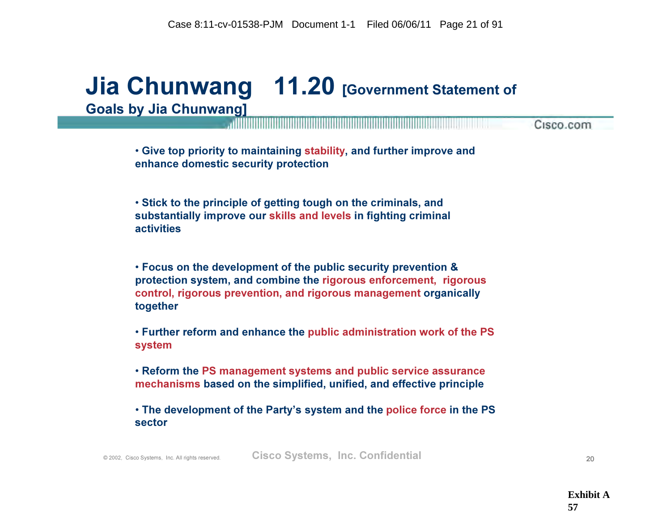#### Jia Chunwang 11.20 [Government Statement of Goals by Jia Chunwang]

Cisco.com

• Give top priority to maintaining stability, and further improve and enhance domestic security protection

• Stick to the principle of getting tough on the criminals, and substantially improve our skills and levels in fighting criminal activities

• Focus on the development of the public security prevention & protection system, and combine the rigorous enforcement, rigorous control, rigorous prevention, and rigorous management organically together

• Further reform and enhance the public administration work of the PS system

• Reform the PS management systems and public service assurance mechanisms based on the simplified, unified, and effective principle

• The development of the Party's system and the police force in the PS sector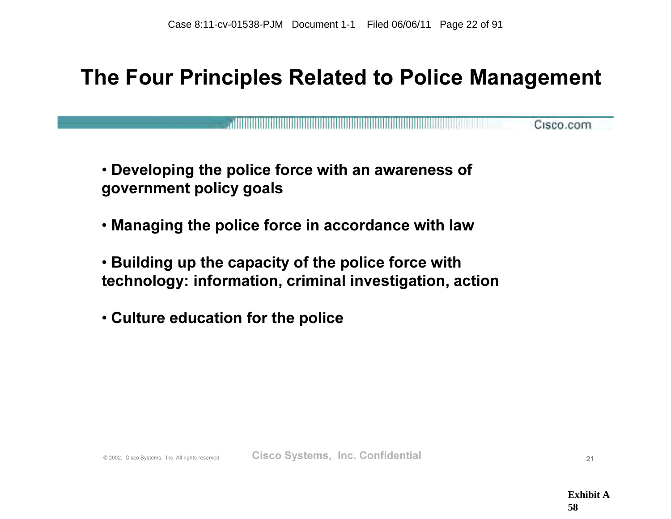#### The Four Principles Related to Police Management

<u> 1999 - Paris Alexander Alexander (h. 1989)</u> Cisco.com

• Developing the police force with an awareness of government policy goals

• Managing the police force in accordance with law

• Building up the capacity of the police force with technology: information, criminal investigation, action

• Culture education for the police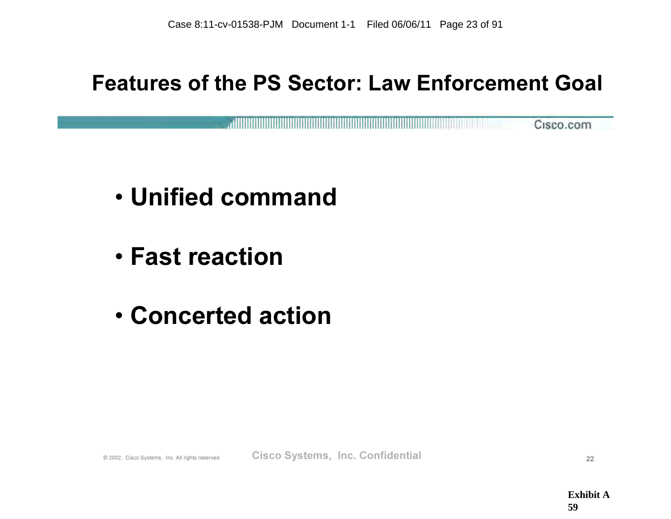#### Features of the PS Sector: Law Enforcement Goal

<u> III marata shi ne kata ta 1980 haɗa ta 1980 haɗa ta 1980 haɗa ta 1980 haɗa ta 1980 haɗa ta 1980 haɗa ta 1980 h</u> ,,,,,,,,,,,,,,,,,,,,,,,,,,,,,, Cisco.com

- Unified command
- Fast reaction
- Concerted action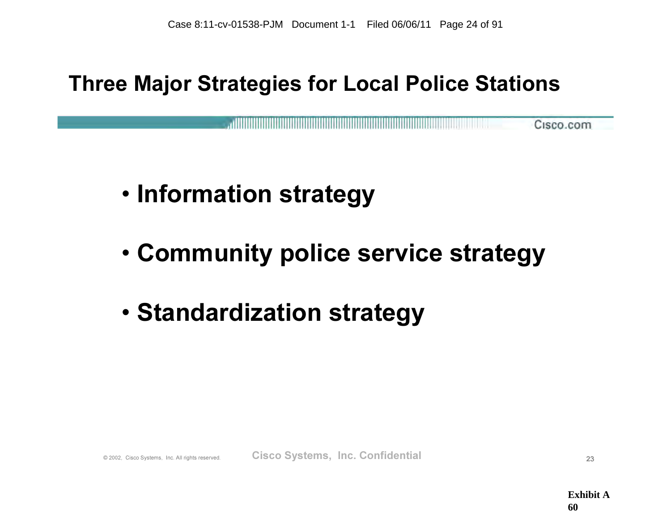#### Three Major Strategies for Local Police Stations

Cisco.com

# • Information strategy

- Community police service strategy
- Standardization strategy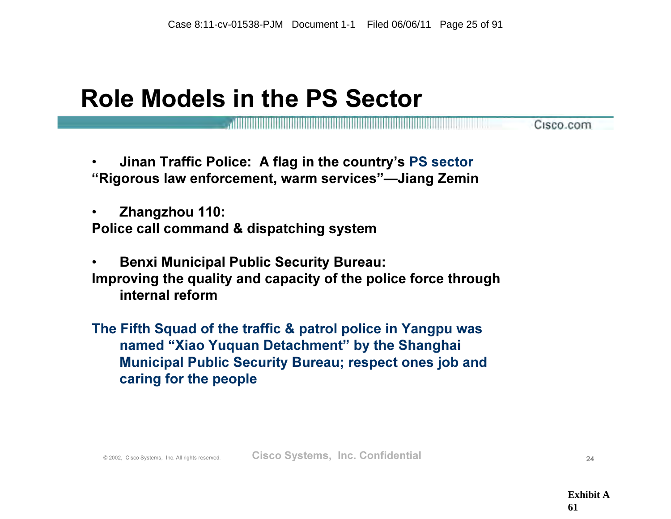#### Role Models in the PS Sector

• Jinan Traffic Police: A flag in the country's PS sector "Rigorous law enforcement, warm services"—Jiang Zemin

• Zhangzhou 110: Police call command & dispatching system

• Benxi Municipal Public Security Bureau: Improving the quality and capacity of the police force through internal reform

The Fifth Squad of the traffic & patrol police in Yangpu was named "Xiao Yuquan Detachment" by the Shanghai Municipal Public Security Bureau; respect ones job and caring for the people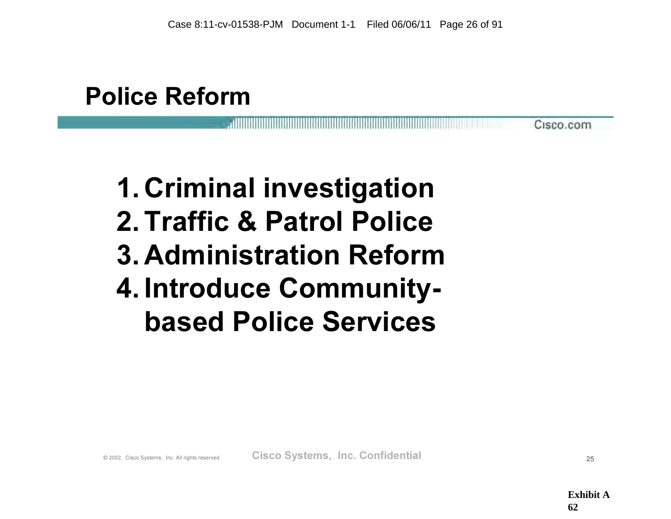## Police Reform

# 1. Criminal investigation 2. Traffic & Patrol Police 3. Administration Reform 4. Introduce Communitybased Police Services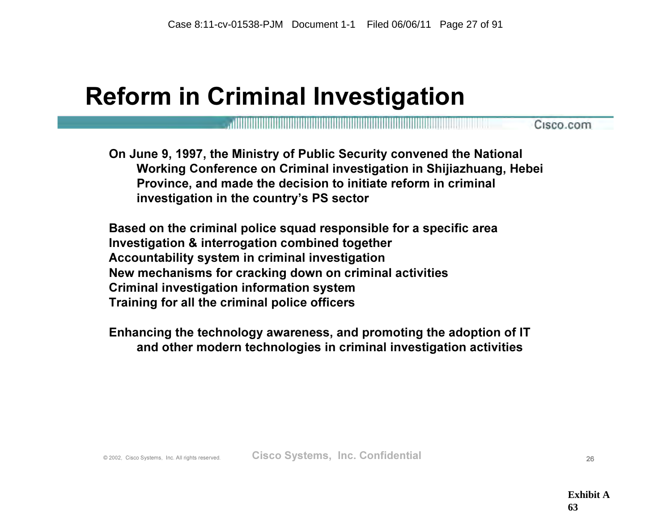## Reform in Criminal Investigation

Cisco.com

On June 9, 1997, the Ministry of Public Security convened the National Working Conference on Criminal investigation in Shijiazhuang, Hebei Province, and made the decision to initiate reform in criminal investigation in the country's PS sector

Based on the criminal police squad responsible for a specific area Investigation & interrogation combined together Accountability system in criminal investigation New mechanisms for cracking down on criminal activities Criminal investigation information system Training for all the criminal police officers

Enhancing the technology awareness, and promoting the adoption of IT and other modern technologies in criminal investigation activities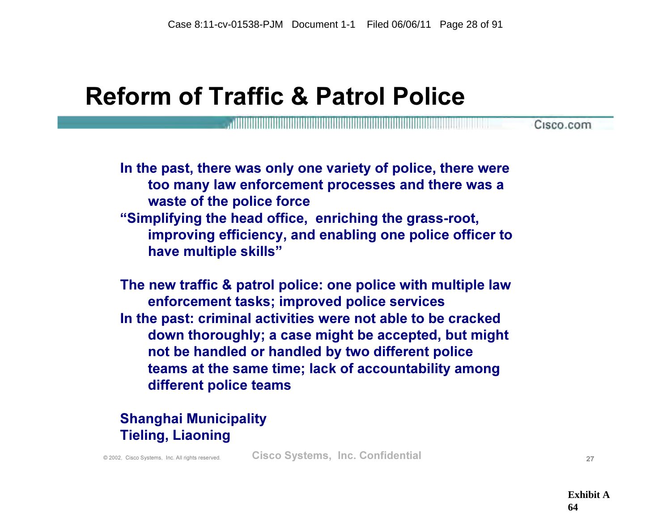#### Reform of Traffic & Patrol Police

Cisco.com

In the past, there was only one variety of police, there were too many law enforcement processes and there was a waste of the police force "Simplifying the head office, enriching the grass-root, improving efficiency, and enabling one police officer to have multiple skills"

The new traffic & patrol police: one police with multiple law enforcement tasks; improved police services In the past: criminal activities were not able to be cracked down thoroughly; a case might be accepted, but might not be handled or handled by two different police teams at the same time; lack of accountability among different police teams

Shanghai Municipality Tieling, Liaoning

© 2002, Cisco Systems, Inc. All rights reserved. Cisco Systems, Inc. Confidential Cisco Confidential <sup>27</sup>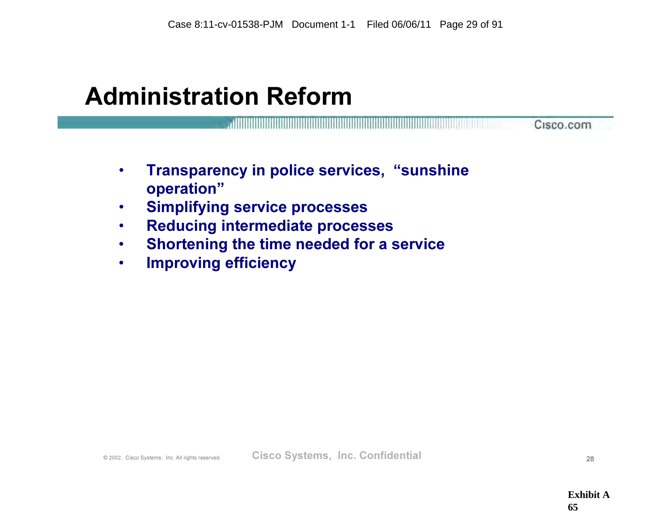#### Administration Reform

- Transparency in police services, "sunshine operation"
- Simplifying service processes
- Reducing intermediate processes
- Shortening the time needed for a service
- Improving efficiency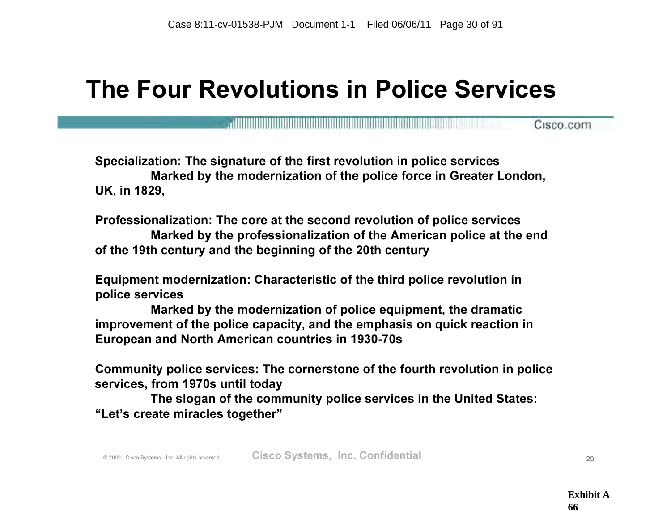### The Four Revolutions in Police Services

a de la construcción de la construcción de la construcción de la construcción de la construcción de la construcció Cisco.com

Specialization: The signature of the first revolution in police services Marked by the modernization of the police force in Greater London, UK, in 1829,

Professionalization: The core at the second revolution of police services Marked by the professionalization of the American police at the end of the 19th century and the beginning of the 20th century

Equipment modernization: Characteristic of the third police revolution in police services

Marked by the modernization of police equipment, the dramatic improvement of the police capacity, and the emphasis on quick reaction in European and North American countries in 1930-70s

Community police services: The cornerstone of the fourth revolution in police services, from 1970s until today

The slogan of the community police services in the United States: "Let's create miracles together"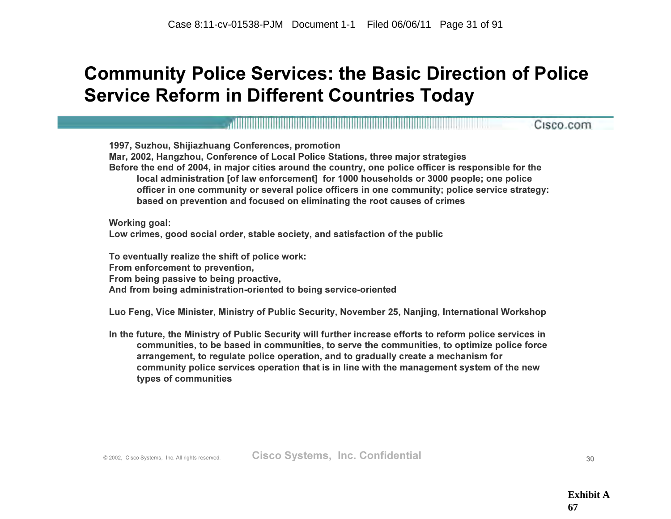#### Community Police Services: the Basic Direction of Police Service Reform in Different Countries Today

Cisco.com 1997, Suzhou, Shijiazhuang Conferences, promotion Mar, 2002, Hangzhou, Conference of Local Police Stations, three major strategies Before the end of 2004, in major cities around the country, one police officer is responsible for the local administration [of law enforcement] for 1000 households or 3000 people; one police officer in one community or several police officers in one community; police service strategy: based on prevention and focused on eliminating the root causes of crimes Working goal: Low crimes, good social order, stable society, and satisfaction of the public To eventually realize the shift of police work: From enforcement to prevention, From being passive to being proactive, And from being administration-oriented to being service-oriented Luo Feng, Vice Minister, Ministry of Public Security, November 25, Nanjing, International Workshop

In the future, the Ministry of Public Security will further increase efforts to reform police services in communities, to be based in communities, to serve the communities, to optimize police force arrangement, to regulate police operation, and to gradually create a mechanism for community police services operation that is in line with the management system of the new types of communities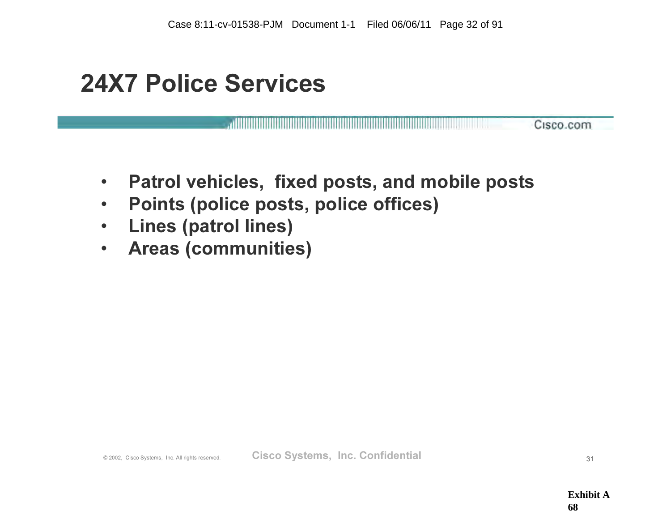#### 24X7 Police Services

- Patrol vehicles, fixed posts, and mobile posts
- Points (police posts, police offices)
- Lines (patrol lines)
- Areas (communities)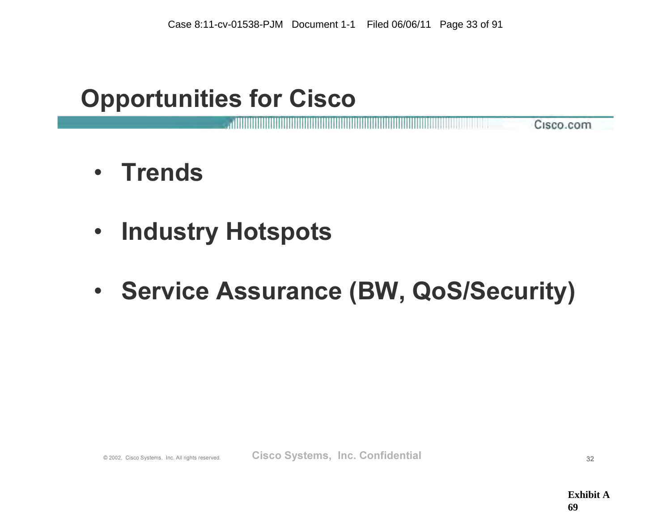#### Opportunities for Cisco

Cisco.com

- Trends
- Industry Hotspots
- Service Assurance (BW, QoS/Security)

© 2002, Cisco Systems, Inc. All rights reserved. Cisco Systems, Inc. Confidential 32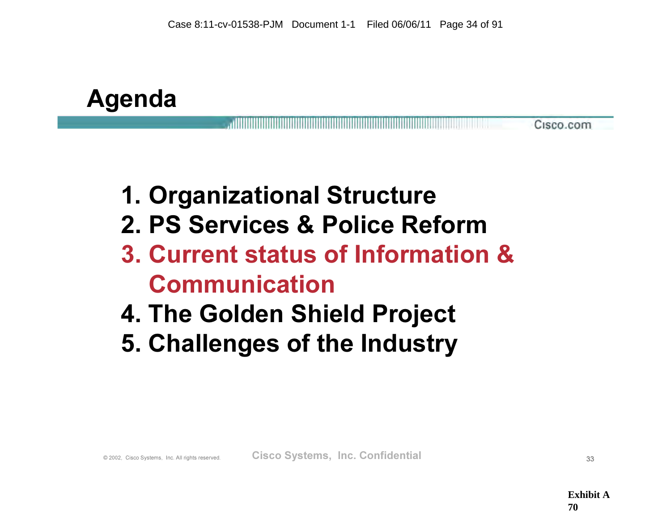Agenda

#### Cisco.com

# 1. Organizational Structure

- 2. PS Services & Police Reform
- 3. Current status of Information & Communication
- 4. The Golden Shield Project
- 5. Challenges of the Industry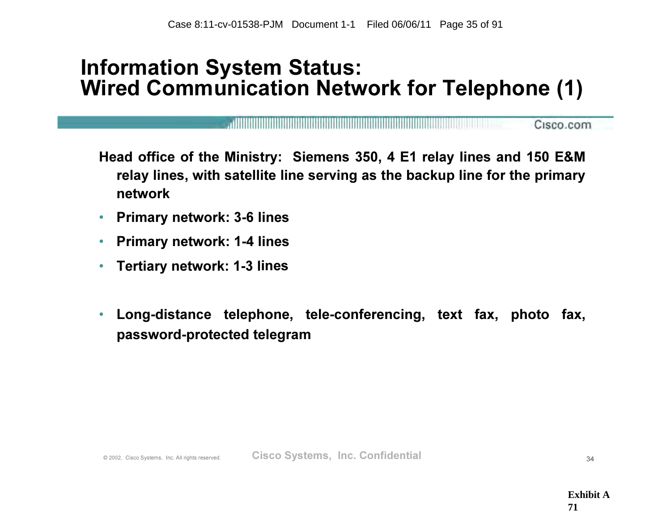#### Information System Status: Wired Communication Network for Telephone (1)

, and the contract of the contract of the contract of the contract of the contract of the contract of Cisco.com

- Head office of the Ministry: Siemens 350, 4 E1 relay lines and 150 E&M relay lines, with satellite line serving as the backup line for the primary network
- Primary network: 3-6 lines
- Primary network: 1-4 lines
- Tertiary network: 1-3 lines
- Long-distance telephone, tele-conferencing, text fax, photo fax, password-protected telegram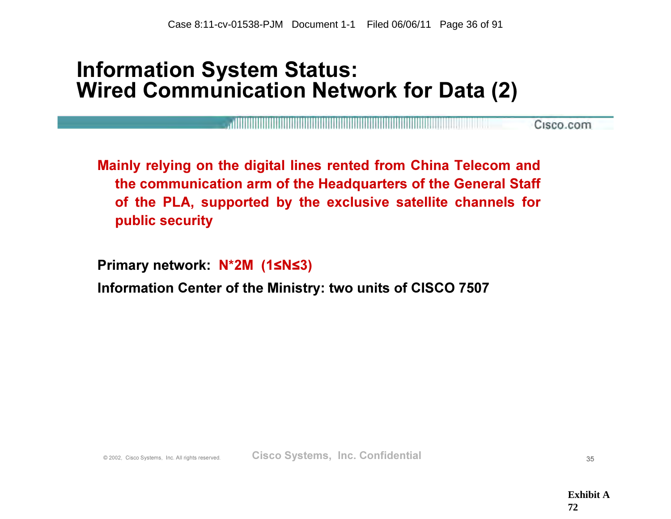### Information System Status: Wired Communication Network for Data (2)

Cisco.com

Mainly relying on the digital lines rented from China Telecom and the communication arm of the Headquarters of the General Staff of the PLA, supported by the exclusive satellite channels for public security

Primary network:  $N^*2M$  (1  $\leq N \leq 3$ )

Information Center of the Ministry: two units of CISCO 7507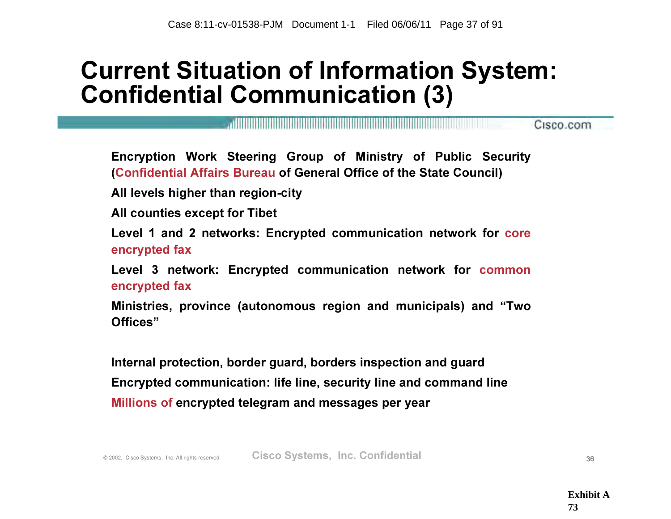### Current Situation of Information System: Confidential Communication (3)

a de la construcción de la construcción de la construcción de la construcción de la construcción de la construcción Cisco.com

Encryption Work Steering Group of Ministry of Public Security (Confidential Affairs Bureau of General Office of the State Council)

All levels higher than region-city

All counties except for Tibet

Level 1 and 2 networks: Encrypted communication network for core encrypted fax

Level 3 network: Encrypted communication network for common encrypted fax

Ministries, province (autonomous region and municipals) and "Two Offices"

Internal protection, border guard, borders inspection and guard Encrypted communication: life line, security line and command line Millions of encrypted telegram and messages per year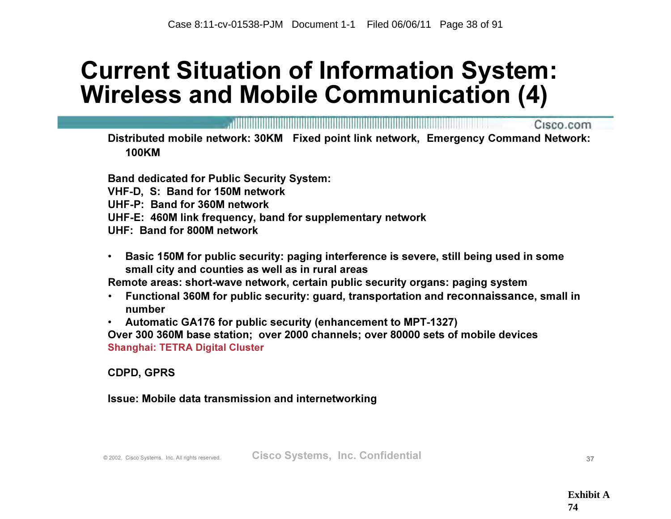### Current Situation of Information System: Wireless and Mobile Communication (4)

and the contract of the contract of the contract of the contract of the contract of the contract of the contract of Cisco.com Distributed mobile network: 30KM Fixed point link network, Emergency Command Network: 100KM

Band dedicated for Public Security System: VHF-D, S: Band for 150M network UHF-P: Band for 360M network UHF-E: 460M link frequency, band for supplementary network UHF: Band for 800M network

• Basic 150M for public security: paging interference is severe, still being used in some small city and counties as well as in rural areas

Remote areas: short-wave network, certain public security organs: paging system

- Functional 360M for public security: guard, transportation and reconnaissance, small in number
- Automatic GA176 for public security (enhancement to MPT-1327)

Over 300 360M base station; over 2000 channels; over 80000 sets of mobile devices Shanghai: TETRA Digital Cluster

#### CDPD, GPRS

#### Issue: Mobile data transmission and internetworking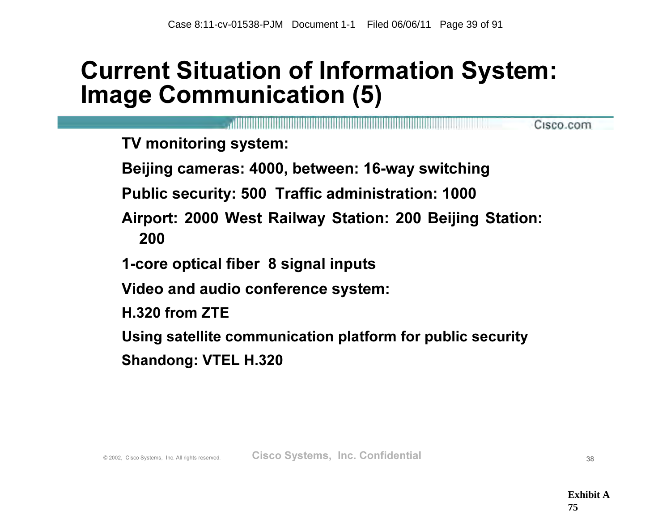### Current Situation of Information System: Image Communication (5)

<u>. In the contract of the contract of the contract of the contract of the contract of the contract of the contract of the contract of the contract of the contract of the contract of the contract of the contract of the cont</u> Cisco.com TV monitoring system: Beijing cameras: 4000, between: 16-way switching Public security: 500 Traffic administration: 1000 Airport: 2000 West Railway Station: 200 Beijing Station: 200 1-core optical fiber 8 signal inputs Video and audio conference system: H.320 from ZTE Using satellite communication platform for public security Shandong: VTEL H.320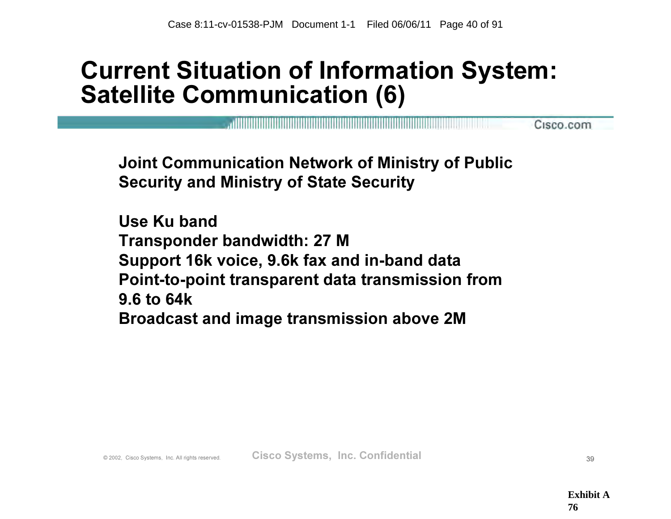### Current Situation of Information System: Satellite Communication (6)

Joint Communication Network of Ministry of Public Security and Ministry of State Security

Use Ku band Transponder bandwidth: 27 M Support 16k voice, 9.6k fax and in-band data Point-to-point transparent data transmission from 9.6 to 64k Broadcast and image transmission above 2M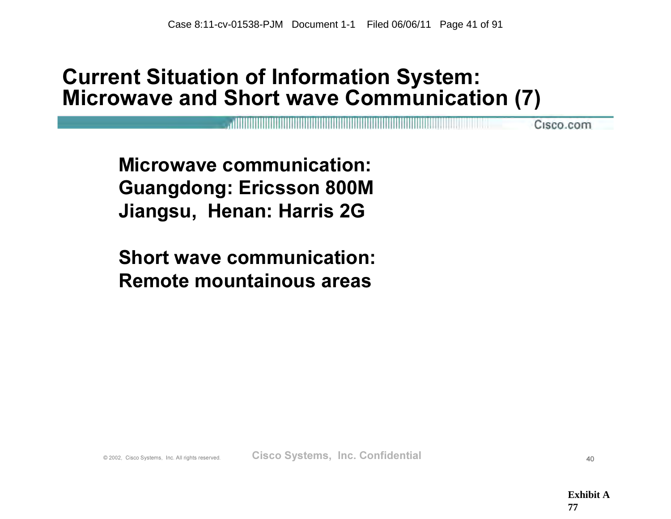### Current Situation of Information System: Microwave and Short wave Communication (7)

Cisco.com

Microwave communication: Guangdong: Ericsson 800M Jiangsu, Henan: Harris 2G

Short wave communication: Remote mountainous areas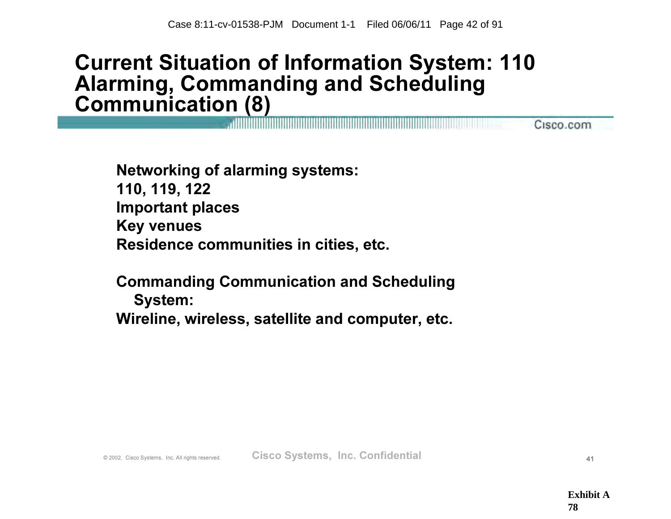### Current Situation of Information System: 110 Alarming, Commanding and Scheduling Communication (8)

Cisco.com

Networking of alarming systems: 110, 119, 122 Important places Key venues Residence communities in cities, etc.

Commanding Communication and Scheduling System: Wireline, wireless, satellite and computer, etc.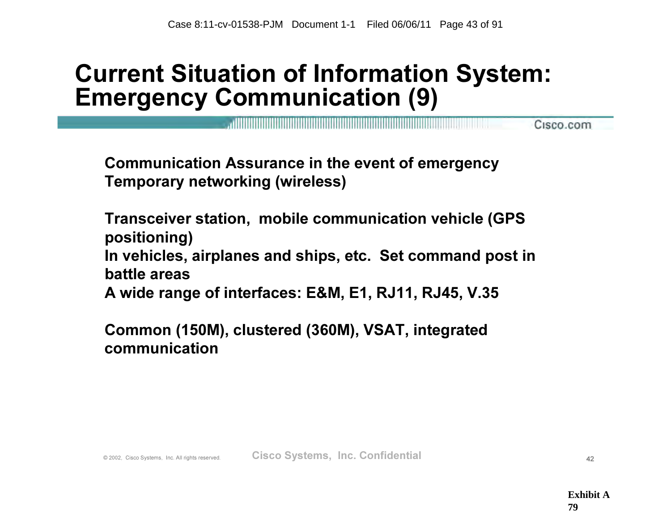### Current Situation of Information System: Emergency Communication (9)

Communication Assurance in the event of emergency Temporary networking (wireless)

Transceiver station, mobile communication vehicle (GPS positioning) In vehicles, airplanes and ships, etc. Set command post in battle areas A wide range of interfaces: E&M, E1, RJ11, RJ45, V.35

Common (150M), clustered (360M), VSAT, integrated communication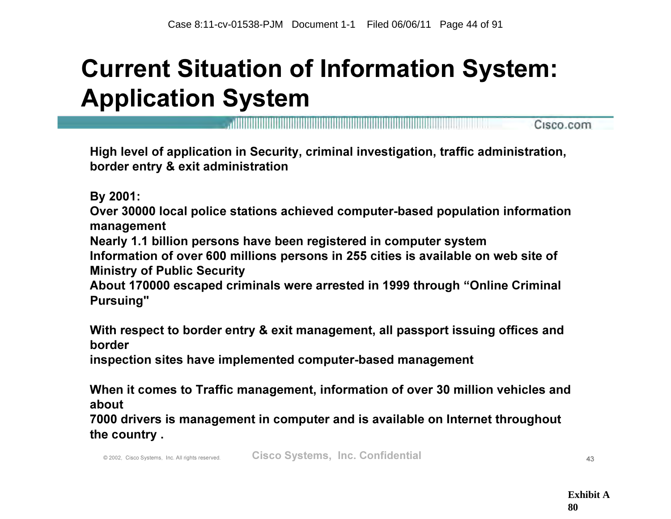## Current Situation of Information System: Application System

Cisco.com

High level of application in Security, criminal investigation, traffic administration, border entry & exit administration

By 2001:

Over 30000 local police stations achieved computer-based population information management

Nearly 1.1 billion persons have been registered in computer system Information of over 600 millions persons in 255 cities is available on web site of

Ministry of Public Security

About 170000 escaped criminals were arrested in 1999 through "Online Criminal Pursuing"

With respect to border entry & exit management, all passport issuing offices and border

inspection sites have implemented computer-based management

When it comes to Traffic management, information of over 30 million vehicles and about

7000 drivers is management in computer and is available on Internet throughout the country .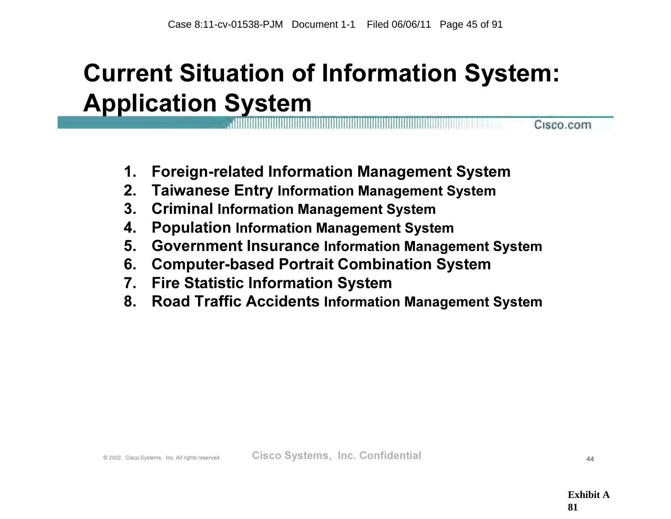## Current Situation of Information System: Application System

- 1. Foreign-related Information Management System
- 2. Taiwanese Entry Information Management System
- 3. Criminal Information Management System
- 4. Population Information Management System
- 5. Government Insurance Information Management System
- 6. Computer-based Portrait Combination System
- 7. Fire Statistic Information System
- 8. Road Traffic Accidents Information Management System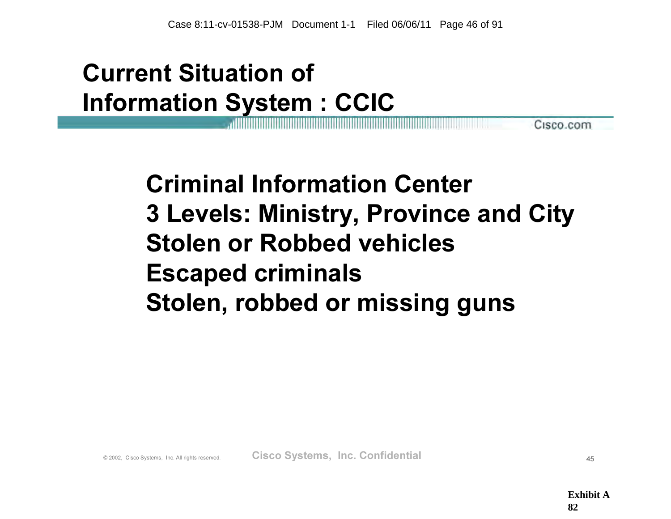### Current Situation of Information System : CCIC

Cisco.com

# Criminal Information Center 3 Levels: Ministry, Province and City Stolen or Robbed vehicles Escaped criminals Stolen, robbed or missing guns

© 2002, Cisco Systems, Inc. All rights reserved. **Cisco Systems, Inc. Confidential** Cisco Confidential 45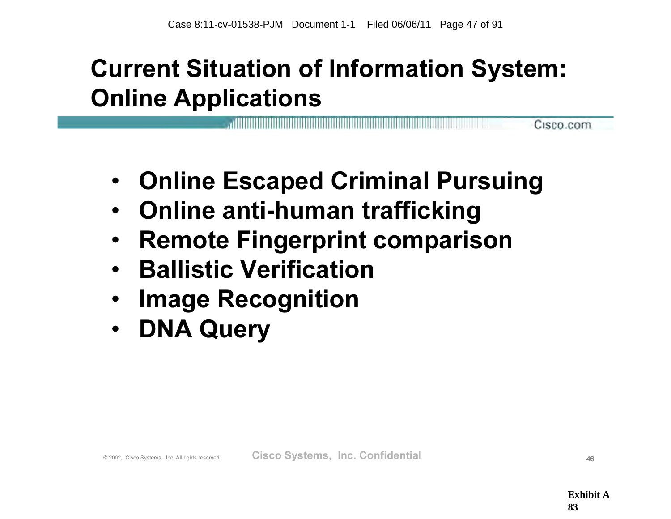## Current Situation of Information System: Online Applications

- Online Escaped Criminal Pursuing
- Online anti-human trafficking
- Remote Fingerprint comparison
- Ballistic Verification
- **Image Recognition**
- DNA Query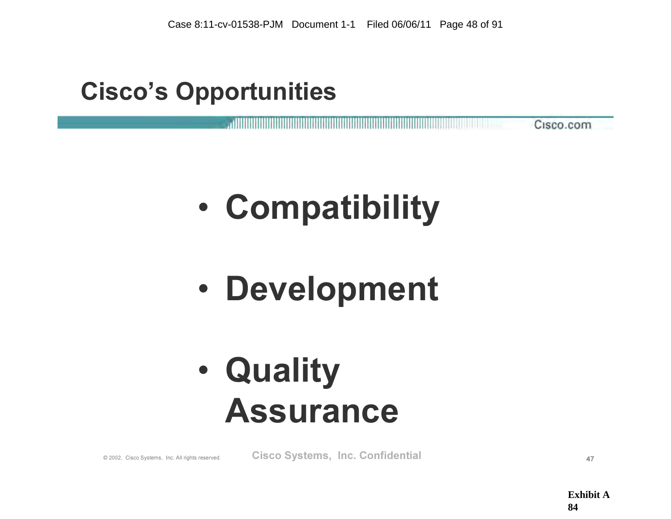### Cisco's Opportunities

Cisco.com

# • Compatibility

• Development

# • Quality Assurance

© 2002, Cisco Systems, Inc. All rights reserved. Cisco Systems, Inc. Confidential 47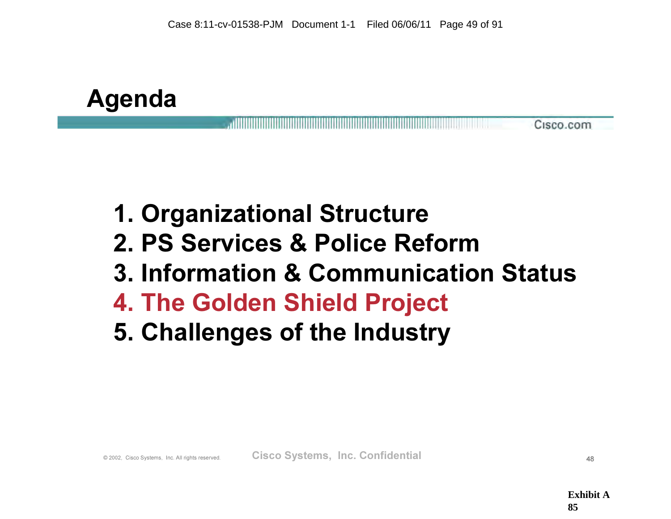Agenda

#### Cisco.com

### 1. Organizational Structure

- 2. PS Services & Police Reform
- 3. Information & Communication Status
- 4. The Golden Shield Project
- 5. Challenges of the Industry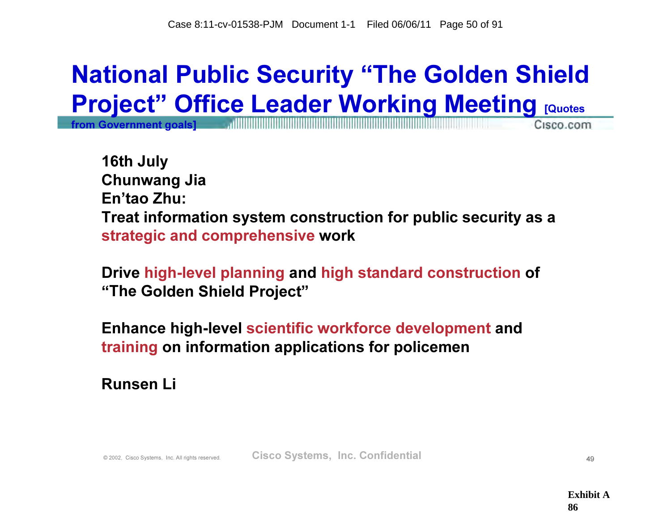# National Public Security "The Golden Shield **Project" Office Leader Working Meeting [Quotes**

from Government goals] Cisco.com

16th July Chunwang Jia En'tao Zhu: Treat information system construction for public security as a strategic and comprehensive work

Drive high-level planning and high standard construction of "The Golden Shield Project"

Enhance high-level scientific workforce development and training on information applications for policemen

Runsen Li

© 2002, Cisco Systems, Inc. All rights reserved. Cisco Systems, Inc. Confidential  $\frac{49}{49}$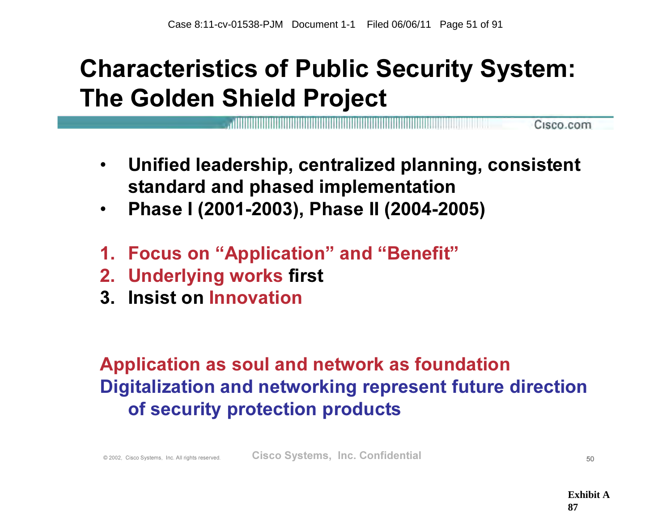### Characteristics of Public Security System: The Golden Shield Project

Cisco.com

- Unified leadership, centralized planning, consistent standard and phased implementation
- Phase I (2001-2003), Phase II (2004-2005)
- 1. Focus on "Application" and "Benefit"
- 2. Underlying works first
- 3. Insist on Innovation

### Application as soul and network as foundation Digitalization and networking represent future direction of security protection products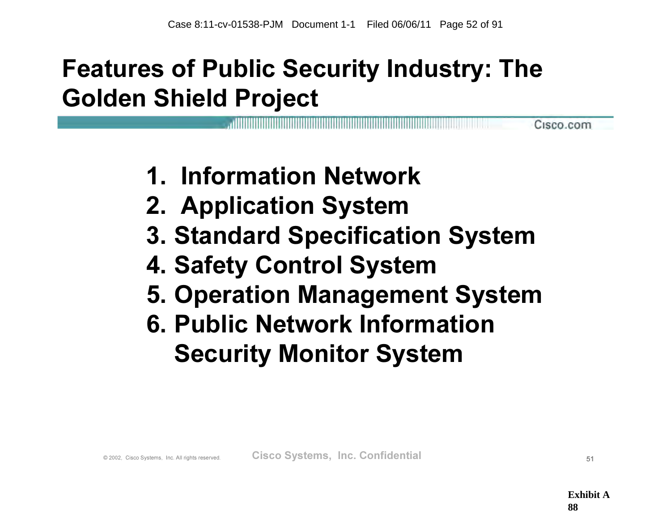# Features of Public Security Industry: The Golden Shield Project

1. Information Network

- 2. Application System
- 3. Standard Specification System
- 4. Safety Control System
- 5. Operation Management System
- 6. Public Network Information Security Monitor System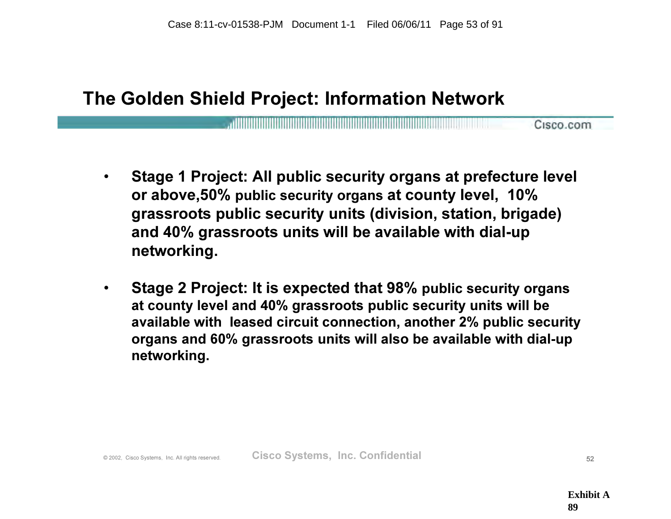#### The Golden Shield Project: Information Network

<u>A TILLIAN TURISI INI KUNING KUNING KUNING KUNING KUNING KUNING KUNING KUNING KUNING KUNING KUNING KUNING KUNI</u> Cisco.com

- Stage 1 Project: All public security organs at prefecture level or above,50% public security organs at county level, 10% grassroots public security units (division, station, brigade) and 40% grassroots units will be available with dial-up networking.
- Stage 2 Project: It is expected that 98% public security organs at county level and 40% grassroots public security units will be available with leased circuit connection, another 2% public security organs and 60% grassroots units will also be available with dial-up networking.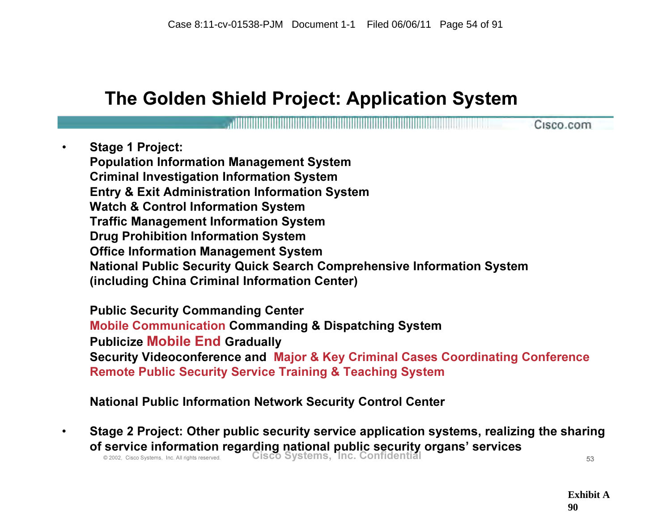#### The Golden Shield Project: Application System

<u>. In the contract of the contract of the contract of the contract of the contract of the contract of the contract of the contract of the contract of the contract of the contract of the contract of the contract of the cont</u>

Stage 1 Project: Population Information Management System Criminal Investigation Information System Entry & Exit Administration Information System Watch & Control Information System Traffic Management Information System Drug Prohibition Information System Office Information Management System National Public Security Quick Search Comprehensive Information System (including China Criminal Information Center)

Public Security Commanding Center Mobile Communication Commanding & Dispatching System Publicize Mobile End Gradually Security Videoconference and Major & Key Criminal Cases Coordinating Conference Remote Public Security Service Training & Teaching System

National Public Information Network Security Control Center

© 2002, Cisco Systems, Inc. All rights reserved. Cisco Systems, Inc. Confidential Cisco Confidential 53 • Stage 2 Project: Other public security service application systems, realizing the sharing of service information regarding national public security organs' services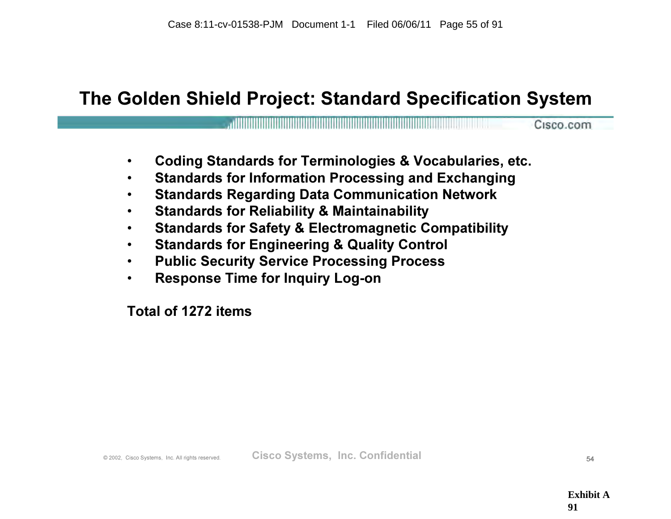#### The Golden Shield Project: Standard Specification System

Cisco.com

- Coding Standards for Terminologies & Vocabularies, etc.
- Standards for Information Processing and Exchanging
- Standards Regarding Data Communication Network
- Standards for Reliability & Maintainability
- Standards for Safety & Electromagnetic Compatibility
- Standards for Engineering & Quality Control
- Public Security Service Processing Process
- Response Time for Inquiry Log-on

Total of 1272 items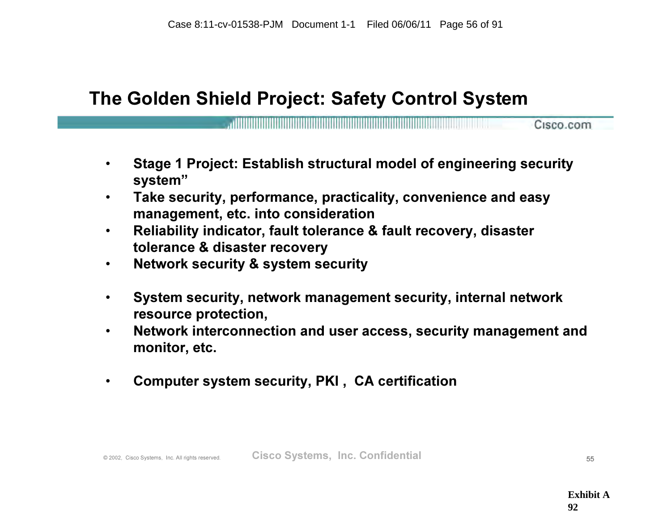#### The Golden Shield Project: Safety Control System

<u>. A MINIMUM DINIMUM DINIMUM DINIMUM DINIMUM DINIMUM DINIMUM DINIMUM DINIMUM DINIMUM DINIMUM DINIMUM DINIMUM D</u> Cisco.com

- Stage 1 Project: Establish structural model of engineering security system"
- Take security, performance, practicality, convenience and easy management, etc. into consideration
- Reliability indicator, fault tolerance & fault recovery, disaster tolerance & disaster recovery
- Network security & system security
- System security, network management security, internal network resource protection,
- Network interconnection and user access, security management and monitor, etc.
- Computer system security, PKI , CA certification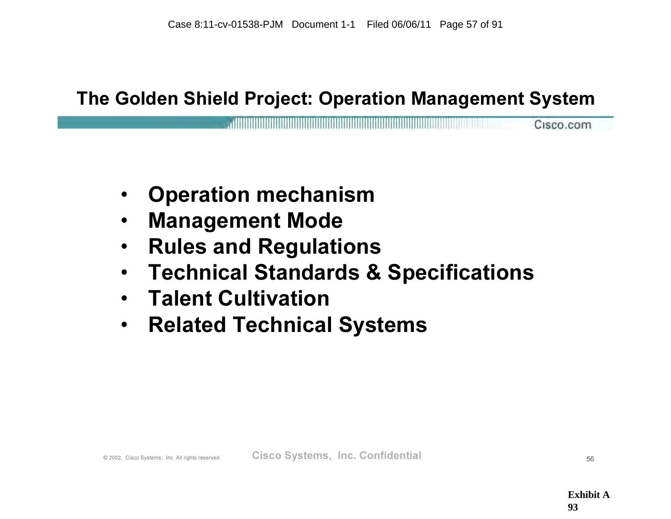#### The Golden Shield Project: Operation Management System

<u>. A series of the contract of the contract of the contract of the contract of the contract of the contract of the contract of the contract of the contract of the contract of the contract of the contract of the contract of</u> Cisco.com

- Operation mechanism
- Management Mode
- Rules and Regulations
- Technical Standards & Specifications
- Talent Cultivation
- Related Technical Systems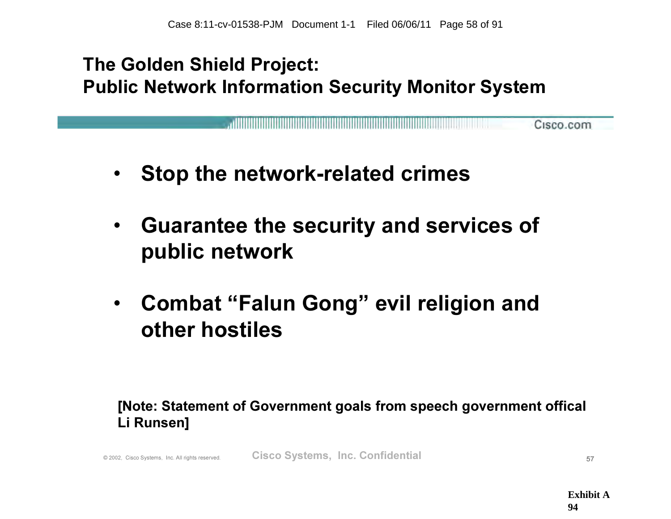### The Golden Shield Project: Public Network Information Security Monitor System

Cisco.com

- Stop the network-related crimes
- Guarantee the security and services of public network
- Combat "Falun Gong" evil religion and other hostiles

#### [Note: Statement of Government goals from speech government offical Li Runsen]

© 2002, Cisco Systems, Inc. All rights reserved. Cisco Systems, Inc. Confidential 57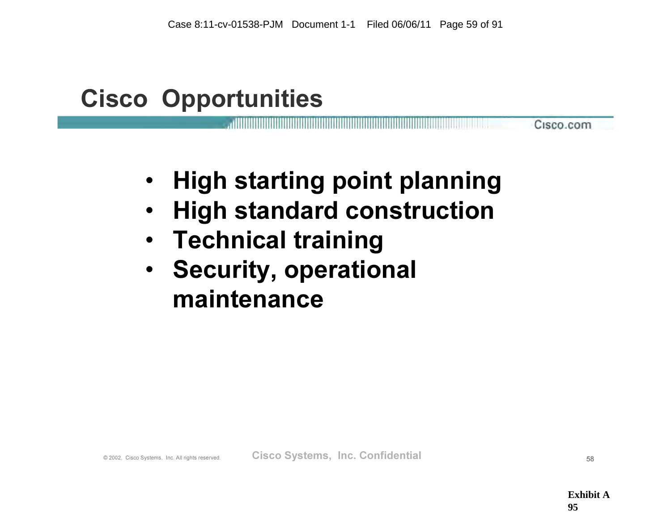### Cisco Opportunities

- High starting point planning
- High standard construction
- Technical training
- Security, operational maintenance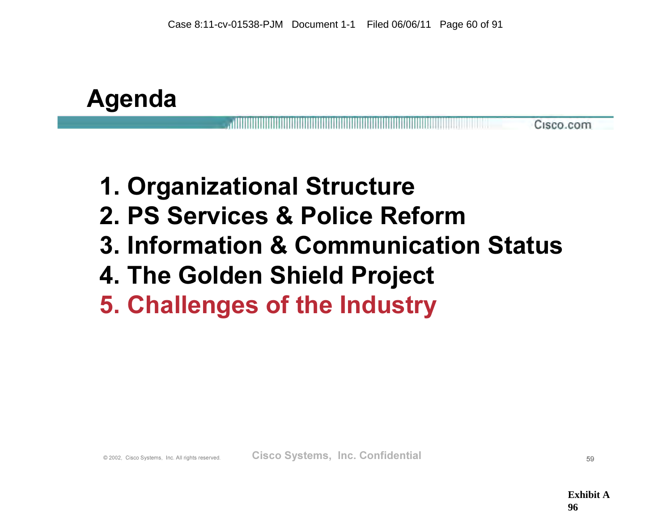

- 1. Organizational Structure
- 2. PS Services & Police Reform
- 3. Information & Communication Status
- 4. The Golden Shield Project
- 5. Challenges of the Industry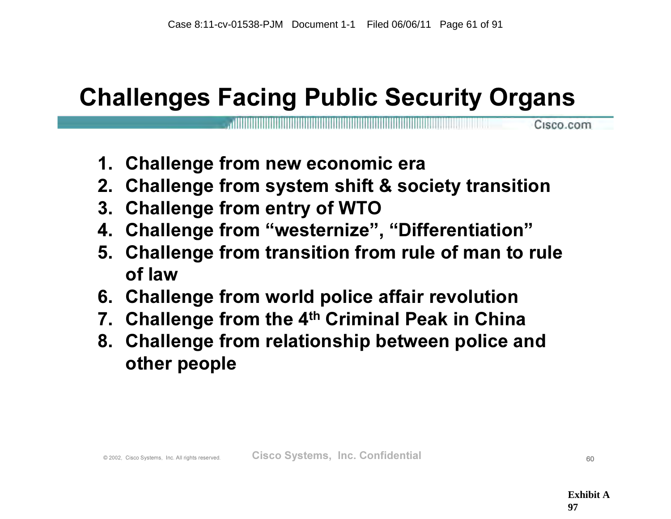### Challenges Facing Public Security Organs

- 1. Challenge from new economic era
- 2. Challenge from system shift & society transition
- 3. Challenge from entry of WTO
- 4. Challenge from "westernize", "Differentiation"
- 5. Challenge from transition from rule of man to rule of law
- 6. Challenge from world police affair revolution
- 7. Challenge from the 4<sup>th</sup> Criminal Peak in China
- 8. Challenge from relationship between police and other people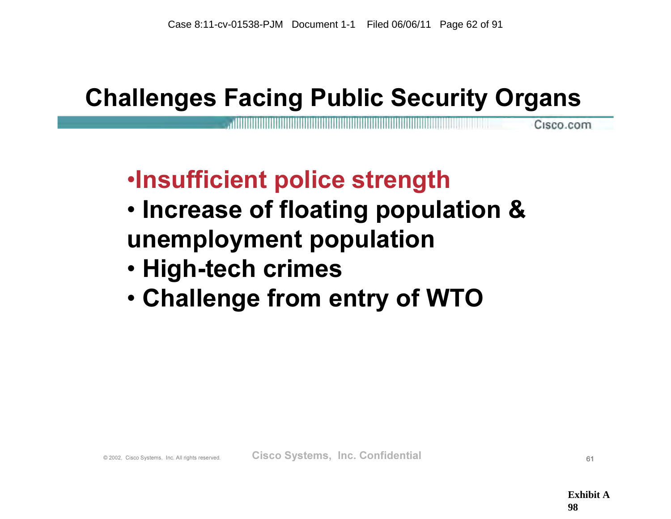### Challenges Facing Public Security Organs

Cisco.com

# •Insufficient police strength

- Increase of floating population & unemployment population
- High-tech crimes
- Challenge from entry of WTO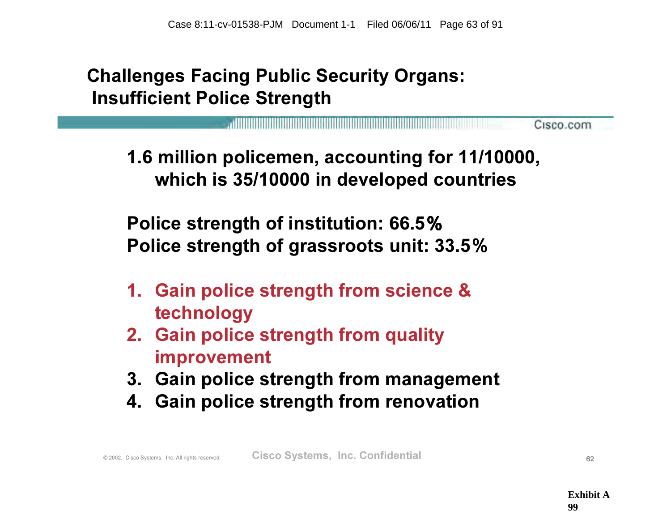### Challenges Facing Public Security Organs: Insufficient Police Strength

r an an Dùbhlach an Dùbhlach an Dùbhlach an Dùbhlach an Dùbhlach an Dùbhlach an Dùbhlach an Dùbhlach an Dùbhla Cisco.com

1.6 million policemen, accounting for 11/10000, which is 35/10000 in developed countries

Police strength of institution: 66.5% Police strength of grassroots unit: 33.5%

- 1. Gain police strength from science & technology
- 2. Gain police strength from quality improvement
- 3. Gain police strength from management
- 4. Gain police strength from renovation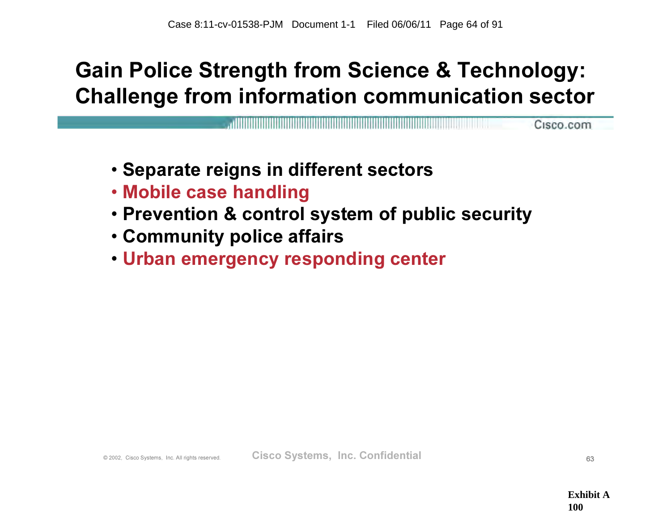### Gain Police Strength from Science & Technology: Challenge from information communication sector

- Separate reigns in different sectors
- Mobile case handling
- Prevention & control system of public security
- Community police affairs
- Urban emergency responding center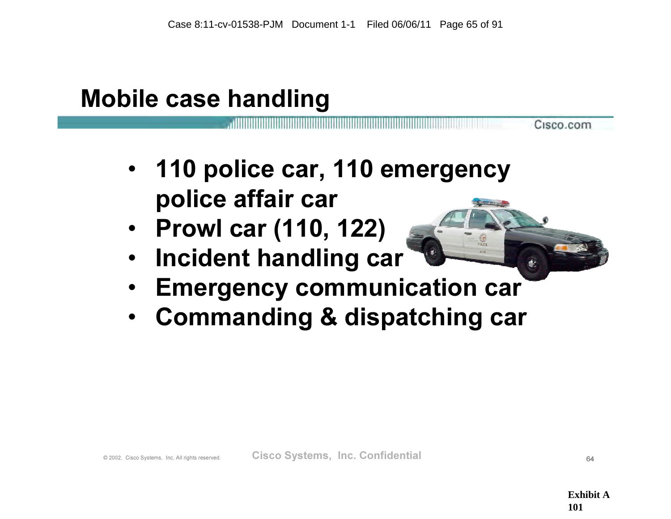### Mobile case handling

• 110 police car, 110 emergency police affair car

- Prowl car (110, 122)
- Incident handling car
- Emergency communication car
- Commanding & dispatching car

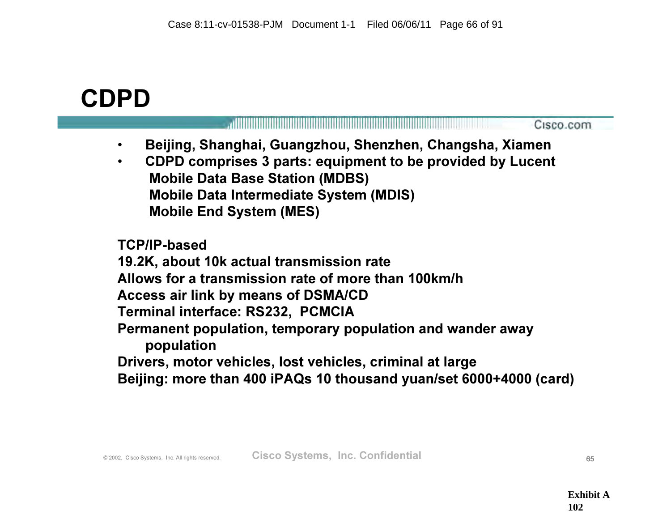### CDPD

|                                                                                                                                                                                                                                                                  | Cisco.com |
|------------------------------------------------------------------------------------------------------------------------------------------------------------------------------------------------------------------------------------------------------------------|-----------|
| Beijing, Shanghai, Guangzhou, Shenzhen, Changsha, Xiamen<br>CDPD comprises 3 parts: equipment to be provided by Lucent<br>$\bullet$<br><b>Mobile Data Base Station (MDBS)</b><br><b>Mobile Data Intermediate System (MDIS)</b><br><b>Mobile End System (MES)</b> |           |
| TCP/IP-based                                                                                                                                                                                                                                                     |           |
| 19.2K, about 10k actual transmission rate                                                                                                                                                                                                                        |           |
| Allows for a transmission rate of more than 100km/h                                                                                                                                                                                                              |           |
| Access air link by means of DSMA/CD                                                                                                                                                                                                                              |           |
| <b>Terminal interface: RS232, PCMCIA</b>                                                                                                                                                                                                                         |           |
| Permanent population, temporary population and wander away<br>population                                                                                                                                                                                         |           |
| Drivers, motor vehicles, lost vehicles, criminal at large                                                                                                                                                                                                        |           |
| Beijing: more than 400 iPAQs 10 thousand yuan/set 6000+4000 (card)                                                                                                                                                                                               |           |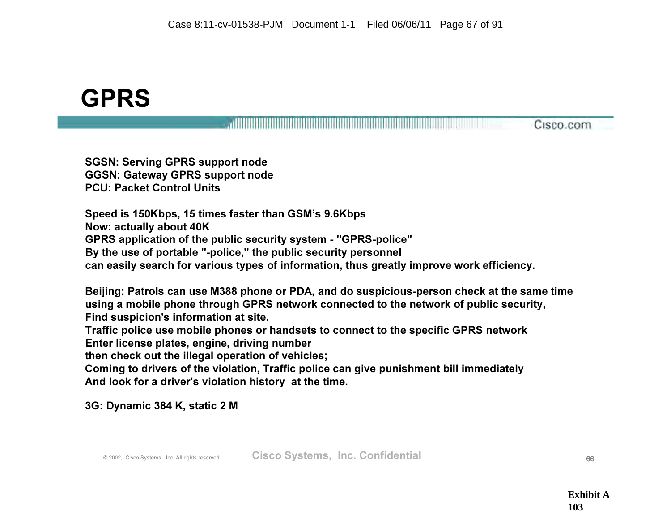

#### <u>All III in the control of the control of the control of the control of the control of the control of the control of the control of the control of the control of the control of the control of the control of the control of </u> Cisco.com

SGSN: Serving GPRS support node GGSN: Gateway GPRS support node PCU: Packet Control Units

Speed is 150Kbps, 15 times faster than GSM's 9.6Kbps Now: actually about 40K GPRS application of the public security system - "GPRS-police" By the use of portable "-police," the public security personnel can easily search for various types of information, thus greatly improve work efficiency.

Beijing: Patrols can use M388 phone or PDA, and do suspicious-person check at the same time using a mobile phone through GPRS network connected to the network of public security, Find suspicion's information at site.

Traffic police use mobile phones or handsets to connect to the specific GPRS network Enter license plates, engine, driving number

then check out the illegal operation of vehicles;

Coming to drivers of the violation, Traffic police can give punishment bill immediately And look for a driver's violation history at the time.

3G: Dynamic 384 K, static 2 M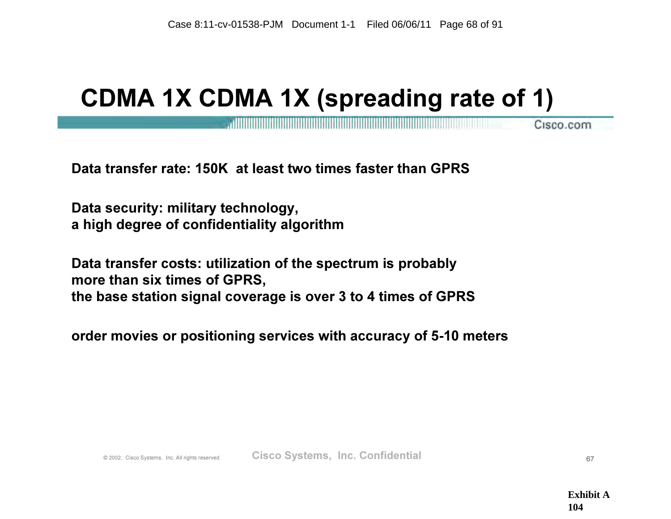### CDMA 1X CDMA 1X (spreading rate of 1)

Cisco.com

Data transfer rate: 150K at least two times faster than GPRS

Data security: military technology, a high degree of confidentiality algorithm

Data transfer costs: utilization of the spectrum is probably more than six times of GPRS, the base station signal coverage is over 3 to 4 times of GPRS

order movies or positioning services with accuracy of 5-10 meters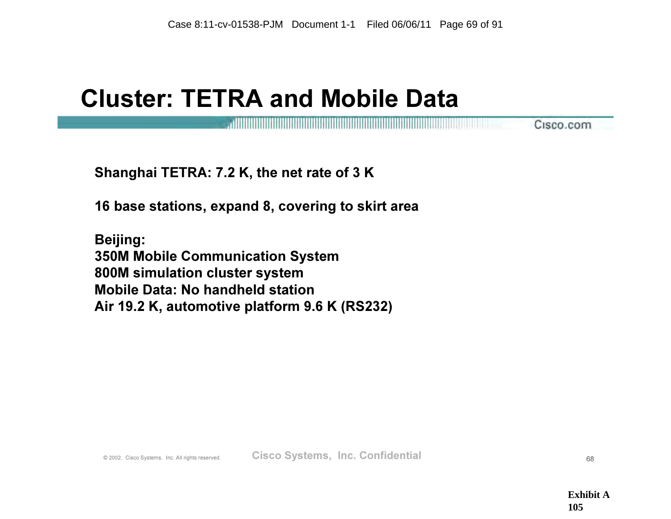### Cluster: TETRA and Mobile Data

, and the contract of the contract of the contract of the contract of the contract of the contract of Cisco.com

Shanghai TETRA: 7.2 K, the net rate of 3 K

16 base stations, expand 8, covering to skirt area

Beijing: 350M Mobile Communication System 800M simulation cluster system Mobile Data: No handheld station Air 19.2 K, automotive platform 9.6 K (RS232)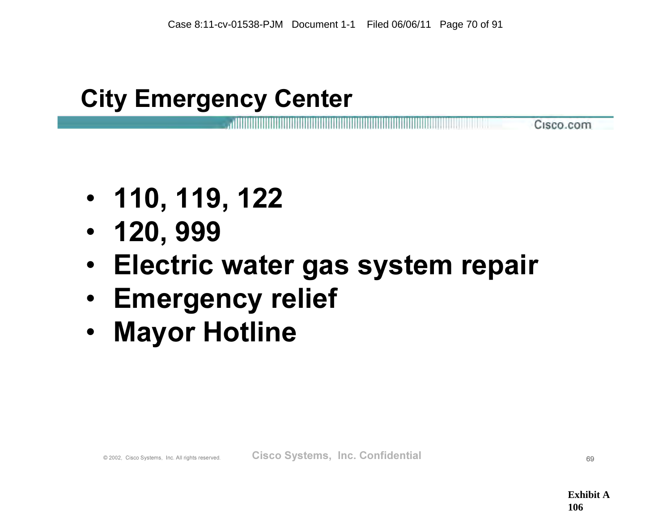### City Emergency Center

- 110, 119, 122
- 120, 999
- Electric water gas system repair
- Emergency relief
- **Mayor Hotline**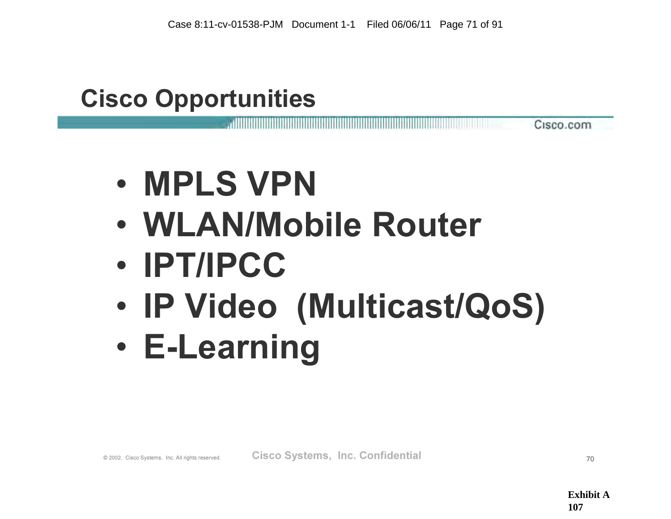### Cisco Opportunities

Cisco.com

# • MPLS VPN

- WLAN/Mobile Router
- IPT/IPCC
- IP Video (Multicast/QoS)
- E-Learning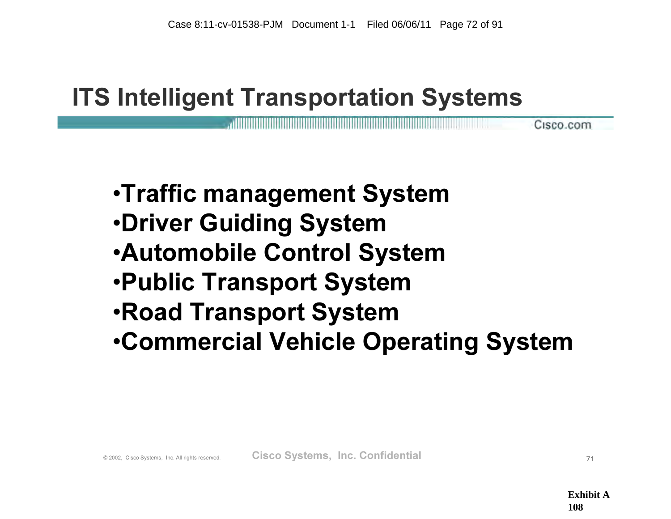## ITS Intelligent Transportation Systems

•Traffic management System

- •Driver Guiding System
- •Automobile Control System
- •Public Transport System
- •Road Transport System
- •Commercial Vehicle Operating System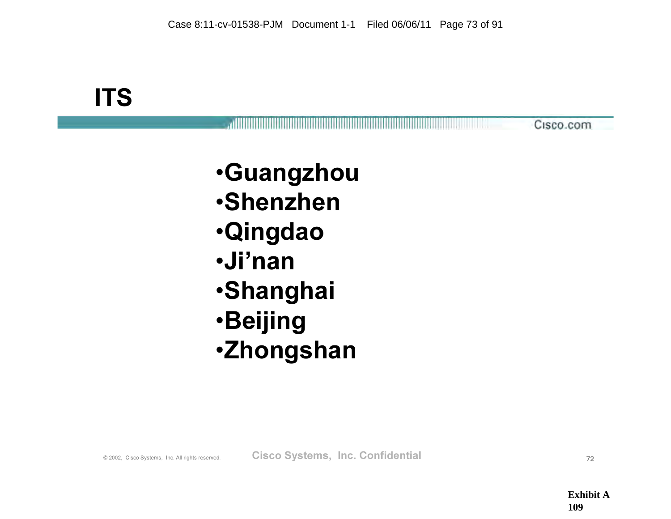# **ITS**

- •Guangzhou
- •Shenzhen
- •Qingdao
- •Ji'nan
- •Shanghai
- •Beijing
- •Zhongshan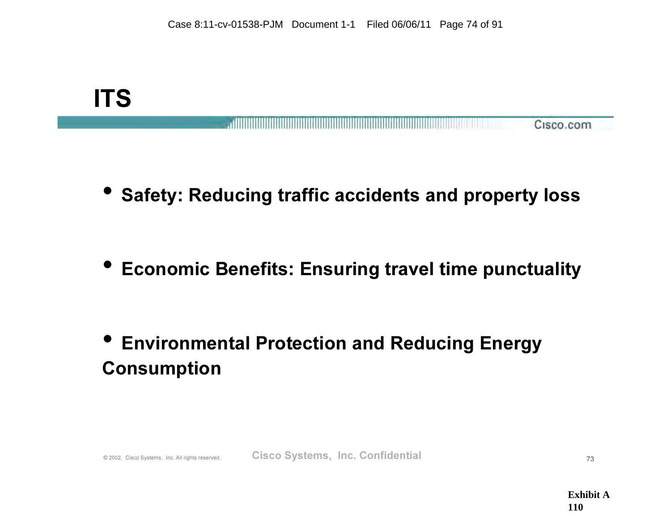Cisco.com 

Safety: Reducing traffic accidents and property loss

• Economic Benefits: Ensuring travel time punctuality

• Environmental Protection and Reducing Energy Consumption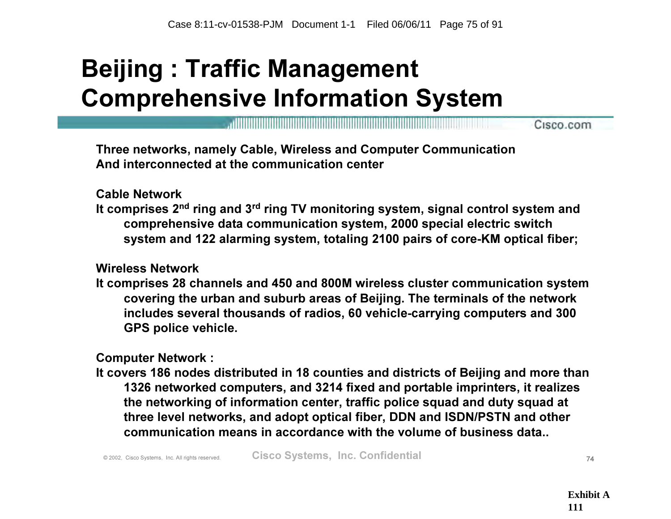# Beijing : Traffic Management Comprehensive Information System

Cisco.com

Three networks, namely Cable, Wireless and Computer Communication And interconnected at the communication center

Cable Network

It comprises 2<sup>nd</sup> ring and 3<sup>rd</sup> ring TV monitoring system, signal control system and comprehensive data communication system, 2000 special electric switch system and 122 alarming system, totaling 2100 pairs of core-KM optical fiber;

Wireless Network

It comprises 28 channels and 450 and 800M wireless cluster communication system covering the urban and suburb areas of Beijing. The terminals of the network includes several thousands of radios, 60 vehicle-carrying computers and 300 GPS police vehicle.

Computer Network :

It covers 186 nodes distributed in 18 counties and districts of Beijing and more than 1326 networked computers, and 3214 fixed and portable imprinters, it realizes the networking of information center, traffic police squad and duty squad at three level networks, and adopt optical fiber, DDN and ISDN/PSTN and other communication means in accordance with the volume of business data..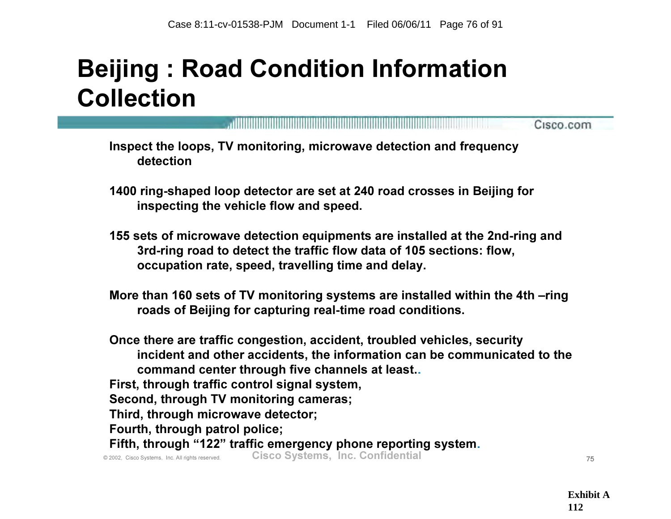# Beijing : Road Condition Information Collection

<u>. Kabupatèn Pampung Pangang Pangang Pangang Pangang Pangang Pangang Pangang Pangang Pangang Pangang Pangang Pa</u>

Cisco.com

Inspect the loops, TV monitoring, microwave detection and frequency detection

- 1400 ring-shaped loop detector are set at 240 road crosses in Beijing for inspecting the vehicle flow and speed.
- 155 sets of microwave detection equipments are installed at the 2nd-ring and 3rd-ring road to detect the traffic flow data of 105 sections: flow, occupation rate, speed, travelling time and delay.

More than 160 sets of TV monitoring systems are installed within the 4th –ring roads of Beijing for capturing real-time road conditions.

Once there are traffic congestion, accident, troubled vehicles, security incident and other accidents, the information can be communicated to the command center through five channels at least.. First, through traffic control signal system, Second, through TV monitoring cameras; Third, through microwave detector; Fourth, through patrol police;

Fifth, through "122" traffic emergency phone reporting system.

© 2002, Cisco Systems, Inc. All rights reserved. Cisco Systems, Inc. Confidential Cisco Confidential 75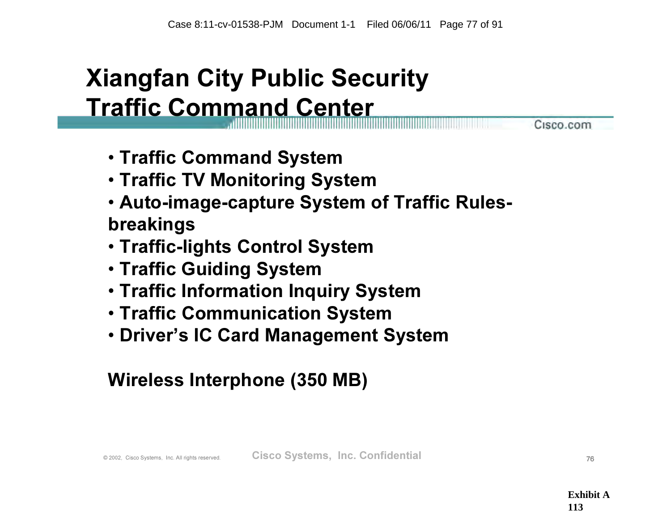# Xiangfan City Public Security Traffic Command Center

Cisco.com

- Traffic Command System
- Traffic TV Monitoring System
- Auto-image-capture System of Traffic Rulesbreakings
- Traffic-lights Control System
- Traffic Guiding System
- Traffic Information Inquiry System
- Traffic Communication System
- Driver's IC Card Management System

#### Wireless Interphone (350 MB)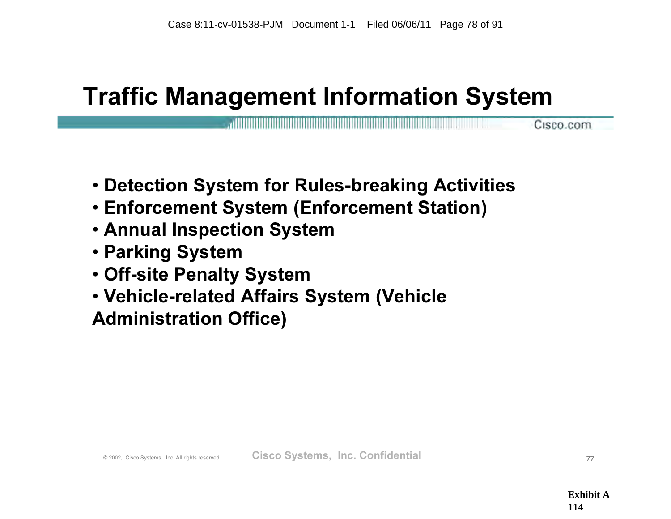### Traffic Management Information System

- Detection System for Rules-breaking Activities
- Enforcement System (Enforcement Station)
- Annual Inspection System
- Parking System
- Off-site Penalty System
- Vehicle-related Affairs System (Vehicle Administration Office)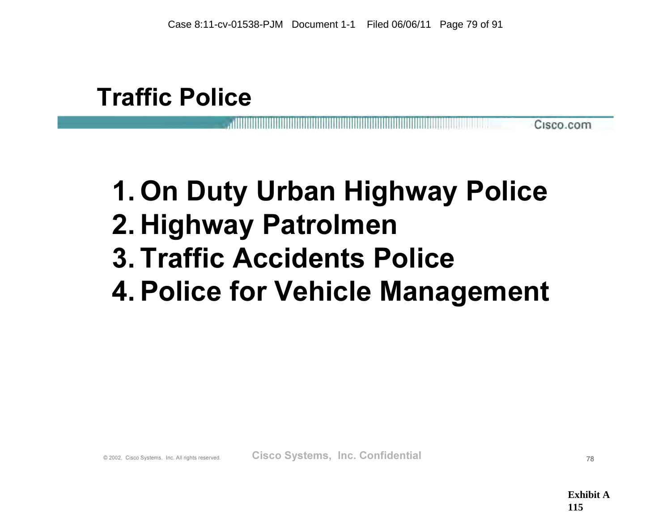#### Traffic Police

#### Cisco.com

# 1. On Duty Urban Highway Police 2. Highway Patrolmen 3. Traffic Accidents Police 4. Police for Vehicle Management

© 2002, Cisco Systems, Inc. All rights reserved. Cisco Systems, Inc. Confidential Cisco Confidential 78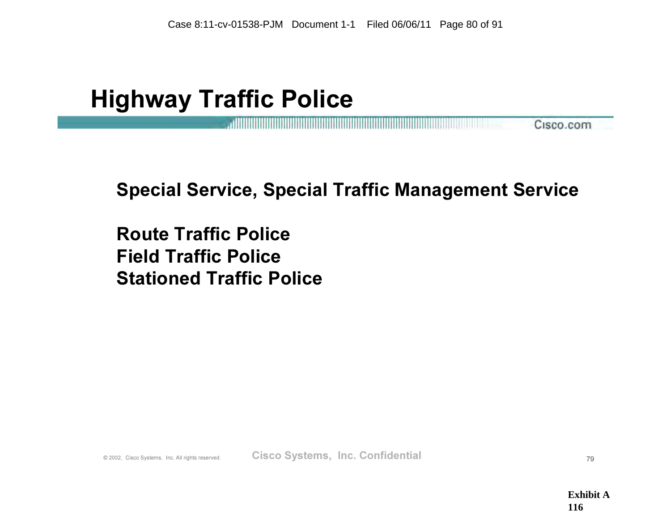#### Highway Traffic Police

,,,,,,,,,,,,,,,, Cisco.com ,,,,,,,,,,,,,,,,,,,,,,,,,,,,,,,,,,,

#### Special Service, Special Traffic Management Service

Route Traffic Police Field Traffic Police Stationed Traffic Police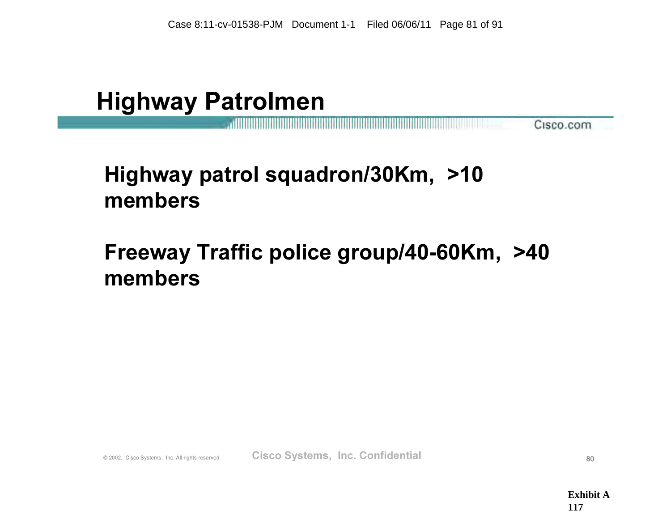#### Highway Patrolmen

Cisco.com

#### Highway patrol squadron/30Km, >10 members

#### Freeway Traffic police group/40-60Km, >40 members

© 2002, Cisco Systems, Inc. All rights reserved. Cisco Systems, Inc. Confidential **Cancella Cisco Confidential** 80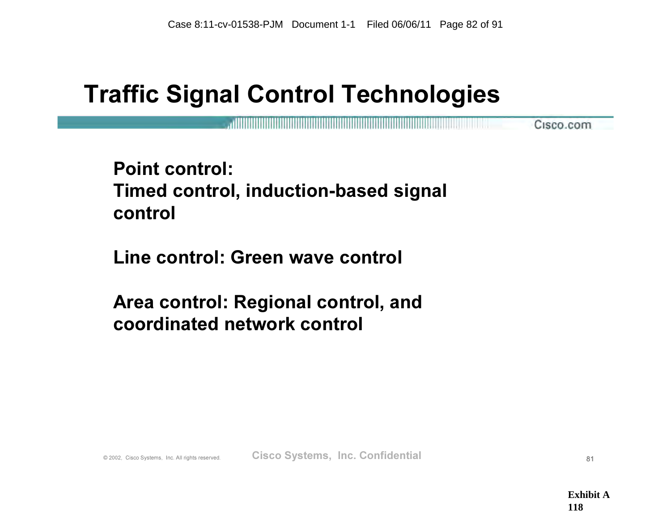#### Traffic Signal Control Technologies

Cisco.com 

Point control: Timed control, induction-based signal control

Line control: Green wave control

Area control: Regional control, and coordinated network control

© 2002, Cisco Systems, Inc. All rights reserved. Cisco Systems, Inc. Confidential **Confidential** 81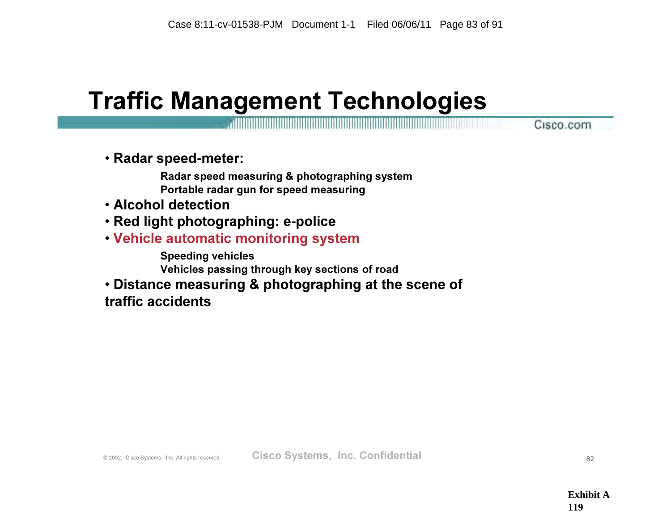### Traffic Management Technologies

Cisco.com

• Radar speed-meter:

Radar speed measuring & photographing system Portable radar gun for speed measuring

- Alcohol detection
- Red light photographing: e-police
- Vehicle automatic monitoring system

Speeding vehicles Vehicles passing through key sections of road

• Distance measuring & photographing at the scene of traffic accidents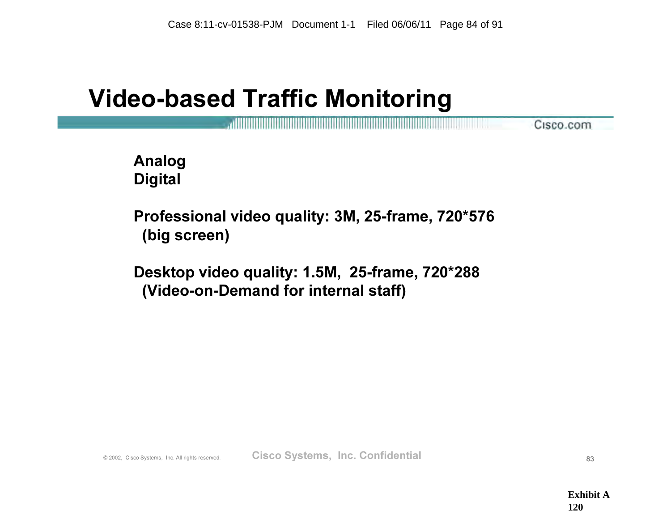#### Video-based Traffic Monitoring

Cisco.com

Analog Digital

Professional video quality: 3M, 25-frame, 720\*576 (big screen)

Desktop video quality: 1.5M, 25-frame, 720\*288 (Video-on-Demand for internal staff)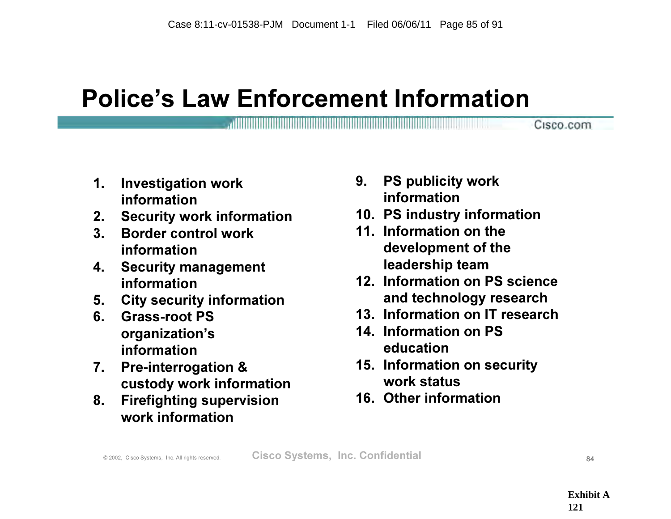a de la construcción de la construcción de la construcción de la construcción de la construcción de la construcción

#### Police's Law Enforcement Information

- 1. Investigation work information
- 2. Security work information
- 3. Border control work information
- 4. Security management information
- 5. City security information
- 6. Grass-root PS organization's information
- 7. Pre-interrogation & custody work information
- 8. Firefighting supervision work information
- 9. PS publicity work information
- 10. PS industry information
- 11. Information on the development of the leadership team
- 12. Information on PS science and technology research
- 13. Information on IT research
- 14. Information on PS education
- 15. Information on security work status
- 16. Other information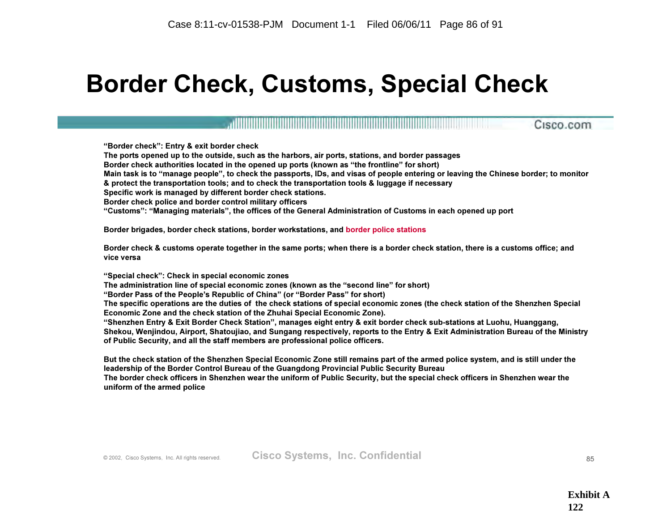#### Border Check, Customs, Special Check

"Border check": Entry & exit border check The ports opened up to the outside, such as the harbors, air ports, stations, and border passages Border check authorities located in the opened up ports (known as "the frontline" for short) Main task is to "manage people", to check the passports, IDs, and visas of people entering or leaving the Chinese border; to monitor & protect the transportation tools; and to check the transportation tools & luggage if necessary Specific work is managed by different border check stations. Border check police and border control military officers "Customs": "Managing materials", the offices of the General Administration of Customs in each opened up port

a de la construcción de la construcción de la construcción de la construcción de la construcción de la construcción

Border brigades, border check stations, border workstations, and border police stations

Border check & customs operate together in the same ports; when there is a border check station, there is a customs office; and vice versa

"Special check": Check in special economic zones

The administration line of special economic zones (known as the "second line" for short)

"Border Pass of the People's Republic of China" (or "Border Pass" for short)

The specific operations are the duties of the check stations of special economic zones (the check station of the Shenzhen Special Economic Zone and the check station of the Zhuhai Special Economic Zone).

"Shenzhen Entry & Exit Border Check Station", manages eight entry & exit border check sub-stations at Luohu, Huanggang, Shekou, Wenjindou, Airport, Shatoujiao, and Sungang respectively, reports to the Entry & Exit Administration Bureau of the Ministry of Public Security, and all the staff members are professional police officers.

But the check station of the Shenzhen Special Economic Zone still remains part of the armed police system, and is still under the leadership of the Border Control Bureau of the Guangdong Provincial Public Security Bureau

The border check officers in Shenzhen wear the uniform of Public Security, but the special check officers in Shenzhen wear the uniform of the armed police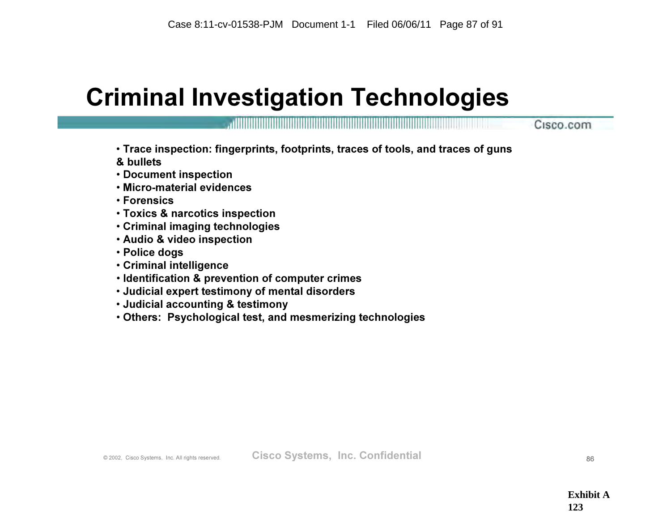### Criminal Investigation Technologies

- Trace inspection: fingerprints, footprints, traces of tools, and traces of guns
- & bullets
- Document inspection
- Micro-material evidences
- Forensics
- Toxics & narcotics inspection
- Criminal imaging technologies
- Audio & video inspection
- Police dogs
- Criminal intelligence
- Identification & prevention of computer crimes
- Judicial expert testimony of mental disorders
- Judicial accounting & testimony
- Others: Psychological test, and mesmerizing technologies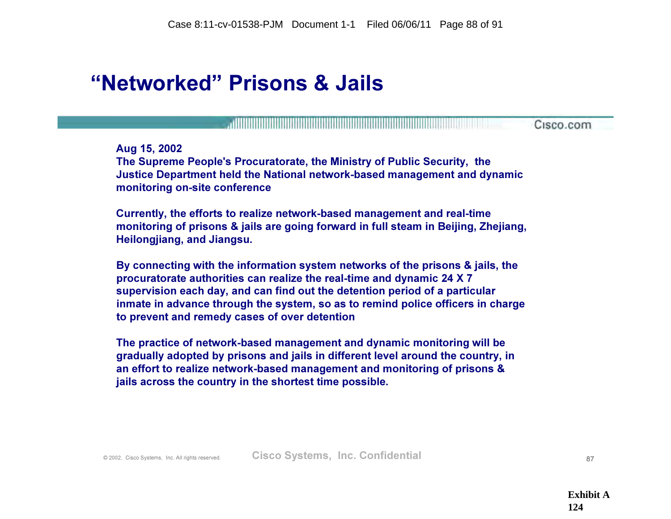#### "Networked" Prisons & Jails

<u>. A series of the contract of the contract of the contract of the contract of the contract of the contract of the contract of the contract of the contract of the contract of the contract of the contract of the contract of</u>

Cisco.com

Aug 15, 2002 The Supreme People's Procuratorate, the Ministry of Public Security, the Justice Department held the National network-based management and dynamic monitoring on-site conference

Currently, the efforts to realize network-based management and real-time monitoring of prisons & jails are going forward in full steam in Beijing, Zhejiang, Heilongjiang, and Jiangsu.

By connecting with the information system networks of the prisons & jails, the procuratorate authorities can realize the real-time and dynamic 24 X 7 supervision each day, and can find out the detention period of a particular inmate in advance through the system, so as to remind police officers in charge to prevent and remedy cases of over detention

The practice of network-based management and dynamic monitoring will be gradually adopted by prisons and jails in different level around the country, in an effort to realize network-based management and monitoring of prisons & jails across the country in the shortest time possible.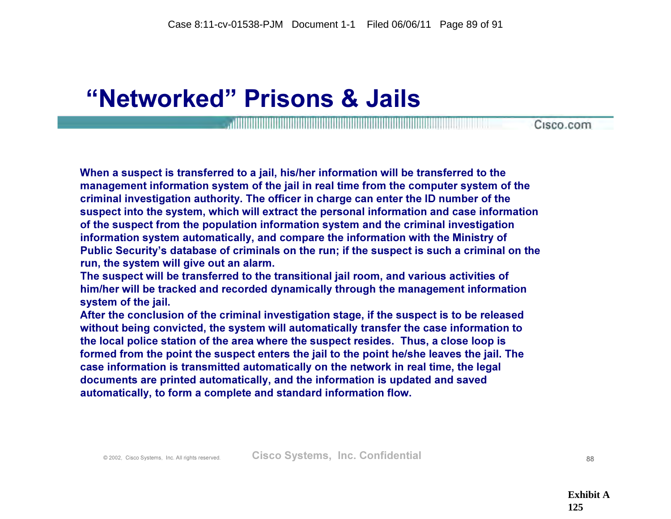#### "Networked" Prisons & Jails

Cisco.com

When a suspect is transferred to a jail, his/her information will be transferred to the management information system of the jail in real time from the computer system of the criminal investigation authority. The officer in charge can enter the ID number of the suspect into the system, which will extract the personal information and case information of the suspect from the population information system and the criminal investigation information system automatically, and compare the information with the Ministry of Public Security's database of criminals on the run; if the suspect is such a criminal on the run, the system will give out an alarm.

The suspect will be transferred to the transitional jail room, and various activities of him/her will be tracked and recorded dynamically through the management information system of the jail.

After the conclusion of the criminal investigation stage, if the suspect is to be released without being convicted, the system will automatically transfer the case information to the local police station of the area where the suspect resides. Thus, a close loop is formed from the point the suspect enters the jail to the point he/she leaves the jail. The case information is transmitted automatically on the network in real time, the legal documents are printed automatically, and the information is updated and saved automatically, to form a complete and standard information flow.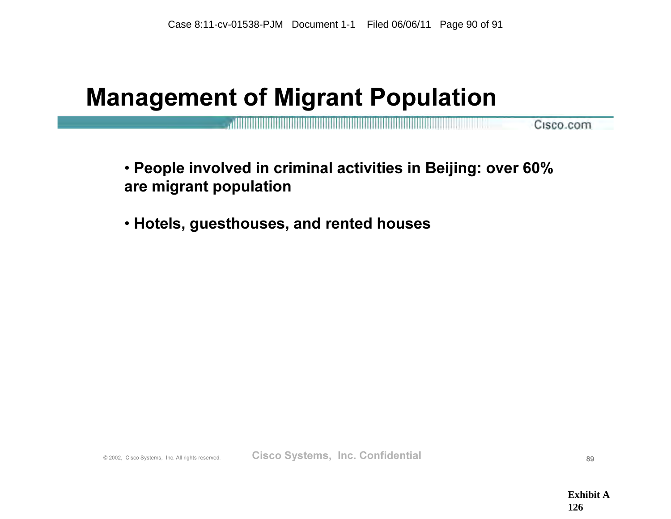#### Management of Migrant Population

Cisco.com

• People involved in criminal activities in Beijing: over 60% are migrant population

• Hotels, guesthouses, and rented houses